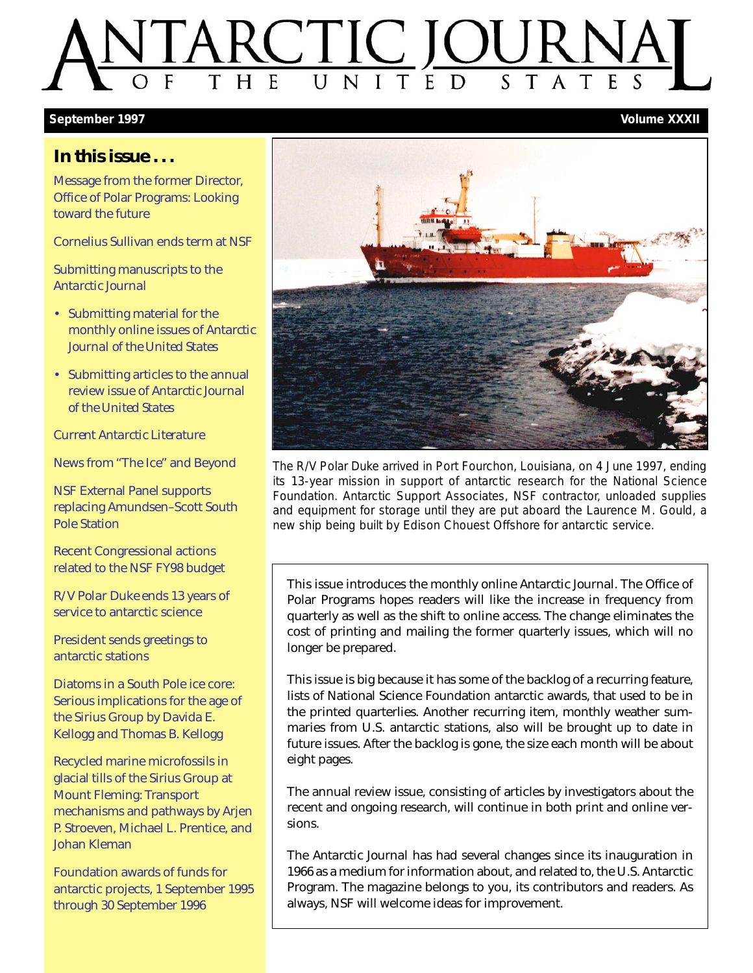### E  $\overline{U}$ S E  $H$

### **September 1997 Volume XXXII**

### **In this issue . . .**

[Message from the former Director,](#page-1-0) Office of Polar Programs: Looking toward the future

[Cornelius Sullivan ends term at NSF](#page-2-0)

[Submitting manuscripts to the](#page-3-0) *Antarctic Journal*

- • [Submitting material for the](#page-3-1) monthly online issues of *Antarctic Journal of the United States*
- • [Submitting articles to the annual](#page-4-0) review issue of *Antarctic Journal of the United States*

*[Current Antarctic Literature](#page-8-0)*

[News from "The Ice" and Beyond](#page-10-0)

NSF External Panel supports [replacing Amundsen–Scott South](#page-14-0) Pole Station

Recent Congressional actions [related to the NSF FY98 budget](#page-17-0)

R/V *Polar Duke* ends 13 years of [service to antarctic science](#page-18-0)

[President sends greetings to](#page-20-0) antarctic stations

Diatoms in a South Pole ice core: [Serious implications for the age of](#page-21-0) the Sirius Group by Davida E. Kellogg and Thomas B. Kellogg

Recycled marine microfossils in glacial tills of the Sirius Group at Mount Fleming: Transport [mechanisms and pathways by Arjen](#page-29-0) P. Stroeven, Michael L. Prentice, and Johan Kleman

Foundation awards of funds for [antarctic projects, 1 September 1995](#page-36-0) through 30 September 1996



The R/V *Polar Duke* arrived in Port Fourchon, Louisiana, on 4 June 1997, ending its 13-year mission in support of antarctic research for the National Science Foundation. Antarctic Support Associates, NSF contractor, unloaded supplies and equipment for storage until they are put aboard the *Laurence M. Gould*, a new ship being built by Edison Chouest Offshore for antarctic service.

This issue introduces the monthly online *Antarctic Journal*. The Office of Polar Programs hopes readers will like the increase in frequency from quarterly as well as the shift to online access. The change eliminates the cost of printing and mailing the former quarterly issues, which will no longer be prepared.

This issue is big because it has some of the backlog of a recurring feature, lists of National Science Foundation antarctic awards, that used to be in the printed quarterlies. Another recurring item, monthly weather summaries from U.S. antarctic stations, also will be brought up to date in future issues. After the backlog is gone, the size each month will be about eight pages.

The annual review issue, consisting of articles by investigators about the recent and ongoing research, will continue in both print and online versions.

The *Antarctic Journal* has had several changes since its inauguration in 1966 as a medium for information about, and related to, the U.S. Antarctic Program. The magazine belongs to you, its contributors and readers. As always, NSF will welcome ideas for improvement.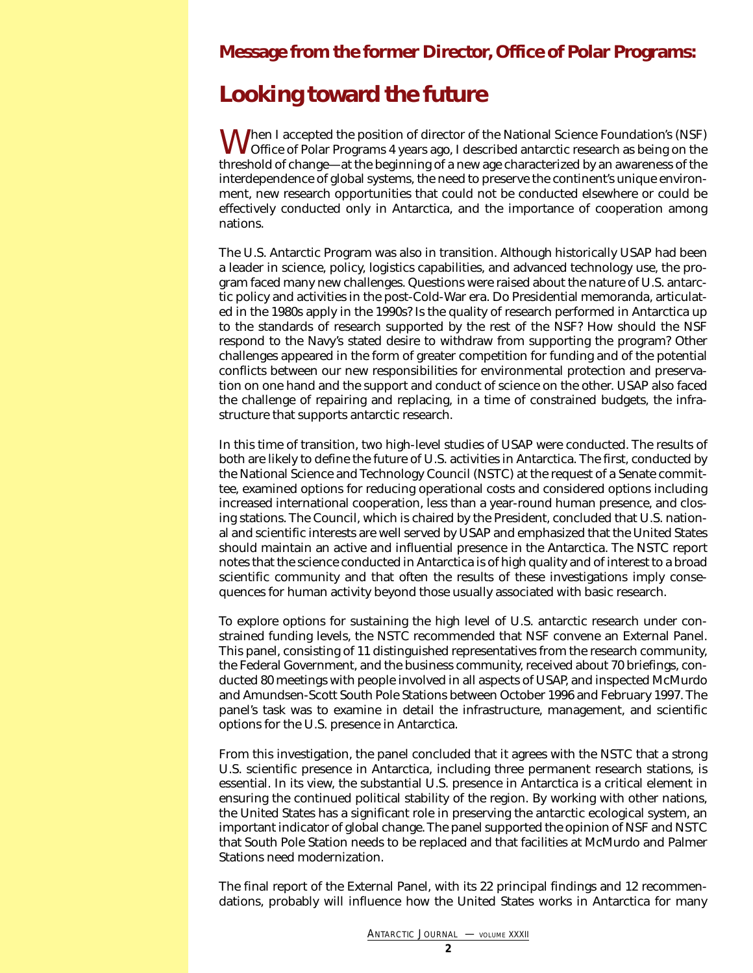### <span id="page-1-0"></span>**Message from the former Director, Office of Polar Programs:**

### **Looking toward the future**

When I accepted the position of director of the National Science Foundation's (NSF) Office of Polar Programs 4 years ago, I described antarctic research as being on the threshold of change—at the beginning of a new age characterized by an awareness of the interdependence of global systems, the need to preserve the continent's unique environment, new research opportunities that could not be conducted elsewhere or could be effectively conducted only in Antarctica, and the importance of cooperation among nations.

The U.S. Antarctic Program was also in transition. Although historically USAP had been a leader in science, policy, logistics capabilities, and advanced technology use, the program faced many new challenges. Questions were raised about the nature of U.S. antarctic policy and activities in the post-Cold-War era. Do Presidential memoranda, articulated in the 1980s apply in the 1990s? Is the quality of research performed in Antarctica up to the standards of research supported by the rest of the NSF? How should the NSF respond to the Navy's stated desire to withdraw from supporting the program? Other challenges appeared in the form of greater competition for funding and of the potential conflicts between our new responsibilities for environmental protection and preservation on one hand and the support and conduct of science on the other. USAP also faced the challenge of repairing and replacing, in a time of constrained budgets, the infrastructure that supports antarctic research.

In this time of transition, two high-level studies of USAP were conducted. The results of both are likely to define the future of U.S. activities in Antarctica. The first, conducted by the National Science and Technology Council (NSTC) at the request of a Senate committee, examined options for reducing operational costs and considered options including increased international cooperation, less than a year-round human presence, and closing stations. The Council, which is chaired by the President, concluded that U.S. national and scientific interests are well served by USAP and emphasized that the United States should maintain an active and influential presence in the Antarctica. The NSTC report notes that the science conducted in Antarctica is of high quality and of interest to a broad scientific community and that often the results of these investigations imply consequences for human activity beyond those usually associated with basic research.

To explore options for sustaining the high level of U.S. antarctic research under constrained funding levels, the NSTC recommended that NSF convene an External Panel. This panel, consisting of 11 distinguished representatives from the research community, the Federal Government, and the business community, received about 70 briefings, conducted 80 meetings with people involved in all aspects of USAP, and inspected McMurdo and Amundsen-Scott South Pole Stations between October 1996 and February 1997. The panel's task was to examine in detail the infrastructure, management, and scientific options for the U.S. presence in Antarctica.

From this investigation, the panel concluded that it agrees with the NSTC that a strong U.S. scientific presence in Antarctica, including three permanent research stations, is essential. In its view, the substantial U.S. presence in Antarctica is a critical element in ensuring the continued political stability of the region. By working with other nations, the United States has a significant role in preserving the antarctic ecological system, an important indicator of global change. The panel supported the opinion of NSF and NSTC that South Pole Station needs to be replaced and that facilities at McMurdo and Palmer Stations need modernization.

The final report of the External Panel, with its 22 principal findings and 12 recommendations, probably will influence how the United States works in Antarctica for many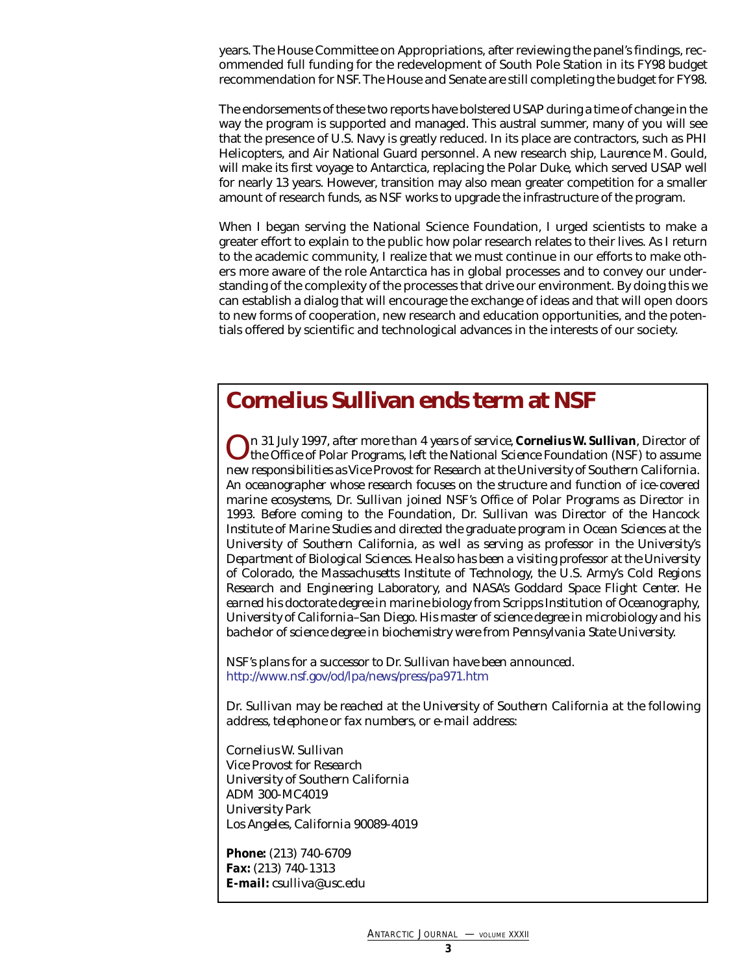years. The House Committee on Appropriations, after reviewing the panel's findings, recommended full funding for the redevelopment of South Pole Station in its FY98 budget recommendation for NSF. The House and Senate are still completing the budget for FY98.

The endorsements of these two reports have bolstered USAP during a time of change in the way the program is supported and managed. This austral summer, many of you will see that the presence of U.S. Navy is greatly reduced. In its place are contractors, such as PHI Helicopters, and Air National Guard personnel. A new research ship, *Laurence M. Gould*, will make its first voyage to Antarctica, replacing the *Polar Duke*, which served USAP well for nearly 13 years. However, transition may also mean greater competition for a smaller amount of research funds, as NSF works to upgrade the infrastructure of the program.

When I began serving the National Science Foundation, I urged scientists to make a greater effort to explain to the public how polar research relates to their lives. As I return to the academic community, I realize that we must continue in our efforts to make others more aware of the role Antarctica has in global processes and to convey our understanding of the complexity of the processes that drive our environment. By doing this we can establish a dialog that will encourage the exchange of ideas and that will open doors to new forms of cooperation, new research and education opportunities, and the potentials offered by scientific and technological advances in the interests of our society.

## <span id="page-2-0"></span>**Cornelius Sullivan ends term at NSF**

*On 31 July 1997, after more than 4 years of service, Cornelius W. Sullivan, Director of the Office of Polar Programs, left the National Science Foundation (NSF) to assume new responsibilities as Vice Provost for Research at the University of Southern California. An oceanographer whose research focuses on the structure and function of ice-covered marine ecosystems, Dr. Sullivan joined NSF's Office of Polar Programs as Director in 1993. Before coming to the Foundation, Dr. Sullivan was Director of the Hancock Institute of Marine Studies and directed the graduate program in Ocean Sciences at the University of Southern California, as well as serving as professor in the University's Department of Biological Sciences. He also has been a visiting professor at the University of Colorado, the Massachusetts Institute of Technology, the U.S. Army's Cold Regions Research and Engineering Laboratory, and NASA's Goddard Space Flight Center. He earned his doctorate degree in marine biology from Scripps Institution of Oceanography, University of California–San Diego. His master of science degree in microbiology and his bachelor of science degree in biochemistry were from Pennsylvania State University.*

*NSF's plans for a successor to Dr. Sullivan have been announced. <http://www.nsf.gov/od/lpa/news/press/pa971.htm>*

*Dr. Sullivan may be reached at the University of Southern California at the following address, telephone or fax numbers, or e-mail address:*

*Cornelius W. Sullivan Vice Provost for Research University of Southern California ADM 300-MC4019 University Park Los Angeles, California 90089-4019*

*Phone: (213) 740-6709 Fax: (213) 740-1313 E-mail: csulliva@usc.edu*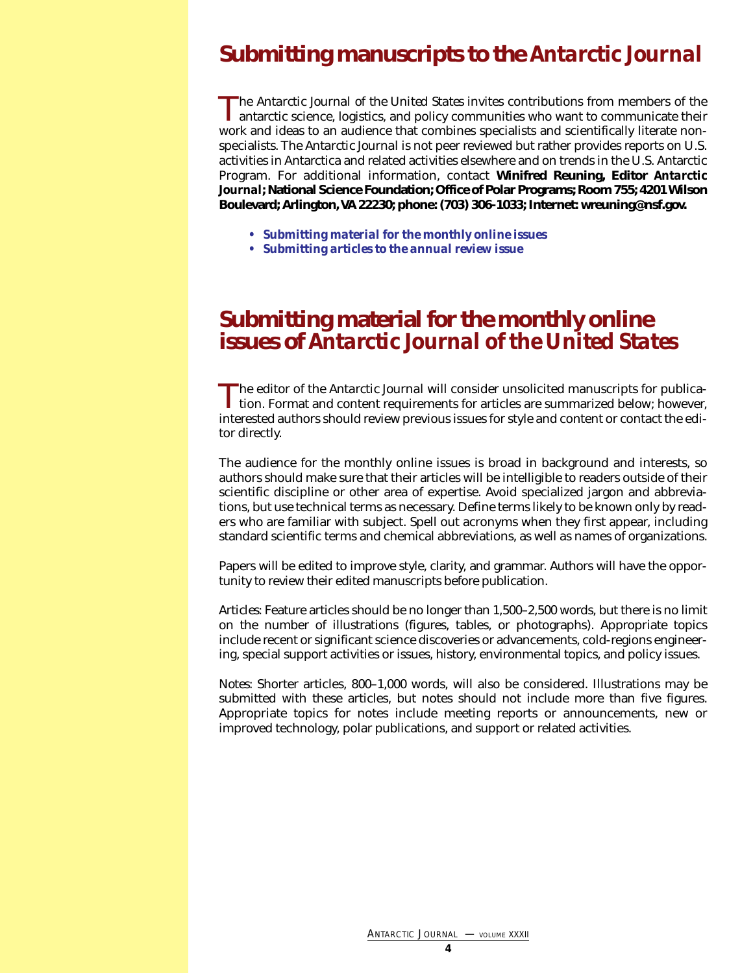# <span id="page-3-0"></span>**Submitting manuscripts to the** *Antarctic Journal*

The *Antarctic Journal of the United States* invites contributions from members of the antarctic science, logistics, and policy communities who want to communicate their work and ideas to an audience that combines specialists and scientifically literate nonspecialists. The *Antarctic Journal* is not peer reviewed but rather provides reports on U.S. activities in Antarctica and related activities elsewhere and on trends in the U.S. Antarctic Program. For additional information, contact **Winifred Reuning, Editor** *Antarctic Journal***; National Science Foundation; Office of Polar Programs; Room 755; 4201 Wilson Boulevard; Arlington, VA 22230; phone: (703) 306-1033; Internet: wreuning@nsf.gov.**

- *[Submitting material for the monthly online issues](#page-3-2)*
- *[Submitting articles to the annual review issue](#page-4-1)*

### <span id="page-3-2"></span><span id="page-3-1"></span>**Submitting material for the monthly online issues of** *Antarctic Journal of the United States*

The editor of the *Antarctic Journal* will consider unsolicited manuscripts for publication. Format and content requirements for articles are summarized below; however, interested authors should review previous issues for style and content or contact the editor directly.

The audience for the monthly online issues is broad in background and interests, so authors should make sure that their articles will be intelligible to readers outside of their scientific discipline or other area of expertise. Avoid specialized jargon and abbreviations, but use technical terms as necessary. Define terms likely to be known only by readers who are familiar with subject. Spell out acronyms when they first appear, including standard scientific terms and chemical abbreviations, as well as names of organizations.

Papers will be edited to improve style, clarity, and grammar. Authors will have the opportunity to review their edited manuscripts before publication.

*Articles:* Feature articles should be no longer than 1,500–2,500 words, but there is no limit on the number of illustrations (figures, tables, or photographs). Appropriate topics include recent or significant science discoveries or advancements, cold-regions engineering, special support activities or issues, history, environmental topics, and policy issues.

*Notes:* Shorter articles, 800–1,000 words, will also be considered. Illustrations may be submitted with these articles, but notes should not include more than five figures. Appropriate topics for notes include meeting reports or announcements, new or improved technology, polar publications, and support or related activities.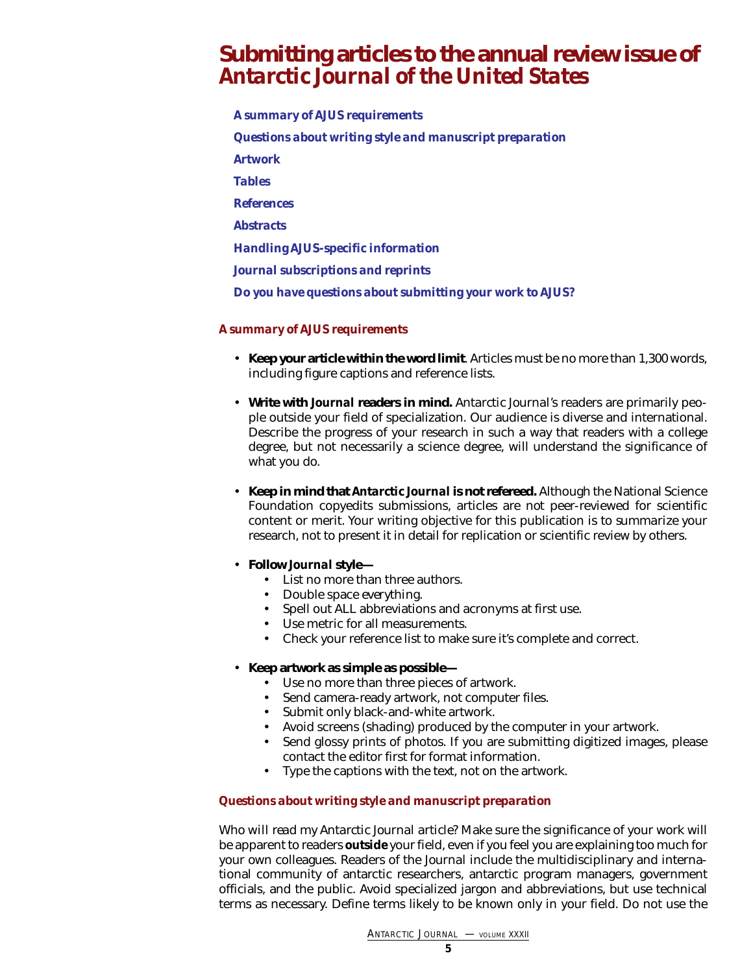### <span id="page-4-1"></span><span id="page-4-0"></span>**Submitting articles to the annual review issue of** *Antarctic Journal of the United States*

*[A summary of AJUS requirements](#page-4-2) [Questions about writing style and manuscript preparation](#page-4-3) [Artwork](#page-5-0) [Tables](#page-6-0) [References](#page-6-1) [Abstracts](#page-7-0) [Handling AJUS-specific information](#page-7-1) [Journal subscriptions and reprints](#page-7-2) [Do you have questions about submitting your work to AJUS?](#page-7-3)*

### <span id="page-4-2"></span>*A summary of AJUS requirements*

- **Keep your article within the word limit**. Articles must be no more than 1,300 words, *including* figure captions and reference lists.
- **Write with** *Journal* **readers in mind.** *Antarctic Journal*'s readers are primarily people outside your field of specialization. Our audience is diverse and international. Describe the progress of your research in such a way that readers with a college degree, but not necessarily a science degree, will understand the significance of what you do.
- <span id="page-4-3"></span>• **Keep in mind that** *Antarctic Journal* **is not refereed.** Although the National Science Foundation copyedits submissions, articles are *not* peer-reviewed for scientific content or merit. Your writing objective for this publication is to *summarize* your research, not to present it in detail for replication or scientific review by others.
- **Follow** *Journal* **style—**
	- List no more than three authors.
	- Double space *everything*.
	- Spell out ALL abbreviations and acronyms at first use.
	- Use metric for all measurements.
	- Check your reference list to make sure it's complete and correct.

### • **Keep artwork as simple as possible—**

- Use no more than three pieces of artwork.
- Send camera-ready artwork, not computer files.
- Submit only black-and-white artwork.
- Avoid screens (shading) produced by the computer in your artwork.
- Send glossy prints of photos. If you are submitting digitized images, please contact the editor first for format information.
- Type the captions with the text, not on the artwork.

### *Questions about writing style and manuscript preparation*

*Who will read my Antarctic Journal article?* Make sure the significance of your work will be apparent to readers *outside* your field, even if you feel you are explaining too much for your own colleagues. Readers of the *Journal* include the multidisciplinary and international community of antarctic researchers, antarctic program managers, government officials, and the public. Avoid specialized jargon and abbreviations, but use technical terms as necessary. Define terms likely to be known only in your field. Do not use the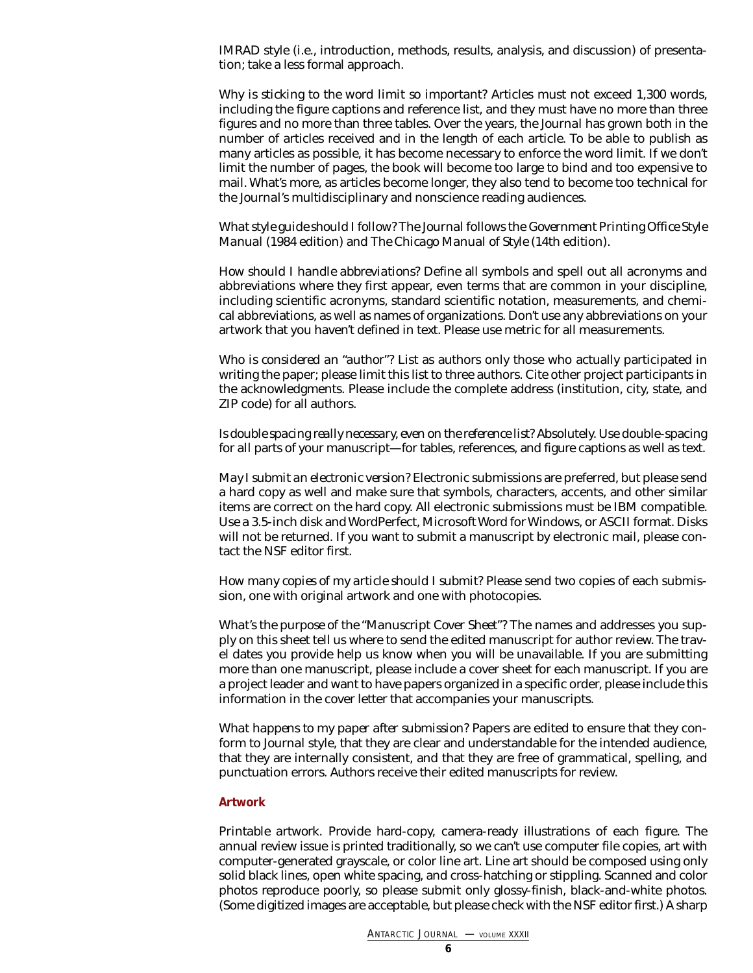IMRAD style (i.e., introduction, methods, results, analysis, and discussion) of presentation; take a less formal approach.

*Why is sticking to the word limit so important?* Articles must not exceed 1,300 words, including the figure captions and reference list, and they must have no more than three figures and no more than three tables. Over the years, the *Journal* has grown both in the number of articles received and in the length of each article. To be able to publish as many articles as possible, it has become necessary to enforce the word limit. If we don't limit the number of pages, the book will become too large to bind and too expensive to mail. What's more, as articles become longer, they also tend to become too technical for the *Journal*'s multidisciplinary and nonscience reading audiences.

*What style guide should I follow?* The *Journal* follows the *Government Printing Office Style Manual* (1984 edition) and *The Chicago Manual of Style* (14th edition).

*How should I handle abbreviations?* Define all symbols and spell out all acronyms and abbreviations where they first appear, even terms that are common in your discipline, including scientific acronyms, standard scientific notation, measurements, and chemical abbreviations, as well as names of organizations. Don't use any abbreviations on your artwork that you haven't defined in text. Please use metric for all measurements.

*Who is considered an "author"?* List as authors only those who actually participated in writing the paper; please limit this list to three authors. Cite other project participants in the acknowledgments. Please include the complete address (institution, city, state, and ZIP code) for all authors.

*Is double spacing really necessary, even on the reference list?* Absolutely. Use double-spacing for *all* parts of your manuscript—for tables, references, and figure captions as well as text.

<span id="page-5-0"></span>*May I submit an electronic version?* Electronic submissions are preferred, but please send a hard copy as well and make sure that symbols, characters, accents, and other similar items are correct on the hard copy. All electronic submissions must be IBM compatible. Use a 3.5-inch disk and WordPerfect, Microsoft Word for Windows, or ASCII format. Disks will not be returned. If you want to submit a manuscript by electronic mail, please contact the NSF editor first.

*How many copies of my article should I submit?* Please send two copies of each submission, one with original artwork and one with photocopies.

*What's the purpose of the "Manuscript Cover Sheet"?* The names and addresses you supply on this sheet tell us where to send the edited manuscript for author review. The travel dates you provide help us know when you will be unavailable. If you are submitting more than one manuscript, please include a cover sheet for each manuscript. If you are a project leader and want to have papers organized in a specific order, please include this information in the cover letter that accompanies your manuscripts.

*What happens to my paper after submission?* Papers are edited to ensure that they conform to *Journal* style, that they are clear and understandable for the intended audience, that they are internally consistent, and that they are free of grammatical, spelling, and punctuation errors. Authors receive their edited manuscripts for review.

### *Artwork*

*Printable artwork*. Provide hard-copy, camera-ready illustrations of each figure. The annual review issue is printed traditionally, so we can't use computer file copies, art with computer-generated grayscale, or color line art. Line art should be composed using only solid black lines, open white spacing, and cross-hatching or stippling. Scanned and color photos reproduce poorly, so please submit only glossy-finish, black-and-white photos. (Some digitized images are acceptable, but please check with the NSF editor first.) A sharp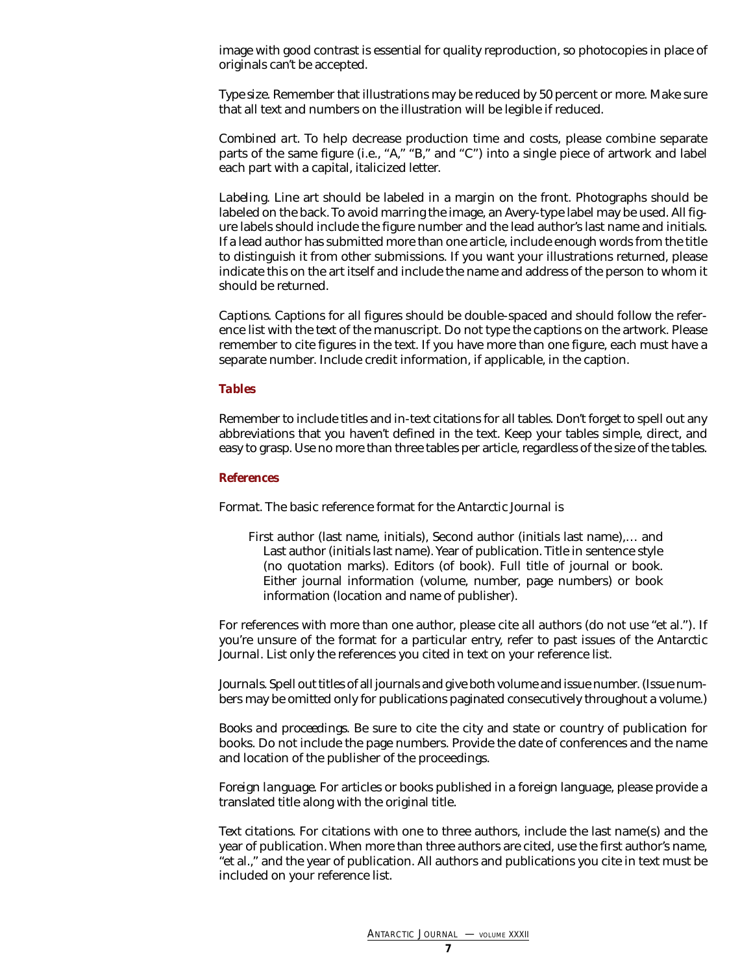image with good contrast is essential for quality reproduction, so photocopies in place of originals can't be accepted.

*Type size*. Remember that illustrations may be reduced by 50 percent or more. Make sure that all text and numbers on the illustration will be legible if reduced.

*Combined art*. To help decrease production time and costs, please combine separate parts of the same figure (i.e., "*A*," "*B*," and "*C*") into a single piece of artwork and label each part with a capital, italicized letter.

*Labeling*. Line art should be labeled in a margin on the front. Photographs should be labeled on the back. To avoid marring the image, an Avery-type label may be used. All figure labels should include the figure number and the lead author's last name and initials. If a lead author has submitted more than one article, include enough words from the title to distinguish it from other submissions. If you want your illustrations returned, please indicate this on the art itself and include the name and address of the person to whom it should be returned.

*Captions*. Captions for all figures should be double-spaced and should follow the reference list with the *text* of the manuscript. Do not type the captions on the artwork. Please remember to cite figures in the text. If you have more than one figure, each must have a separate number. Include credit information, if applicable, in the caption.

#### <span id="page-6-0"></span>*Tables*

Remember to include titles and in-text citations for all tables. Don't forget to spell out any abbreviations that you haven't defined in the text. Keep your tables simple, direct, and easy to grasp. Use no more than three tables per article, regardless of the size of the tables.

#### <span id="page-6-1"></span>*References*

*Format*. The basic reference format for the *Antarctic Journal* is

First author (last name, initials), Second author (initials last name),… and Last author (initials last name). Year of publication. Title in sentence style (no quotation marks). Editors (of book). Full title of journal or book. Either journal information (volume, number, page numbers) or book information (location and name of publisher).

For references with more than one author, please cite all authors (do not use "et al."). If you're unsure of the format for a particular entry, refer to past issues of the *Antarctic Journal.* List only the references you cited in text on your reference list.

*Journals*. Spell out titles of all journals and give both volume and issue number. (Issue numbers may be omitted only for publications paginated consecutively throughout a volume.)

*Books and proceedings*. Be sure to cite the city and state or country of publication for books. Do not include the page numbers. Provide the date of conferences and the name and location of the publisher of the proceedings.

*Foreign language*. For articles or books published in a foreign language, please provide a translated title along with the original title.

*Text citations*. For citations with one to three authors, include the last name(s) and the year of publication. When more than three authors are cited, use the first author's name, "et al.," and the year of publication. All authors and publications you cite in text must be included on your reference list.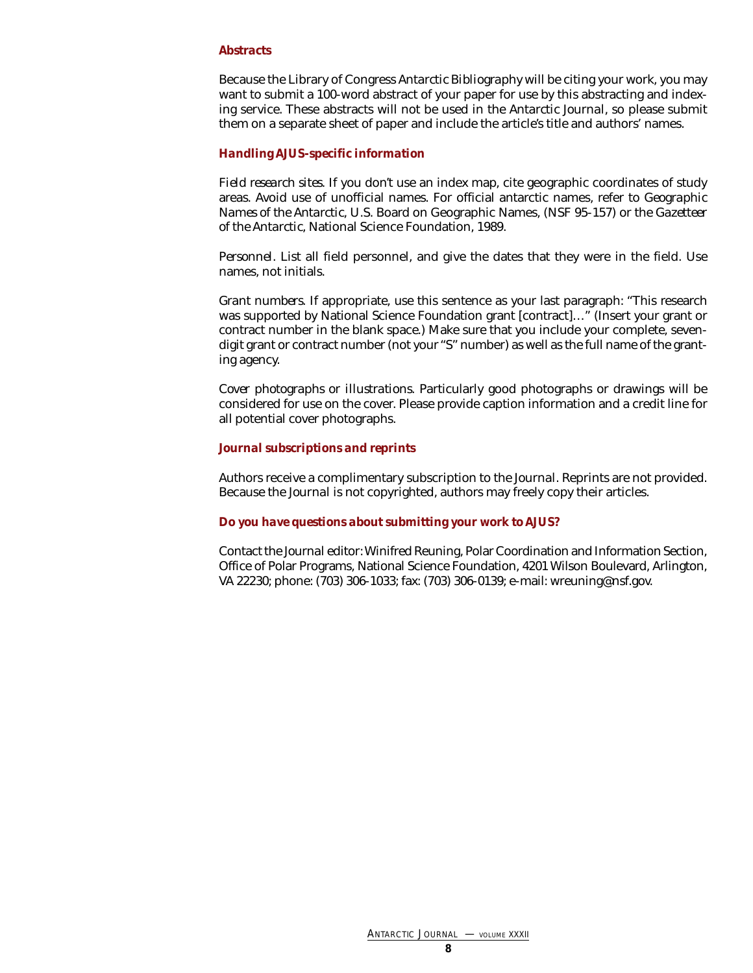### <span id="page-7-0"></span>*Abstracts*

Because the Library of Congress *Antarctic Bibliography* will be citing your work, you may want to submit a 100-word abstract of your paper for use by this abstracting and indexing service. These abstracts will not be used in the *Antarctic Journal*, so please submit them on a separate sheet of paper and include the article's title and authors' names.

### <span id="page-7-1"></span>*Handling AJUS-specific information*

*Field research sites*. If you don't use an index map, cite geographic coordinates of study areas. Avoid use of unofficial names. For official antarctic names, refer to *Geographic Names of the Antarctic*, U.S. Board on Geographic Names, (NSF 95-157) or the *Gazetteer of the Antarctic*, National Science Foundation, 1989.

*Personnel*. List all field personnel, and give the dates that they were in the field. Use names, not initials.

*Grant numbers*. If appropriate, use this sentence as your last paragraph: "This research was supported by National Science Foundation grant [contract]…" (Insert your grant or contract number in the blank space.) Make sure that you include your complete, sevendigit grant or contract number (not your "S" number) as well as the full name of the granting agency.

*Cover photographs or illustrations*. Particularly good photographs or drawings will be considered for use on the cover. Please provide caption information and a credit line for all potential cover photographs.

#### <span id="page-7-2"></span>*Journal subscriptions and reprints*

<span id="page-7-3"></span>Authors receive a complimentary subscription to the *Journal*. Reprints are not provided. Because the *Journal* is not copyrighted, authors may freely copy their articles.

#### *Do you have questions about submitting your work to AJUS?*

Contact the *Journal* editor: Winifred Reuning, Polar Coordination and Information Section, Office of Polar Programs, National Science Foundation, 4201 Wilson Boulevard, Arlington, VA 22230; phone: (703) 306-1033; fax: (703) 306-0139; e-mail: wreuning@nsf.gov.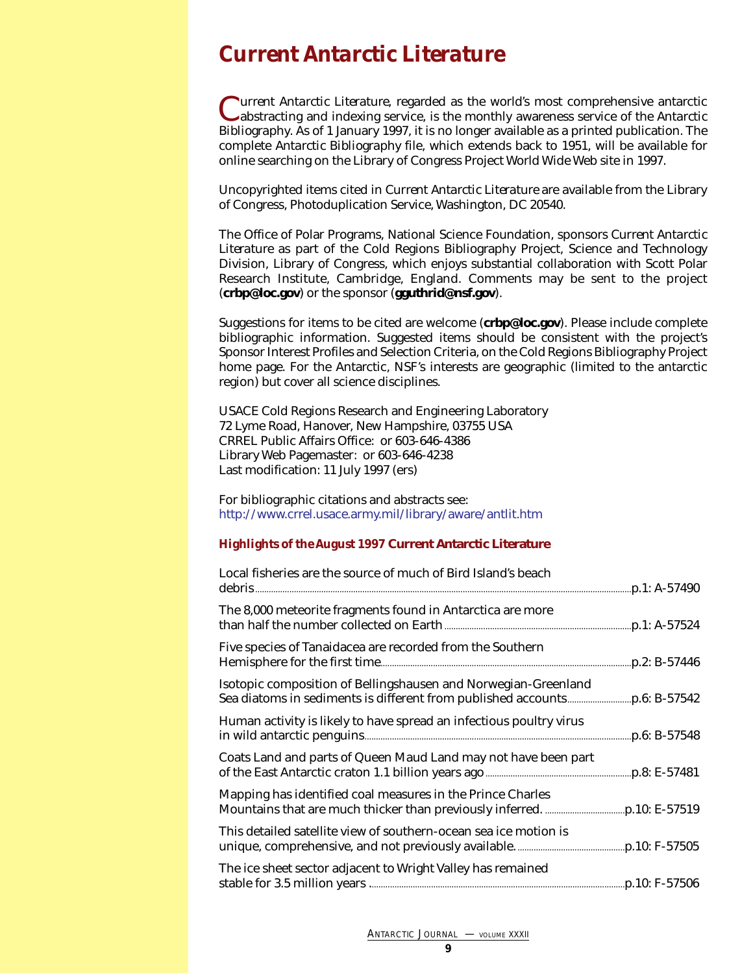# <span id="page-8-0"></span>*Current Antarctic Literature*

*Current Antarctic Literature*, regarded as the world's most comprehensive antarctic abstracting and indexing service, is the monthly awareness service of the *Antarctic Bibliography*. As of 1 January 1997, it is no longer available as a printed publication. The complete *Antarctic Bibliography* file, which extends back to 1951, will be available for online searching on the Library of Congress Project World Wide Web site in 1997.

Uncopyrighted items cited in *Current Antarctic Literature* are available from the Library of Congress, Photoduplication Service, Washington, DC 20540.

The Office of Polar Programs, National Science Foundation, sponsors *Current Antarctic Literature* as part of the Cold Regions Bibliography Project, Science and Technology Division, Library of Congress, which enjoys substantial collaboration with Scott Polar Research Institute, Cambridge, England. Comments may be sent to the project (**crbp@loc.gov**) or the sponsor (**gguthrid@nsf.gov**).

Suggestions for items to be cited are welcome (**crbp@loc.gov**). Please include complete bibliographic information. Suggested items should be consistent with the project's Sponsor Interest Profiles and Selection Criteria, on the Cold Regions Bibliography Project home page. For the Antarctic, NSF's interests are geographic (limited to the antarctic region) but cover all science disciplines.

USACE Cold Regions Research and Engineering Laboratory 72 Lyme Road, Hanover, New Hampshire, 03755 USA CRREL Public Affairs Office: or 603-646-4386 Library Web Pagemaster: or 603-646-4238 Last modification: 11 July 1997 (ers)

For bibliographic citations and abstracts see: <http://www.crrel.usace.army.mil/library/aware/antlit.htm>

### *Highlights of the August 1997* **Current Antarctic Literature**

| Local fisheries are the source of much of Bird Island's beach       |  |
|---------------------------------------------------------------------|--|
| The 8,000 meteorite fragments found in Antarctica are more          |  |
| Five species of Tanaidacea are recorded from the Southern           |  |
| Isotopic composition of Bellingshausen and Norwegian-Greenland      |  |
| Human activity is likely to have spread an infectious poultry virus |  |
| Coats Land and parts of Queen Maud Land may not have been part      |  |
| Mapping has identified coal measures in the Prince Charles          |  |
| This detailed satellite view of southern-ocean sea ice motion is    |  |
| The ice sheet sector adjacent to Wright Valley has remained         |  |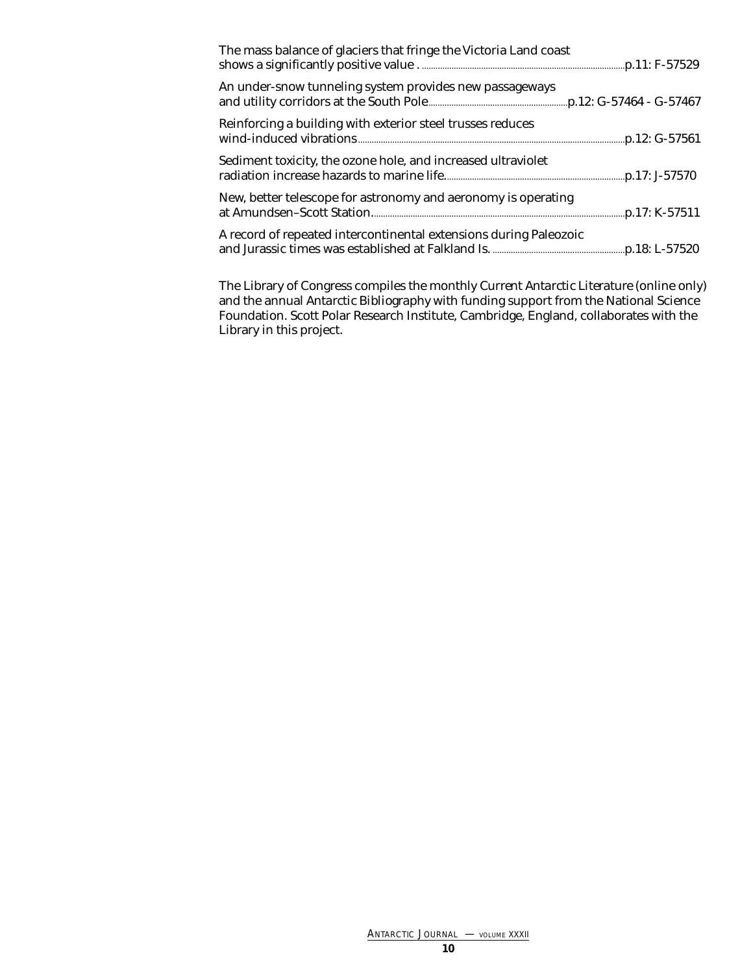| The mass balance of glaciers that fringe the Victoria Land coast  |  |
|-------------------------------------------------------------------|--|
| An under-snow tunneling system provides new passageways           |  |
| Reinforcing a building with exterior steel trusses reduces        |  |
| Sediment toxicity, the ozone hole, and increased ultraviolet      |  |
| New, better telescope for astronomy and aeronomy is operating     |  |
| A record of repeated intercontinental extensions during Paleozoic |  |

The Library of Congress compiles the monthly *Current Antarctic Literature* (online only) and the annual *Antarctic Bibliography* with funding support from the National Science Foundation. Scott Polar Research Institute, Cambridge, England, collaborates with the Library in this project.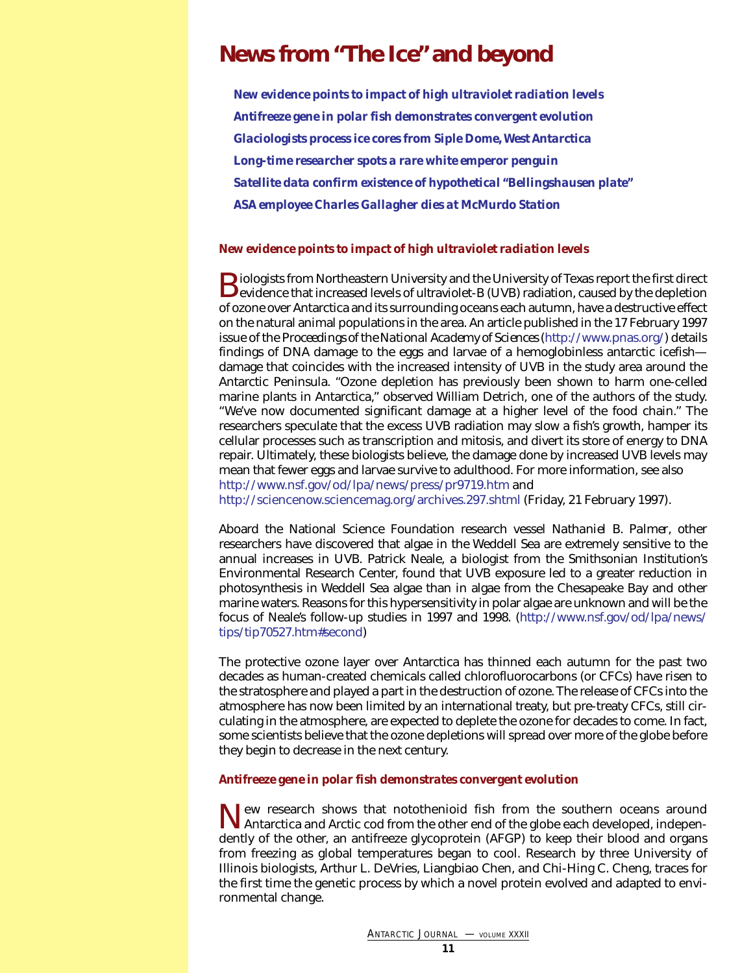# <span id="page-10-0"></span>**News from "The Ice" and beyond**

*[New evidence points to impact of high ultraviolet radiation levels](#page-10-1) [Antifreeze gene in polar fish demonstrates convergent evolution](#page-10-2) [Glaciologists process ice cores from Siple Dome, West Antarctica](#page-11-0) [Long-time researcher spots a rare white emperor penguin](#page-12-0) [Satellite data confirm existence of hypothetical "Bellingshausen plate"](#page-12-1) [ASA employee Charles Gallagher dies at McMurdo Station](#page-13-0)*

### <span id="page-10-1"></span>*New evidence points to impact of high ultraviolet radiation levels*

**B**iologists from Northeastern University and the University of Texas report the first direct evidence that increased levels of ultraviolet-B (UVB) radiation, caused by the depletion of ozone over Antarctica and its surrounding oceans each autumn, have a destructive effect on the natural animal populations in the area. An article published in the 17 February 1997 issue of the *Proceedings of the National Academy of Sciences*[\(http://www.pnas.org/\)](http://www.pnas.org/) details findings of DNA damage to the eggs and larvae of a hemoglobinless antarctic icefish damage that coincides with the increased intensity of UVB in the study area around the Antarctic Peninsula. "Ozone depletion has previously been shown to harm one-celled marine plants in Antarctica," observed William Detrich, one of the authors of the study. "We've now documented significant damage at a higher level of the food chain." The researchers speculate that the excess UVB radiation may slow a fish's growth, hamper its cellular processes such as transcription and mitosis, and divert its store of energy to DNA repair. Ultimately, these biologists believe, the damage done by increased UVB levels may mean that fewer eggs and larvae survive to adulthood. For more information, see also <http://www.nsf.gov/od/lpa/news/press/pr9719.htm> and <http://sciencenow.sciencemag.org/archives.297.shtml> (Friday, 21 February 1997).

<span id="page-10-2"></span>Aboard the National Science Foundation research vessel *Nathaniel B. Palmer*, other researchers have discovered that algae in the Weddell Sea are extremely sensitive to the annual increases in UVB. Patrick Neale, a biologist from the Smithsonian Institution's Environmental Research Center, found that UVB exposure led to a greater reduction in photosynthesis in Weddell Sea algae than in algae from the Chesapeake Bay and other marine waters. Reasons for this hypersensitivity in polar algae are unknown and will be the focus of Neale's follow-up studies in 1997 and 1998. [\(http://www.nsf.gov/od/lpa/news/](http://www.nsf.gov/od/lpa/news/tips/tip70527.htm#second)

The protective ozone layer over Antarctica has thinned each autumn for the past two decades as human-created chemicals called chlorofluorocarbons (or CFCs) have risen to the stratosphere and played a part in the destruction of ozone. The release of CFCs into the atmosphere has now been limited by an international treaty, but pre-treaty CFCs, still circulating in the atmosphere, are expected to deplete the ozone for decades to come. In fact, some scientists believe that the ozone depletions will spread over more of the globe before they begin to decrease in the next century.

#### *Antifreeze gene in polar fish demonstrates convergent evolution*

[tips/tip70527.htm#second\)](http://www.nsf.gov/od/lpa/news/tips/tip70527.htm#second)

New research shows that notothenioid fish from the southern oceans around Antarctica and Arctic cod from the other end of the globe each developed, independently of the other, an antifreeze glycoprotein (AFGP) to keep their blood and organs from freezing as global temperatures began to cool. Research by three University of Illinois biologists, Arthur L. DeVries, Liangbiao Chen, and Chi-Hing C. Cheng, traces for the first time the genetic process by which a novel protein evolved and adapted to environmental change.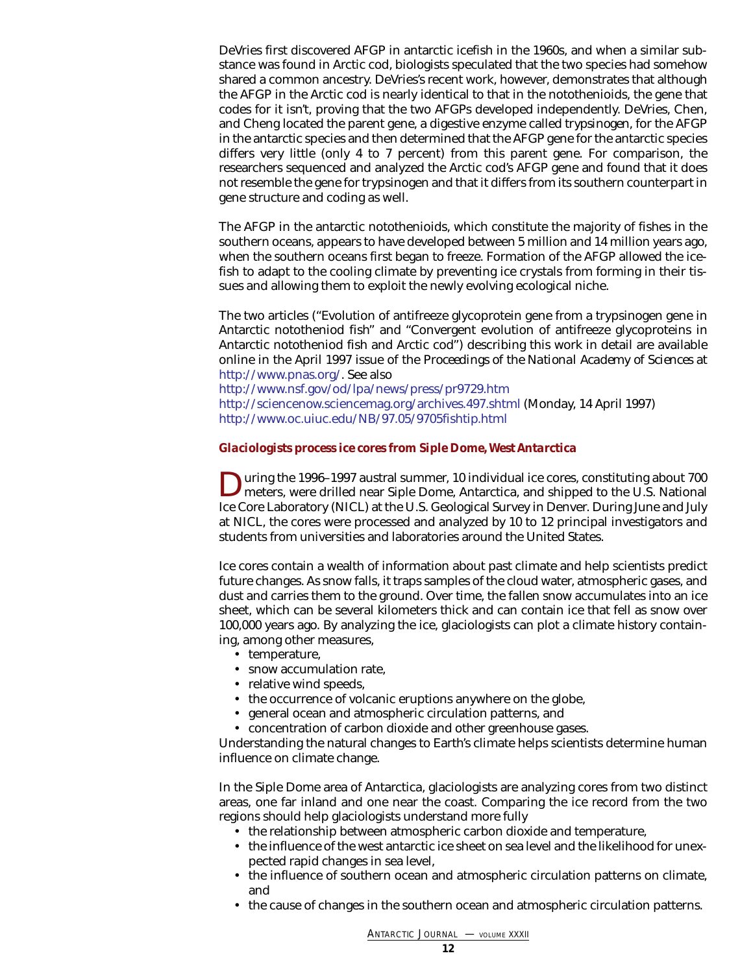DeVries first discovered AFGP in antarctic icefish in the 1960s, and when a similar substance was found in Arctic cod, biologists speculated that the two species had somehow shared a common ancestry. DeVries's recent work, however, demonstrates that although the AFGP in the Arctic cod is nearly identical to that in the notothenioids, the gene that codes for it isn't, proving that the two AFGPs developed independently. DeVries, Chen, and Cheng located the parent gene, a digestive enzyme called *trypsinogen*, for the AFGP in the antarctic species and then determined that the AFGP gene for the antarctic species differs very little (only 4 to 7 percent) from this parent gene. For comparison, the researchers sequenced and analyzed the Arctic cod's AFGP gene and found that it does not resemble the gene for trypsinogen and that it differs from its southern counterpart in gene structure and coding as well.

The AFGP in the antarctic notothenioids, which constitute the majority of fishes in the southern oceans, appears to have developed between 5 million and 14 million years ago, when the southern oceans first began to freeze. Formation of the AFGP allowed the icefish to adapt to the cooling climate by preventing ice crystals from forming in their tissues and allowing them to exploit the newly evolving ecological niche.

The two articles ("Evolution of antifreeze glycoprotein gene from a trypsinogen gene in Antarctic nototheniod fish" and "Convergent evolution of antifreeze glycoproteins in Antarctic nototheniod fish and Arctic cod") describing this work in detail are available online in the April 1997 issue of the *Proceedings of the National Academy of Sciences* at [http://www.pnas.org/.](http://www.pnas.org/) See also

<http://www.nsf.gov/od/lpa/news/press/pr9729.htm> <http://sciencenow.sciencemag.org/archives.497.shtml> (Monday, 14 April 1997) <http://www.oc.uiuc.edu/NB/97.05/9705fishtip.html>

### <span id="page-11-0"></span>*Glaciologists process ice cores from Siple Dome, West Antarctica*

During the 1996–1997 austral summer, 10 individual ice cores, constituting about 700 meters, were drilled near Siple Dome, Antarctica, and shipped to the U.S. National Ice Core Laboratory (NICL) at the U.S. Geological Survey in Denver. During June and July at NICL, the cores were processed and analyzed by 10 to 12 principal investigators and students from universities and laboratories around the United States.

Ice cores contain a wealth of information about past climate and help scientists predict future changes. As snow falls, it traps samples of the cloud water, atmospheric gases, and dust and carries them to the ground. Over time, the fallen snow accumulates into an ice sheet, which can be several kilometers thick and can contain ice that fell as snow over 100,000 years ago. By analyzing the ice, glaciologists can plot a climate history containing, among other measures,

- temperature,
- snow accumulation rate,
- relative wind speeds,
- the occurrence of volcanic eruptions anywhere on the globe,
- general ocean and atmospheric circulation patterns, and
- concentration of carbon dioxide and other greenhouse gases.

Understanding the natural changes to Earth's climate helps scientists determine human influence on climate change.

In the Siple Dome area of Antarctica, glaciologists are analyzing cores from two distinct areas, one far inland and one near the coast. Comparing the ice record from the two regions should help glaciologists understand more fully

- the relationship between atmospheric carbon dioxide and temperature,
- the influence of the west antarctic ice sheet on sea level and the likelihood for unexpected rapid changes in sea level,
- the influence of southern ocean and atmospheric circulation patterns on climate, and
- the cause of changes in the southern ocean and atmospheric circulation patterns.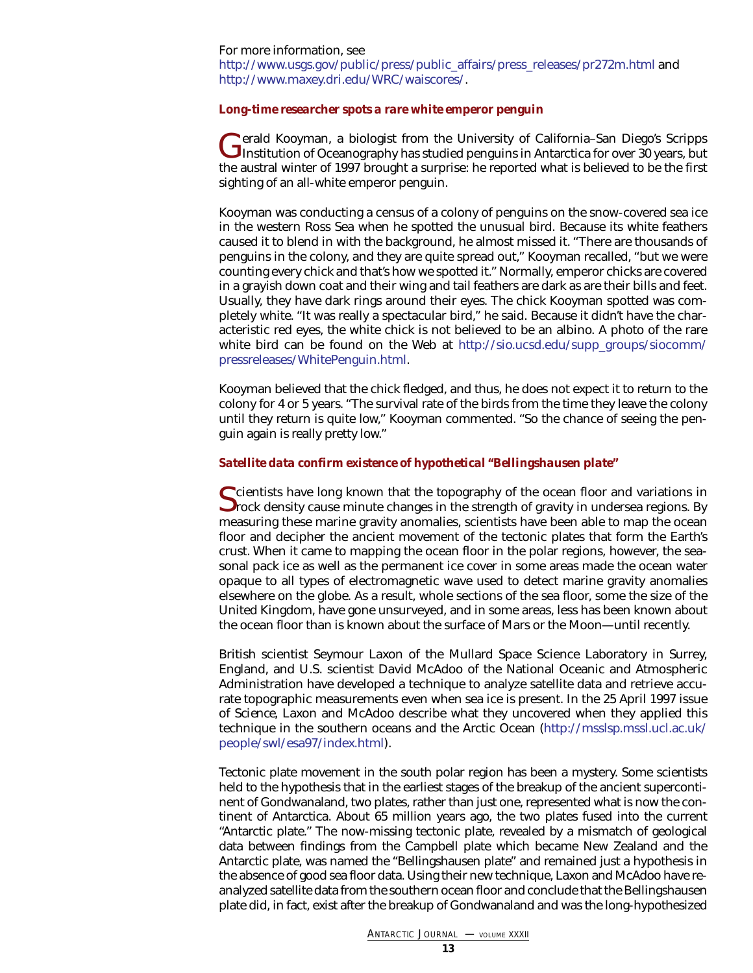### For more information, see [http://www.usgs.gov/public/press/public\\_affairs/press\\_releases/pr272m.html](http://www.usgs.gov/public/press/public_affairs/press_releases/pr272m.html) and <http://www.maxey.dri.edu/WRC/waiscores/>.

### <span id="page-12-0"></span>*Long-time researcher spots a rare white emperor penguin*

Gerald Kooyman, a biologist from the University of California–San Diego's Scripps<br>Institution of Oceanography has studied penguins in Antarctica for over 30 years, but the austral winter of 1997 brought a surprise: he reported what is believed to be the first sighting of an all-white emperor penguin.

Kooyman was conducting a census of a colony of penguins on the snow-covered sea ice in the western Ross Sea when he spotted the unusual bird. Because its white feathers caused it to blend in with the background, he almost missed it. "There are thousands of penguins in the colony, and they are quite spread out," Kooyman recalled, "but we were counting every chick and that's how we spotted it." Normally, emperor chicks are covered in a grayish down coat and their wing and tail feathers are dark as are their bills and feet. Usually, they have dark rings around their eyes. The chick Kooyman spotted was completely white. "It was really a spectacular bird," he said. Because it didn't have the characteristic red eyes, the white chick is not believed to be an albino. A photo of the rare white bird can be found on the Web at [http://sio.ucsd.edu/supp\\_groups/siocomm/](http://sio.ucsd.edu/supp_groups/siocomm/pressreleases/WhitePenguin.html) [pressreleases/WhitePenguin.html.](http://sio.ucsd.edu/supp_groups/siocomm/pressreleases/WhitePenguin.html)

Kooyman believed that the chick fledged, and thus, he does not expect it to return to the colony for 4 or 5 years. "The survival rate of the birds from the time they leave the colony until they return is quite low," Kooyman commented. "So the chance of seeing the penguin again is really pretty low."

### <span id="page-12-1"></span>*Satellite data confirm existence of hypothetical "Bellingshausen plate"*

Scientists have long known that the topography of the ocean floor and variations in<br>Srock density cause minute changes in the strength of gravity in undersea regions. By measuring these marine gravity anomalies, scientists have been able to map the ocean floor and decipher the ancient movement of the tectonic plates that form the Earth's crust. When it came to mapping the ocean floor in the polar regions, however, the seasonal pack ice as well as the permanent ice cover in some areas made the ocean water opaque to all types of electromagnetic wave used to detect marine gravity anomalies elsewhere on the globe. As a result, whole sections of the sea floor, some the size of the United Kingdom, have gone unsurveyed, and in some areas, less has been known about the ocean floor than is known about the surface of Mars or the Moon—until recently.

British scientist Seymour Laxon of the Mullard Space Science Laboratory in Surrey, England, and U.S. scientist David McAdoo of the National Oceanic and Atmospheric Administration have developed a technique to analyze satellite data and retrieve accurate topographic measurements even when sea ice is present. In the 25 April 1997 issue of *Science*, Laxon and McAdoo describe what they uncovered when they applied this technique in the southern oceans and the Arctic Ocean [\(http://msslsp.mssl.ucl.ac.uk/](http://msslsp.mssl.ucl.ac.uk/people/swl/esa97/index.html) [people/swl/esa97/index.html\)](http://msslsp.mssl.ucl.ac.uk/people/swl/esa97/index.html).

Tectonic plate movement in the south polar region has been a mystery. Some scientists held to the hypothesis that in the earliest stages of the breakup of the ancient supercontinent of Gondwanaland, two plates, rather than just one, represented what is now the continent of Antarctica. About 65 million years ago, the two plates fused into the current "Antarctic plate." The now-missing tectonic plate, revealed by a mismatch of geological data between findings from the Campbell plate which became New Zealand and the Antarctic plate, was named the "Bellingshausen plate" and remained just a hypothesis in the absence of good sea floor data. Using their new technique, Laxon and McAdoo have reanalyzed satellite data from the southern ocean floor and conclude that the Bellingshausen plate did, in fact, exist after the breakup of Gondwanaland and was the long-hypothesized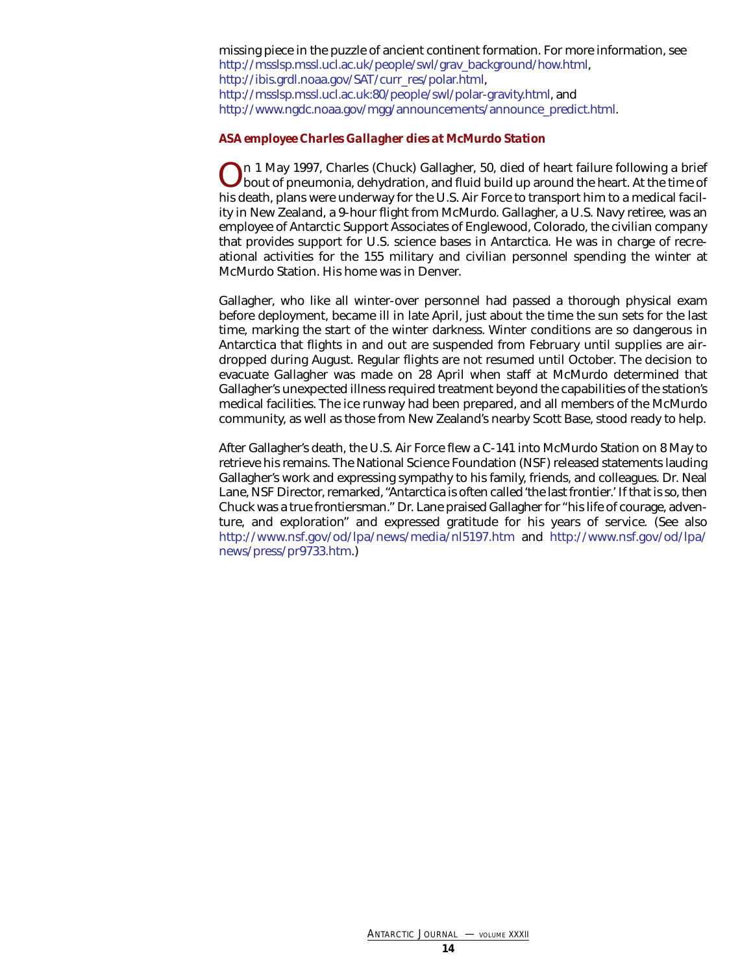missing piece in the puzzle of ancient continent formation. For more information, see [http://msslsp.mssl.ucl.ac.uk/people/swl/grav\\_background/how.html,](http://msslsp.mssl.ucl.ac.uk/people/swl/grav_background/how.html) [http://ibis.grdl.noaa.gov/SAT/curr\\_res/polar.html,](http://ibis.grdl.noaa.gov/SAT/curr_res/polar.html)  [http://msslsp.mssl.ucl.ac.uk:80/people/swl/polar-gravity.html,](http://msslsp.mssl.ucl.ac.uk:80/people/swl/polar-gravity.html) and [http://www.ngdc.noaa.gov/mgg/announcements/announce\\_predict.html.](http://www.ngdc.noaa.gov/mgg/announcements/announce_predict.html)

### <span id="page-13-0"></span>*ASA employee Charles Gallagher dies at McMurdo Station*

On 1 May 1997, Charles (Chuck) Gallagher, 50, died of heart failure following a brief bout of pneumonia, dehydration, and fluid build up around the heart. At the time of his death, plans were underway for the U.S. Air Force to transport him to a medical facility in New Zealand, a 9-hour flight from McMurdo. Gallagher, a U.S. Navy retiree, was an employee of Antarctic Support Associates of Englewood, Colorado, the civilian company that provides support for U.S. science bases in Antarctica. He was in charge of recreational activities for the 155 military and civilian personnel spending the winter at McMurdo Station. His home was in Denver.

Gallagher, who like all winter-over personnel had passed a thorough physical exam before deployment, became ill in late April, just about the time the sun sets for the last time, marking the start of the winter darkness. Winter conditions are so dangerous in Antarctica that flights in and out are suspended from February until supplies are airdropped during August. Regular flights are not resumed until October. The decision to evacuate Gallagher was made on 28 April when staff at McMurdo determined that Gallagher's unexpected illness required treatment beyond the capabilities of the station's medical facilities. The ice runway had been prepared, and all members of the McMurdo community, as well as those from New Zealand's nearby Scott Base, stood ready to help.

After Gallagher's death, the U.S. Air Force flew a C-141 into McMurdo Station on 8 May to retrieve his remains. The National Science Foundation (NSF) released statements lauding Gallagher's work and expressing sympathy to his family, friends, and colleagues. Dr. Neal Lane, NSF Director, remarked, "Antarctica is often called 'the last frontier.' If that is so, then Chuck was a true frontiersman." Dr. Lane praised Gallagher for "his life of courage, adventure, and exploration" and expressed gratitude for his years of service. (See also <http://www.nsf.gov/od/lpa/news/media/nl5197.htm> and [http://www.nsf.gov/od/lpa/](http://www.nsf.gov/od/lpa/news/press/pr9733.htm) [news/press/pr9733.htm.\)](http://www.nsf.gov/od/lpa/news/press/pr9733.htm)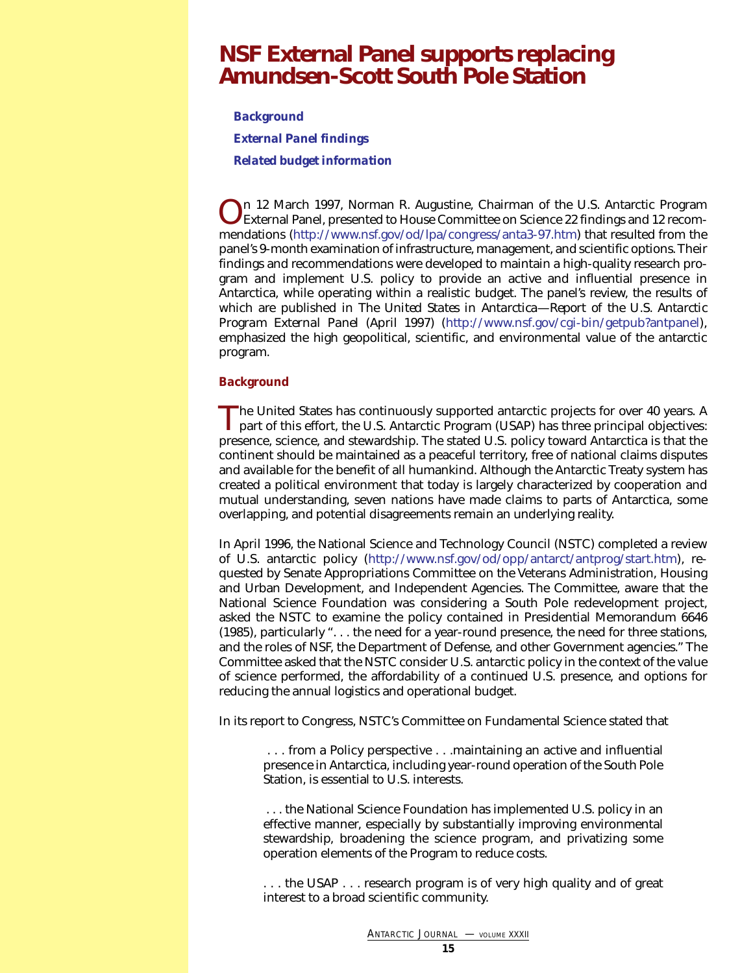### <span id="page-14-0"></span>**NSF External Panel supports replacing Amundsen-Scott South Pole Station**

*[Background](#page-14-1) [External Panel findings](#page-15-0) [Related budget information](#page-16-0)*

n 12 March 1997, Norman R. Augustine, Chairman of the U.S. Antarctic Program External Panel, presented to House Committee on Science 22 findings and 12 recommendations [\(http://www.nsf.gov/od/lpa/congress/anta3-97.htm\)](http://www.nsf.gov/od/lpa/congress/anta3-97.htm) that resulted from the panel's 9-month examination of infrastructure, management, and scientific options. Their findings and recommendations were developed to maintain a high-quality research program and implement U.S. policy to provide an active and influential presence in Antarctica, while operating within a realistic budget. The panel's review, the results of which are published in *The United States in Antarctica—Report of the U.S. Antarctic Program External Panel* (April 1997) [\(http://www.nsf.gov/cgi-bin/getpub?antpanel\),](http://www.nsf.gov/cgi-bin/getpub?antpanel) emphasized the high geopolitical, scientific, and environmental value of the antarctic program.

### <span id="page-14-1"></span>*Background*

The United States has continuously supported antarctic projects for over 40 years. A part of this effort, the U.S. Antarctic Program (USAP) has three principal objectives: presence, science, and stewardship. The stated U.S. policy toward Antarctica is that the continent should be maintained as a peaceful territory, free of national claims disputes and available for the benefit of all humankind. Although the Antarctic Treaty system has created a political environment that today is largely characterized by cooperation and mutual understanding, seven nations have made claims to parts of Antarctica, some overlapping, and potential disagreements remain an underlying reality.

In April 1996, the National Science and Technology Council (NSTC) completed a review of U.S. antarctic policy [\(http://www.nsf.gov/od/opp/antarct/antprog/start.htm\),](http://www.nsf.gov/od/opp/antarct/antprog/start.htm) requested by Senate Appropriations Committee on the Veterans Administration, Housing and Urban Development, and Independent Agencies. The Committee, aware that the National Science Foundation was considering a South Pole redevelopment project, asked the NSTC to examine the policy contained in Presidential Memorandum 6646 (1985), particularly ". . . the need for a year-round presence, the need for three stations, and the roles of NSF, the Department of Defense, and other Government agencies." The Committee asked that the NSTC consider U.S. antarctic policy in the context of the value of science performed, the affordability of a continued U.S. presence, and options for reducing the annual logistics and operational budget.

In its report to Congress, NSTC's Committee on Fundamental Science stated that

. . . from a Policy perspective . . .maintaining an active and influential presence in Antarctica, including year-round operation of the South Pole Station, is essential to U.S. interests.

. . . the National Science Foundation has implemented U.S. policy in an effective manner, especially by substantially improving environmental stewardship, broadening the science program, and privatizing some operation elements of the Program to reduce costs.

... the USAP ... research program is of very high quality and of great interest to a broad scientific community.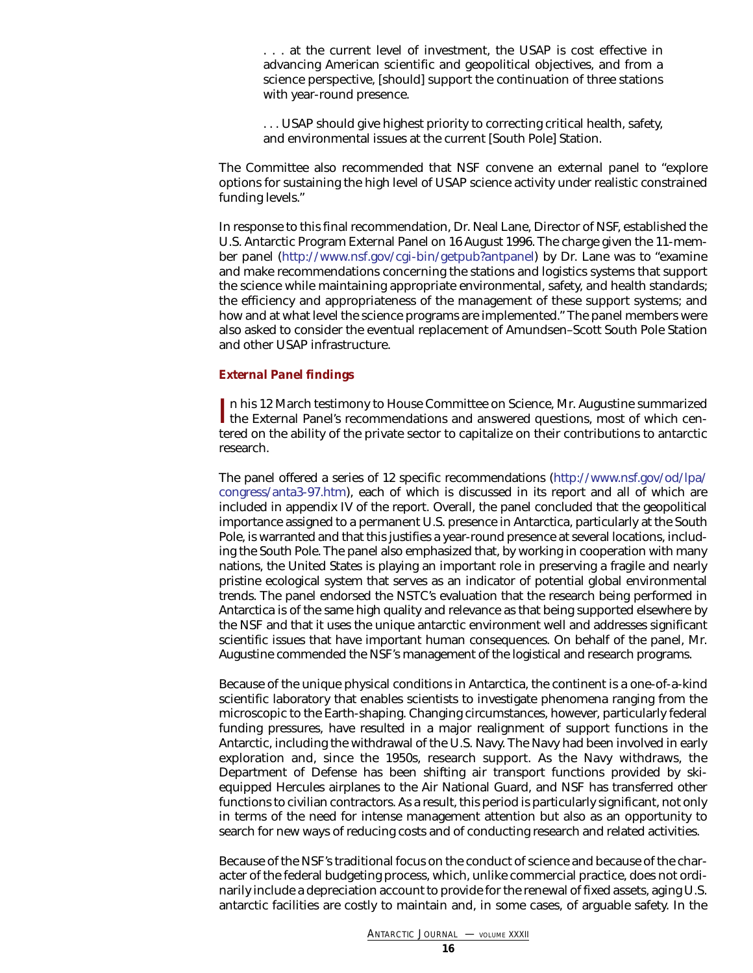. . . at the current level of investment, the USAP is cost effective in advancing American scientific and geopolitical objectives, and from a science perspective, [should] support the continuation of three stations with year-round presence.

... USAP should give highest priority to correcting critical health, safety, and environmental issues at the current [South Pole] Station.

The Committee also recommended that NSF convene an external panel to "explore options for sustaining the high level of USAP science activity under realistic constrained funding levels."

In response to this final recommendation, Dr. Neal Lane, Director of NSF, established the U.S. Antarctic Program External Panel on 16 August 1996. The charge given the 11-member panel [\(http://www.nsf.gov/cgi-bin/getpub?antpanel\)](http://www.nsf.gov/cgi-bin/getpub?antpanel) by Dr. Lane was to "examine and make recommendations concerning the stations and logistics systems that support the science while maintaining appropriate environmental, safety, and health standards; the efficiency and appropriateness of the management of these support systems; and how and at what level the science programs are implemented." The panel members were also asked to consider the eventual replacement of Amundsen–Scott South Pole Station and other USAP infrastructure.

### <span id="page-15-0"></span>*External Panel findings*

In his 12 March testimony to House Committee on Science, Mr. Augustine summarized<br>the External Panel's recommendations and answered questions, most of which cenn his 12 March testimony to House Committee on Science, Mr. Augustine summarized tered on the ability of the private sector to capitalize on their contributions to antarctic research.

The panel offered a series of 12 specific recommendations [\(http://www.nsf.gov/od/lpa/](http://www.nsf.gov/od/lpa/congress/anta3-97.htm) [congress/anta3-97.htm\),](http://www.nsf.gov/od/lpa/congress/anta3-97.htm) each of which is discussed in its report and all of which are included in appendix IV of the report. Overall, the panel concluded that the geopolitical importance assigned to a permanent U.S. presence in Antarctica, particularly at the South Pole, is warranted and that this justifies a year-round presence at several locations, including the South Pole. The panel also emphasized that, by working in cooperation with many nations, the United States is playing an important role in preserving a fragile and nearly pristine ecological system that serves as an indicator of potential global environmental trends. The panel endorsed the NSTC's evaluation that the research being performed in Antarctica is of the same high quality and relevance as that being supported elsewhere by the NSF and that it uses the unique antarctic environment well and addresses significant scientific issues that have important human consequences. On behalf of the panel, Mr. Augustine commended the NSF's management of the logistical and research programs.

Because of the unique physical conditions in Antarctica, the continent is a one-of-a-kind scientific laboratory that enables scientists to investigate phenomena ranging from the microscopic to the Earth-shaping. Changing circumstances, however, particularly federal funding pressures, have resulted in a major realignment of support functions in the Antarctic, including the withdrawal of the U.S. Navy. The Navy had been involved in early exploration and, since the 1950s, research support. As the Navy withdraws, the Department of Defense has been shifting air transport functions provided by skiequipped Hercules airplanes to the Air National Guard, and NSF has transferred other functions to civilian contractors. As a result, this period is particularly significant, not only in terms of the need for intense management attention but also as an opportunity to search for new ways of reducing costs and of conducting research and related activities.

Because of the NSF's traditional focus on the conduct of science and because of the character of the federal budgeting process, which, unlike commercial practice, does not ordinarily include a depreciation account to provide for the renewal of fixed assets, aging U.S. antarctic facilities are costly to maintain and, in some cases, of arguable safety. In the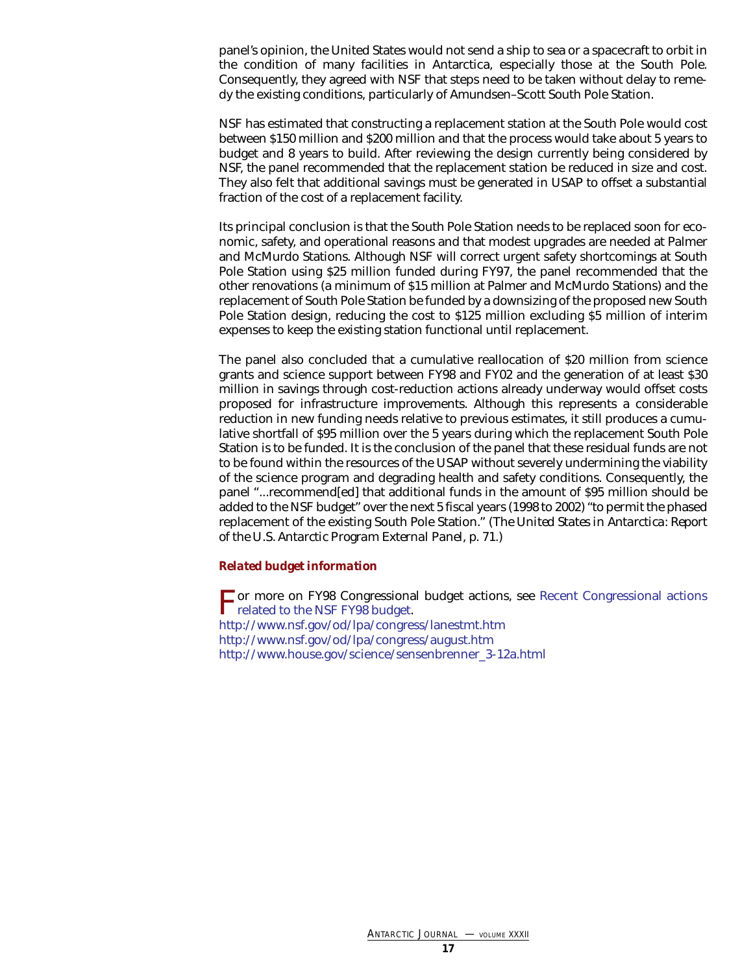panel's opinion, the United States would not send a ship to sea or a spacecraft to orbit in the condition of many facilities in Antarctica, especially those at the South Pole. Consequently, they agreed with NSF that steps need to be taken without delay to remedy the existing conditions, particularly of Amundsen–Scott South Pole Station.

NSF has estimated that constructing a replacement station at the South Pole would cost between \$150 million and \$200 million and that the process would take about 5 years to budget and 8 years to build. After reviewing the design currently being considered by NSF, the panel recommended that the replacement station be reduced in size and cost. They also felt that additional savings must be generated in USAP to offset a substantial fraction of the cost of a replacement facility.

Its principal conclusion is that the South Pole Station needs to be replaced soon for economic, safety, and operational reasons and that modest upgrades are needed at Palmer and McMurdo Stations. Although NSF will correct urgent safety shortcomings at South Pole Station using \$25 million funded during FY97, the panel recommended that the other renovations (a minimum of \$15 million at Palmer and McMurdo Stations) and the replacement of South Pole Station be funded by a downsizing of the proposed new South Pole Station design, reducing the cost to \$125 million excluding \$5 million of interim expenses to keep the existing station functional until replacement.

The panel also concluded that a cumulative reallocation of \$20 million from science grants and science support between FY98 and FY02 and the generation of at least \$30 million in savings through cost-reduction actions already underway would offset costs proposed for infrastructure improvements. Although this represents a considerable reduction in new funding needs relative to previous estimates, it still produces a cumulative shortfall of \$95 million over the 5 years during which the replacement South Pole Station is to be funded. It is the conclusion of the panel that these residual funds are not to be found within the resources of the USAP without severely undermining the viability of the science program and degrading health and safety conditions. Consequently, the panel "...recommend[ed] that additional funds in the amount of \$95 million should be added to the NSF budget" over the next 5 fiscal years (1998 to 2002) "to permit the phased replacement of the existing South Pole Station." (*The United States in Antarctica: Report of the U.S. Antarctic Program External Panel*, p. 71.)

### <span id="page-16-0"></span>*Related budget information*

[F](#page-17-0)or more on FY98 Congressional budget actions, see [Recent Congressional actions](#page-17-0)  $\Gamma$  related to the NSF FY98 budget. <http://www.nsf.gov/od/lpa/congress/lanestmt.htm> <http://www.nsf.gov/od/lpa/congress/august.htm> [http://www.house.gov/science/sensenbrenner\\_3-12a.html](http://www.house.gov/science/sensenbrenner_3-12a.html)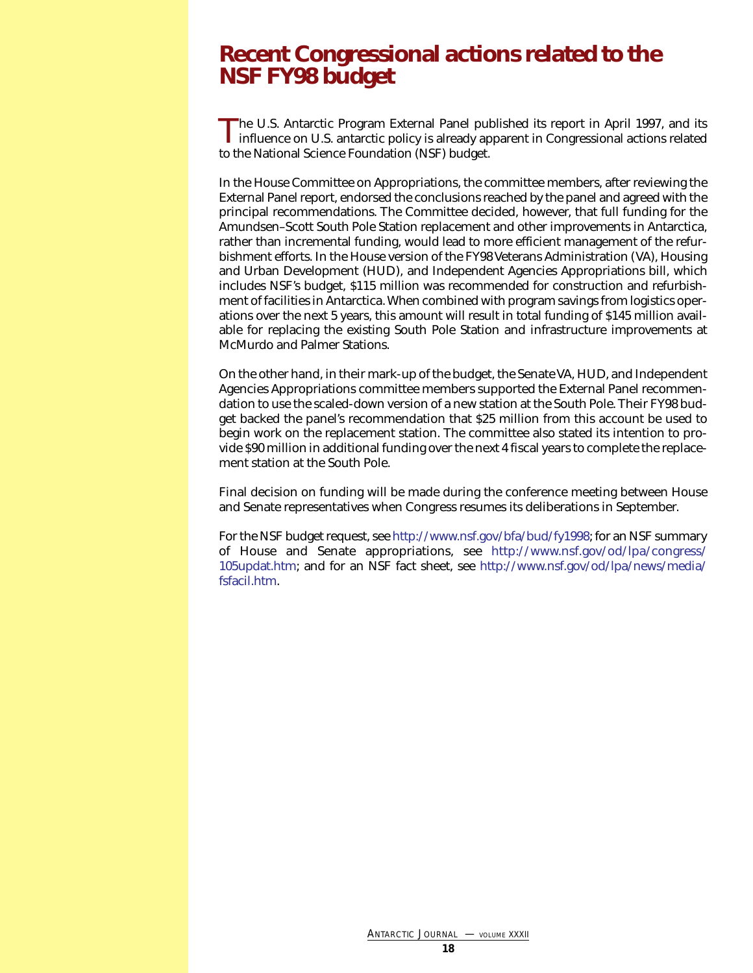# <span id="page-17-0"></span>**Recent Congressional actions related to the NSF FY98 budget**

The U.S. Antarctic Program External Panel published its report in April 1997, and its influence on U.S. antarctic policy is already apparent in Congressional actions related to the National Science Foundation (NSF) budget.

In the House Committee on Appropriations, the committee members, after reviewing the External Panel report, endorsed the conclusions reached by the panel and agreed with the principal recommendations. The Committee decided, however, that full funding for the Amundsen–Scott South Pole Station replacement and other improvements in Antarctica, rather than incremental funding, would lead to more efficient management of the refurbishment efforts. In the House version of the FY98 Veterans Administration (VA), Housing and Urban Development (HUD), and Independent Agencies Appropriations bill, which includes NSF's budget, \$115 million was recommended for construction and refurbishment of facilities in Antarctica. When combined with program savings from logistics operations over the next 5 years, this amount will result in total funding of \$145 million available for replacing the existing South Pole Station and infrastructure improvements at McMurdo and Palmer Stations.

On the other hand, in their mark-up of the budget, the Senate VA, HUD, and Independent Agencies Appropriations committee members supported the External Panel recommendation to use the scaled-down version of a new station at the South Pole. Their FY98 budget backed the panel's recommendation that \$25 million from this account be used to begin work on the replacement station. The committee also stated its intention to provide \$90 million in additional funding over the next 4 fiscal years to complete the replacement station at the South Pole.

Final decision on funding will be made during the conference meeting between House and Senate representatives when Congress resumes its deliberations in September.

For the NSF budget request, se[e http://www.nsf.gov/bfa/bud/fy1998; f](http://www.nsf.gov/bfa/bud/fy1998)or an NSF summary of House and Senate appropriations, see [http://www.nsf.gov/od/lpa/congress/](http://www.nsf.gov/od/lpa/congress/105updat.htm) [105updat.htm;](http://www.nsf.gov/od/lpa/congress/105updat.htm) and for an NSF fact sheet, see [http://www.nsf.gov/od/lpa/news/media/](http://www.nsf.gov/od/lpa/news/media/fsfacil.htm) [fsfacil.htm.](http://www.nsf.gov/od/lpa/news/media/fsfacil.htm)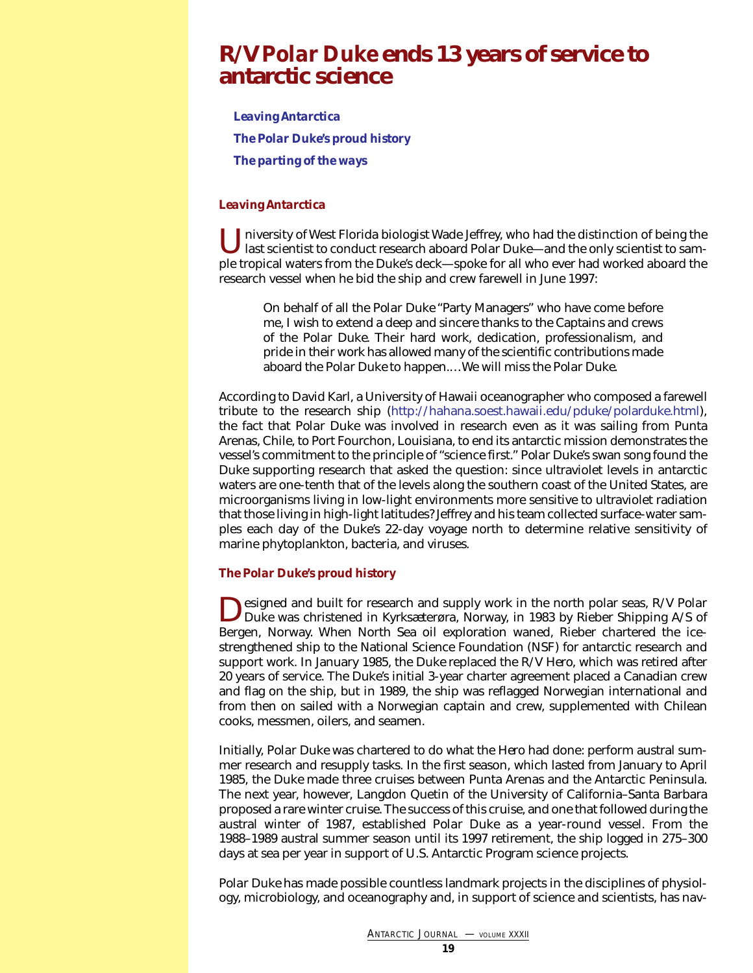### <span id="page-18-0"></span>**R/V** *Polar Duke* **ends 13 years of service to antarctic science**

*[Leaving Antarctica](#page-18-1) [The Polar Duke's proud history](#page-18-2) [The parting of the ways](#page-19-0)*

### <span id="page-18-1"></span>*Leaving Antarctica*

**Thiversity of West Florida biologist Wade Jeffrey, who had the distinction of being the** last scientist to conduct research aboard *Polar Duke*—and the only scientist to sample tropical waters from the *Duke*'s deck—spoke for all who ever had worked aboard the research vessel when he bid the ship and crew farewell in June 1997:

On behalf of all the *Polar Duke* "Party Managers" who have come before me, I wish to extend a deep and sincere thanks to the Captains and crews of the *Polar Duke*. Their hard work, dedication, professionalism, and pride in their work has allowed many of the scientific contributions made aboard the *Polar Duke* to happen.…We will miss the *Polar Duke*.

According to David Karl, a University of Hawaii oceanographer who composed a farewell tribute to the research ship [\(http://hahana.soest.hawaii.edu/pduke/polarduke.html\),](http://hahana.soest.hawaii.edu/pduke/polarduke.html) the fact that *Polar Duke* was involved in research even as it was sailing from Punta Arenas, Chile, to Port Fourchon, Louisiana, to end its antarctic mission demonstrates the vessel's commitment to the principle of "science first." *Polar Duke*'s swan song found the *Duke* supporting research that asked the question: since ultraviolet levels in antarctic waters are one-tenth that of the levels along the southern coast of the United States, are microorganisms living in low-light environments more sensitive to ultraviolet radiation that those living in high-light latitudes? Jeffrey and his team collected surface-water samples each day of the *Duke*'s 22-day voyage north to determine relative sensitivity of marine phytoplankton, bacteria, and viruses.

### <span id="page-18-2"></span>*The Polar Duke's proud history*

**Designed and built for research and supply work in the north polar seas, R/V** *Polar* $\sum_{n=0}^{\infty} P_{n}$ *Duke* was christened in Kyrksæterøra, Norway, in 1983 by Rieber Shipping A/S of Bergen, Norway. When North Sea oil exploration waned, Rieber chartered the icestrengthened ship to the National Science Foundation (NSF) for antarctic research and support work. In January 1985, the *Duke* replaced the R/V *Hero*, which was retired after 20 years of service. The *Duke*'s initial 3-year charter agreement placed a Canadian crew and flag on the ship, but in 1989, the ship was reflagged Norwegian international and from then on sailed with a Norwegian captain and crew, supplemented with Chilean cooks, messmen, oilers, and seamen.

Initially, *Polar Duke* was chartered to do what the *Hero* had done: perform austral summer research and resupply tasks. In the first season, which lasted from January to April 1985, the *Duke* made three cruises between Punta Arenas and the Antarctic Peninsula. The next year, however, Langdon Quetin of the University of California–Santa Barbara proposed a rare winter cruise. The success of this cruise, and one that followed during the austral winter of 1987, established *Polar Duke* as a year-round vessel. From the 1988–1989 austral summer season until its 1997 retirement, the ship logged in 275–300 days at sea per year in support of U.S. Antarctic Program science projects.

*Polar Duke* has made possible countless landmark projects in the disciplines of physiology, microbiology, and oceanography and, in support of science and scientists, has nav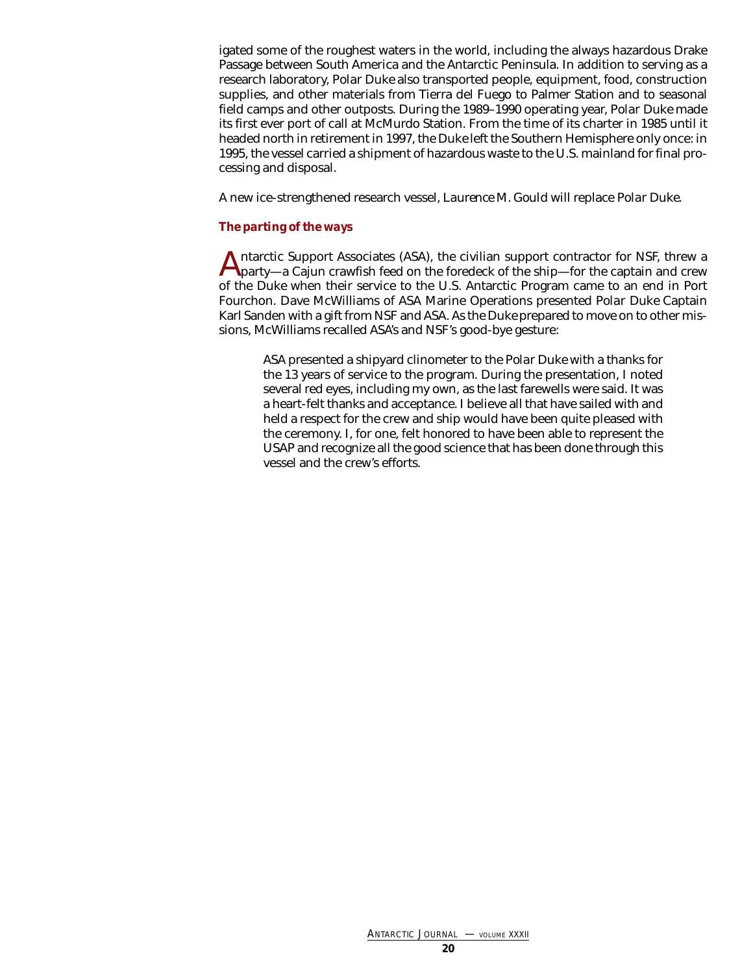igated some of the roughest waters in the world, including the always hazardous Drake Passage between South America and the Antarctic Peninsula. In addition to serving as a research laboratory, *Polar Duke* also transported people, equipment, food, construction supplies, and other materials from Tierra del Fuego to Palmer Station and to seasonal field camps and other outposts. During the 1989–1990 operating year, *Polar Duke* made its first ever port of call at McMurdo Station. From the time of its charter in 1985 until it headed north in retirement in 1997, the *Duke* left the Southern Hemisphere only once: in 1995, the vessel carried a shipment of hazardous waste to the U.S. mainland for final processing and disposal.

<span id="page-19-0"></span>A new ice-strengthened research vessel, *Laurence M. Gould* will replace *Polar Duke.*

### *The parting of the ways*

Antarctic Support Associates (ASA), the civilian support contractor for NSF, threw a party—a Cajun crawfish feed on the foredeck of the ship—for the captain and crew of the *Duke* when their service to the U.S. Antarctic Program came to an end in Port Fourchon. Dave McWilliams of ASA Marine Operations presented *Polar Duke* Captain Karl Sanden with a gift from NSF and ASA. As the *Duke* prepared to move on to other missions, McWilliams recalled ASA's and NSF's good-bye gesture:

ASA presented a shipyard clinometer to the *Polar Duke* with a thanks for the 13 years of service to the program. During the presentation, I noted several red eyes, including my own, as the last farewells were said. It was a heart-felt thanks and acceptance. I believe all that have sailed with and held a respect for the crew and ship would have been quite pleased with the ceremony. I, for one, felt honored to have been able to represent the USAP and recognize all the good science that has been done through this vessel and the crew's efforts.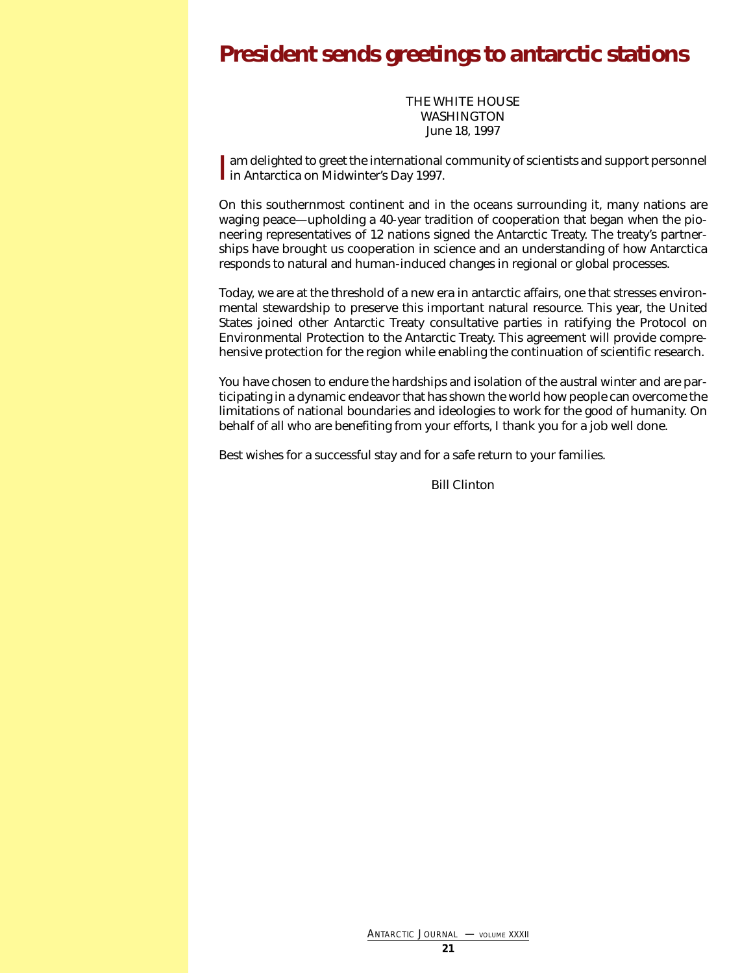# <span id="page-20-0"></span>**President sends greetings to antarctic stations**

THE WHITE HOUSE WASHINGTON June 18, 1997

Iam delighted to greet the international<br>In Antarctica on Midwinter's Day 1997. **The independent of the international community of scientists and support personnel** 

On this southernmost continent and in the oceans surrounding it, many nations are waging peace—upholding a 40-year tradition of cooperation that began when the pioneering representatives of 12 nations signed the Antarctic Treaty. The treaty's partnerships have brought us cooperation in science and an understanding of how Antarctica responds to natural and human-induced changes in regional or global processes.

Today, we are at the threshold of a new era in antarctic affairs, one that stresses environmental stewardship to preserve this important natural resource. This year, the United States joined other Antarctic Treaty consultative parties in ratifying the Protocol on Environmental Protection to the Antarctic Treaty. This agreement will provide comprehensive protection for the region while enabling the continuation of scientific research.

You have chosen to endure the hardships and isolation of the austral winter and are participating in a dynamic endeavor that has shown the world how people can overcome the limitations of national boundaries and ideologies to work for the good of humanity. On behalf of all who are benefiting from your efforts, I thank you for a job well done.

Best wishes for a successful stay and for a safe return to your families.

Bill Clinton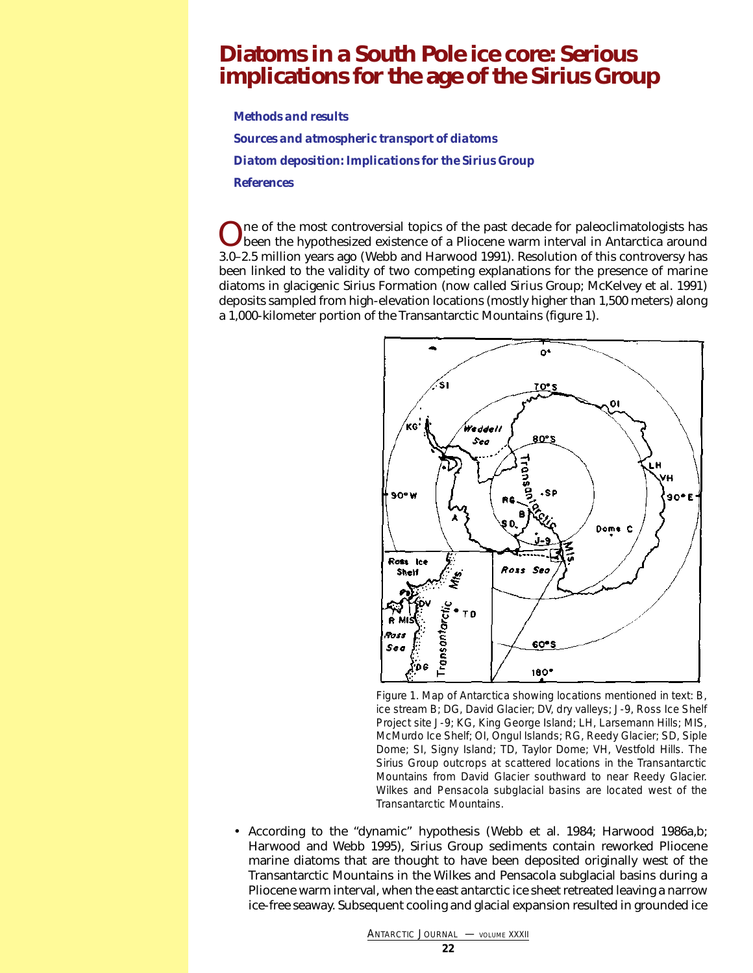## <span id="page-21-0"></span>**Diatoms in a South Pole ice core: Serious implications for the age of the Sirius Group**

*[Methods and results](#page-22-0)*

*[Sources and atmospheric transport of diatoms](#page-25-0)  [Diatom deposition: Implications for the Sirius Group](#page-25-1) [References](#page-26-0)*

One of the most controversial topics of the past decade for paleoclimatologists has<br>been the hypothesized existence of a Pliocene warm interval in Antarctica around<br> $\frac{1}{2}$ 3.0–2.5 million years ago (Webb and Harwood 1991). Resolution of this controversy has been linked to the validity of two competing explanations for the presence of marine diatoms in glacigenic Sirius Formation (now called *Sirius Group*; McKelvey et al. 1991) deposits sampled from high-elevation locations (mostly higher than 1,500 meters) along a 1,000-kilometer portion of the Transantarctic Mountains (figure 1).



Figure 1. Map of Antarctica showing locations mentioned in text: B, ice stream B; DG, David Glacier; DV, dry valleys; J-9, Ross Ice Shelf Project site J-9; KG, King George Island; LH, Larsemann Hills; MIS, McMurdo Ice Shelf; OI, Ongul Islands; RG, Reedy Glacier; SD, Siple Dome; SI, Signy Island; TD, Taylor Dome; VH, Vestfold Hills. The Sirius Group outcrops at scattered locations in the Transantarctic Mountains from David Glacier southward to near Reedy Glacier. Wilkes and Pensacola subglacial basins are located west of the Transantarctic Mountains.

• According to the "dynamic" hypothesis (Webb et al. 1984; Harwood 1986a,b; Harwood and Webb 1995), Sirius Group sediments contain reworked Pliocene marine diatoms that are thought to have been deposited originally west of the Transantarctic Mountains in the Wilkes and Pensacola subglacial basins during a Pliocene warm interval, when the east antarctic ice sheet retreated leaving a narrow ice-free seaway. Subsequent cooling and glacial expansion resulted in grounded ice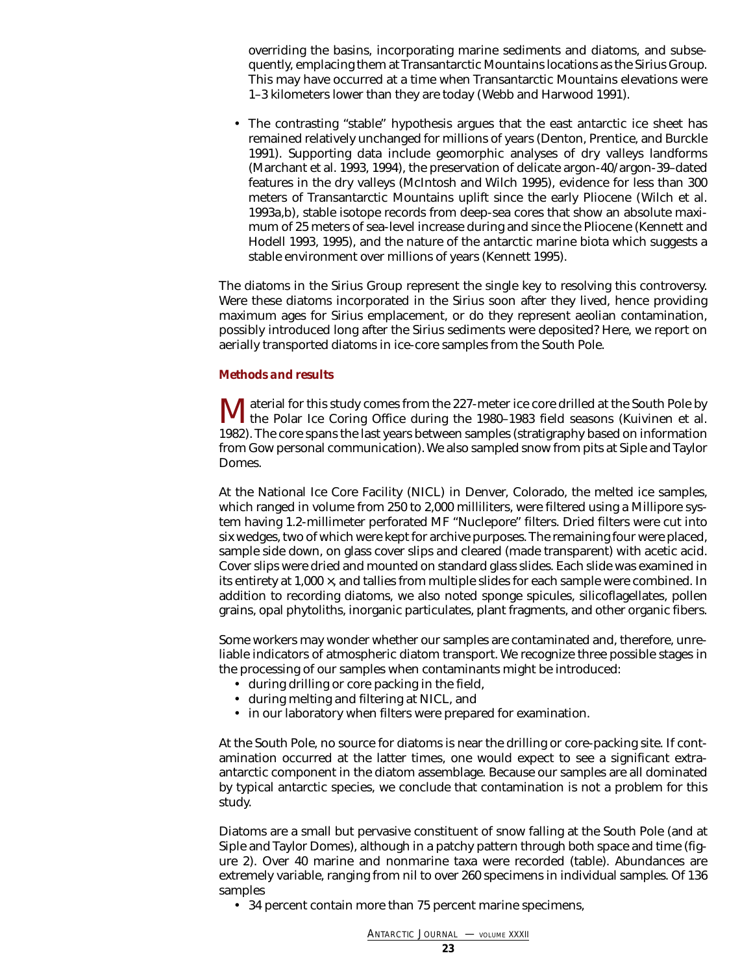overriding the basins, incorporating marine sediments and diatoms, and subsequently, emplacing them at Transantarctic Mountains locations as the Sirius Group. This may have occurred at a time when Transantarctic Mountains elevations were 1–3 kilometers lower than they are today (Webb and Harwood 1991).

• The contrasting "stable" hypothesis argues that the east antarctic ice sheet has remained relatively unchanged for millions of years (Denton, Prentice, and Burckle 1991). Supporting data include geomorphic analyses of dry valleys landforms (Marchant et al. 1993, 1994), the preservation of delicate argon-40/argon-39–dated features in the dry valleys (McIntosh and Wilch 1995), evidence for less than 300 meters of Transantarctic Mountains uplift since the early Pliocene (Wilch et al. 1993a,b), stable isotope records from deep-sea cores that show an absolute maximum of 25 meters of sea-level increase during and since the Pliocene (Kennett and Hodell 1993, 1995), and the nature of the antarctic marine biota which suggests a stable environment over millions of years (Kennett 1995).

The diatoms in the Sirius Group represent the single key to resolving this controversy. Were these diatoms incorporated in the Sirius soon after they lived, hence providing maximum ages for Sirius emplacement, or do they represent aeolian contamination, possibly introduced long after the Sirius sediments were deposited? Here, we report on aerially transported diatoms in ice-core samples from the South Pole.

### <span id="page-22-0"></span>*Methods and results*

Material for this study comes from the 227-meter ice core drilled at the South Pole by<br>the Polar Ice Coring Office during the 1980–1983 field seasons (Kuivinen et al. 1982). The core spans the last years between samples (stratigraphy based on information from Gow personal communication). We also sampled snow from pits at Siple and Taylor Domes.

At the National Ice Core Facility (NICL) in Denver, Colorado, the melted ice samples, which ranged in volume from 250 to 2,000 milliliters, were filtered using a Millipore system having 1.2-millimeter perforated MF "Nuclepore" filters. Dried filters were cut into six wedges, two of which were kept for archive purposes. The remaining four were placed, sample side down, on glass cover slips and cleared (made transparent) with acetic acid. Cover slips were dried and mounted on standard glass slides. Each slide was examined in its entirety at  $1,000 \times$ , and tallies from multiple slides for each sample were combined. In addition to recording diatoms, we also noted sponge spicules, silicoflagellates, pollen grains, opal phytoliths, inorganic particulates, plant fragments, and other organic fibers.

Some workers may wonder whether our samples are contaminated and, therefore, unreliable indicators of atmospheric diatom transport. We recognize three possible stages in the processing of our samples when contaminants might be introduced:

- during drilling or core packing in the field,
- during melting and filtering at NICL, and
- in our laboratory when filters were prepared for examination.

At the South Pole, no source for diatoms is near the drilling or core-packing site. If contamination occurred at the latter times, one would expect to see a significant extraantarctic component in the diatom assemblage. Because our samples are all dominated by typical antarctic species, we conclude that contamination is not a problem for this study.

Diatoms are a small but pervasive constituent of snow falling at the South Pole (and at Siple and Taylor Domes), although in a patchy pattern through both space and time (figure 2). Over 40 marine and nonmarine taxa were recorded (table). Abundances are extremely variable, ranging from nil to over 260 specimens in individual samples. Of 136 samples

• 34 percent contain more than 75 percent marine specimens,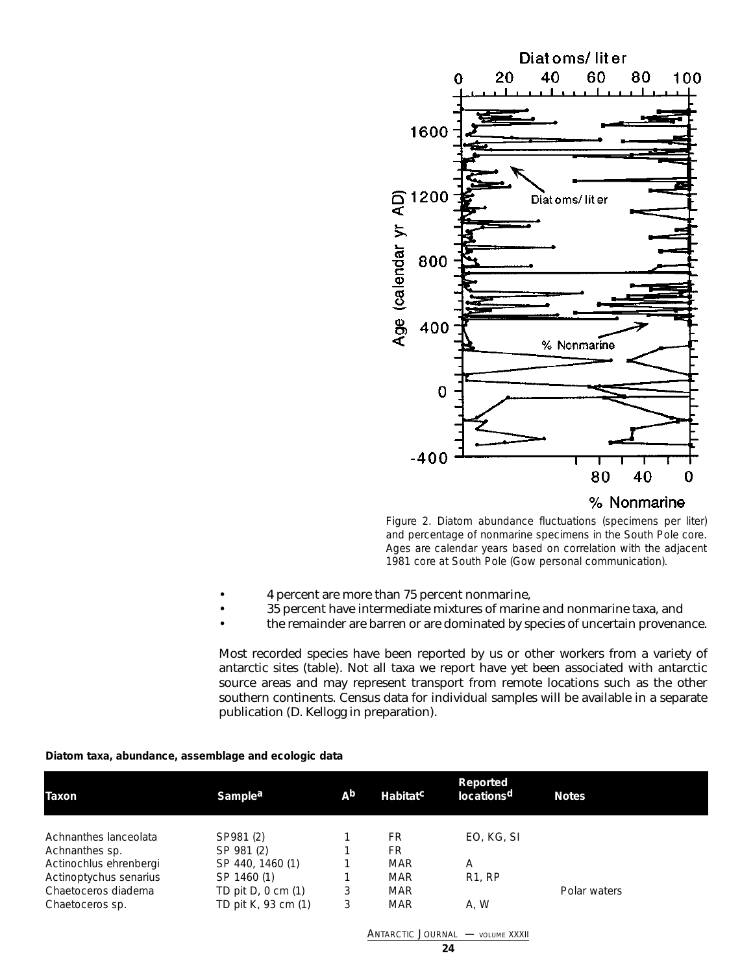

% Nonmarine

Figure 2. Diatom abundance fluctuations (specimens per liter) and percentage of nonmarine specimens in the South Pole core. Ages are calendar years based on correlation with the adjacent 1981 core at South Pole (Gow personal communication).

- 4 percent are more than 75 percent nonmarine,
- 35 percent have intermediate mixtures of marine and nonmarine taxa, and
- the remainder are barren or are dominated by species of uncertain provenance.

Most recorded species have been reported by us or other workers from a variety of antarctic sites (table). Not all taxa we report have yet been associated with antarctic source areas and may represent transport from remote locations such as the other southern continents. Census data for individual samples will be available in a separate publication (D. Kellogg in preparation).

| Taxon                  | Sample <sup>a</sup>                     | A <sub>b</sub> | Habitat <sup>c</sup> | Reported<br>locations <sup>d</sup> | <b>Notes</b> |  |  |  |  |  |  |  |
|------------------------|-----------------------------------------|----------------|----------------------|------------------------------------|--------------|--|--|--|--|--|--|--|
| Achnanthes lanceolata  | SP981 (2)                               |                | FR.                  | EO, KG, SI                         |              |  |  |  |  |  |  |  |
| Achnanthes sp.         | SP 981 (2)                              |                | FR.                  |                                    |              |  |  |  |  |  |  |  |
| Actinochlus ehrenbergi | SP 440, 1460 (1)                        |                | <b>MAR</b>           | A                                  |              |  |  |  |  |  |  |  |
| Actinoptychus senarius | SP 1460 (1)                             |                | <b>MAR</b>           | R1, RP                             |              |  |  |  |  |  |  |  |
| Chaetoceros diadema    | TD pit $D, 0$ cm $(1)$                  | 3              | <b>MAR</b>           |                                    | Polar waters |  |  |  |  |  |  |  |
| Chaetoceros sp.        | TD pit K, 93 cm (1)                     | 3              | <b>MAR</b>           | A.W                                |              |  |  |  |  |  |  |  |
|                        | <b>ANTARCTIC JOURNAL - VOLUME XXXII</b> |                |                      |                                    |              |  |  |  |  |  |  |  |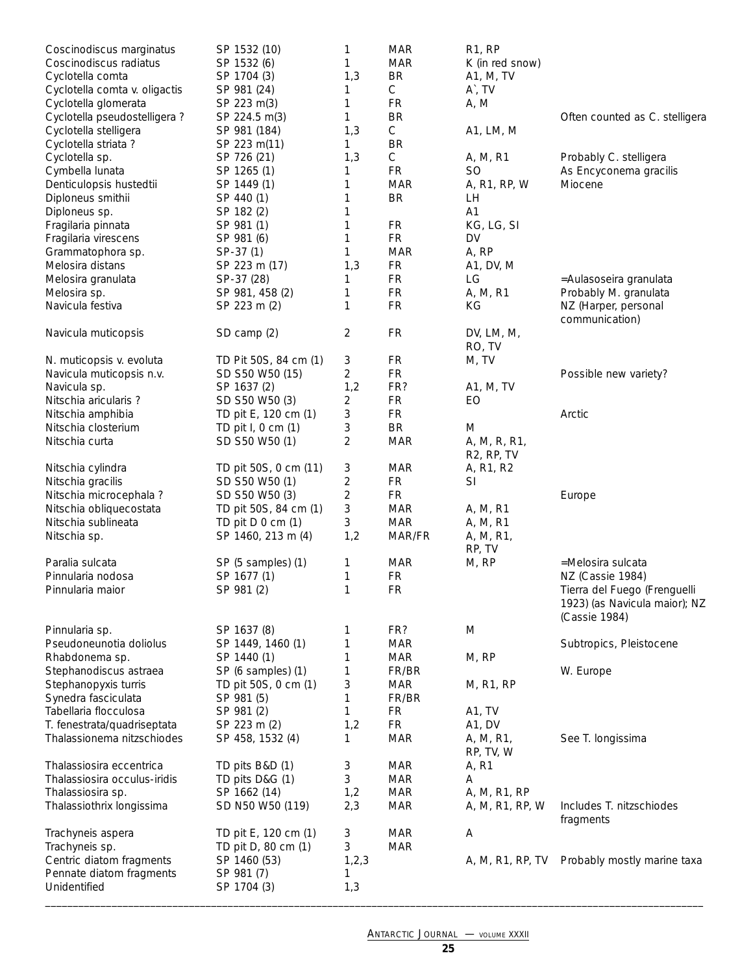| Coscinodiscus marginatus      | SP 1532 (10)          | 1       | MAR         | <b>R1, RP</b>           |                                |
|-------------------------------|-----------------------|---------|-------------|-------------------------|--------------------------------|
| Coscinodiscus radiatus        | SP 1532 (6)           | 1       | <b>MAR</b>  | K (in red snow)         |                                |
| Cyclotella comta              | SP 1704 (3)           | 1,3     | <b>BR</b>   | A1, M, TV               |                                |
| Cyclotella comta v. oligactis | SP 981 (24)           | 1       | С           | A`, TV                  |                                |
| Cyclotella glomerata          | SP 223 m(3)           | 1       | <b>FR</b>   | A, M                    |                                |
| Cyclotella pseudostelligera ? | SP 224.5 m(3)         | 1       | <b>BR</b>   |                         | Often counted as C. stelligera |
| Cyclotella stelligera         | SP 981 (184)          | 1,3     | $\mathsf C$ | A1, LM, M               |                                |
| Cyclotella striata ?          | SP 223 m(11)          | 1       | <b>BR</b>   |                         |                                |
| Cyclotella sp.                | SP 726 (21)           | 1,3     | C           | A, M, R1                | Probably C. stelligera         |
| Cymbella lunata               | SP 1265 (1)           | 1       | <b>FR</b>   | <b>SO</b>               | As Encyconema gracilis         |
| Denticulopsis hustedtii       | SP 1449 (1)           | 1       | <b>MAR</b>  | A, R1, RP, W            | Miocene                        |
| Diploneus smithii             | SP 440 (1)            | 1       | <b>BR</b>   | LH.                     |                                |
| Diploneus sp.                 | SP 182 (2)            | 1       |             | A1                      |                                |
| Fragilaria pinnata            | SP 981 (1)            | 1       | <b>FR</b>   | KG, LG, SI              |                                |
| Fragilaria virescens          | SP 981 (6)            | 1       | <b>FR</b>   | DV                      |                                |
| Grammatophora sp.             | SP-37 (1)             | 1       | <b>MAR</b>  | A, RP                   |                                |
| Melosira distans              | SP 223 m (17)         | 1,3     | FR          | A1, DV, M               |                                |
| Melosira granulata            | SP-37 (28)            | 1       | FR          | LG                      | =Aulasoseira granulata         |
| Melosira sp.                  | SP 981, 458 (2)       | 1       | <b>FR</b>   | A, M, R1                | Probably M. granulata          |
| Navicula festiva              | SP 223 m (2)          | 1       | FR          | ΚG                      | NZ (Harper, personal           |
|                               |                       |         |             |                         | communication)                 |
| Navicula muticopsis           | SD camp (2)           | 2       | <b>FR</b>   | DV, LM, M,              |                                |
|                               |                       |         |             | RO, TV                  |                                |
| N. muticopsis v. evoluta      | TD Pit 50S, 84 cm (1) | 3       | FR          | M, TV                   |                                |
| Navicula muticopsis n.v.      | SD S50 W50 (15)       | 2       | FR          |                         | Possible new variety?          |
| Navicula sp.                  | SP 1637 (2)           | 1,2     | FR?         | A1, M, TV               |                                |
| Nitschia aricularis?          | SD S50 W50 (3)        | 2       | FR          | EO                      |                                |
|                               |                       |         | FR          |                         |                                |
| Nitschia amphibia             | TD pit E, 120 cm (1)  | 3<br>3  | <b>BR</b>   |                         | Arctic                         |
| Nitschia closterium           | TD pit I, 0 cm (1)    |         |             | M                       |                                |
| Nitschia curta                | SD S50 W50 (1)        | 2       | <b>MAR</b>  | A, M, R, R1,            |                                |
|                               |                       |         |             | R <sub>2</sub> , RP, TV |                                |
| Nitschia cylindra             | TD pit 50S, 0 cm (11) | 3       | <b>MAR</b>  | A, R1, R2               |                                |
| Nitschia gracilis             | SD S50 W50 (1)        | 2       | <b>FR</b>   | SI                      |                                |
| Nitschia microcephala ?       | SD S50 W50 (3)        | 2       | FR.         |                         | Europe                         |
| Nitschia obliquecostata       | TD pit 50S, 84 cm (1) | 3       | <b>MAR</b>  | A, M, R1                |                                |
| Nitschia sublineata           | TD pit D 0 cm (1)     | 3       | <b>MAR</b>  | A, M, R1                |                                |
| Nitschia sp.                  | SP 1460, 213 m (4)    | 1,2     | MAR/FR      | A, M, R1,               |                                |
|                               |                       |         |             | RP, TV                  |                                |
| Paralia sulcata               | SP (5 samples) (1)    | 1       | <b>MAR</b>  | M, RP                   | =Melosira sulcata              |
| Pinnularia nodosa             | SP 1677 (1)           | 1       | FR          |                         | NZ (Cassie 1984)               |
| Pinnularia maior              | SP 981 (2)            | 1       | FR          |                         | Tierra del Fuego (Frenguelli   |
|                               |                       |         |             |                         | 1923) (as Navicula maior); NZ  |
|                               |                       |         |             |                         | (Cassie 1984)                  |
| Pinnularia sp.                | SP 1637 (8)           | 1       | FR?         | M                       |                                |
| Pseudoneunotia doliolus       | SP 1449, 1460 (1)     | 1       | <b>MAR</b>  |                         | Subtropics, Pleistocene        |
| Rhabdonema sp.                | SP 1440 (1)           | 1       | MAR         | M, RP                   |                                |
| Stephanodiscus astraea        | SP (6 samples) (1)    | 1       | FR/BR       |                         | W. Europe                      |
| Stephanopyxis turris          | TD pit 50S, 0 cm (1)  | 3       | <b>MAR</b>  | M, R1, RP               |                                |
| Synedra fasciculata           | SP 981 (5)            | 1       | FR/BR       |                         |                                |
| Tabellaria flocculosa         | SP 981 (2)            | 1       | FR          | A1, TV                  |                                |
| T. fenestrata/quadriseptata   | SP 223 m (2)          | 1,2     | FR          | A1, DV                  |                                |
| Thalassionema nitzschiodes    | SP 458, 1532 (4)      | 1       | <b>MAR</b>  | A, M, R1,               | See T. longissima              |
|                               |                       |         |             | RP, TV, W               |                                |
| Thalassiosira eccentrica      | TD pits B&D (1)       | 3       | <b>MAR</b>  | A, R1                   |                                |
| Thalassiosira occulus-iridis  | TD pits D&G (1)       | 3       | <b>MAR</b>  | Α                       |                                |
| Thalassiosira sp.             | SP 1662 (14)          | 1,2     | <b>MAR</b>  | A, M, R1, RP            |                                |
| Thalassiothrix longissima     | SD N50 W50 (119)      | 2,3     | <b>MAR</b>  | A, M, R1, RP, W         | Includes T. nitzschiodes       |
|                               |                       |         |             |                         | fragments                      |
| Trachyneis aspera             | TD pit E, 120 cm (1)  | 3       | <b>MAR</b>  | A                       |                                |
| Trachyneis sp.                | TD pit D, 80 cm (1)   | 3       | <b>MAR</b>  |                         |                                |
| Centric diatom fragments      | SP 1460 (53)          | 1, 2, 3 |             | A, M, R1, RP, TV        | Probably mostly marine taxa    |
| Pennate diatom fragments      | SP 981 (7)            | 1       |             |                         |                                |
| Unidentified                  | SP 1704 (3)           | 1,3     |             |                         |                                |
|                               |                       |         |             |                         |                                |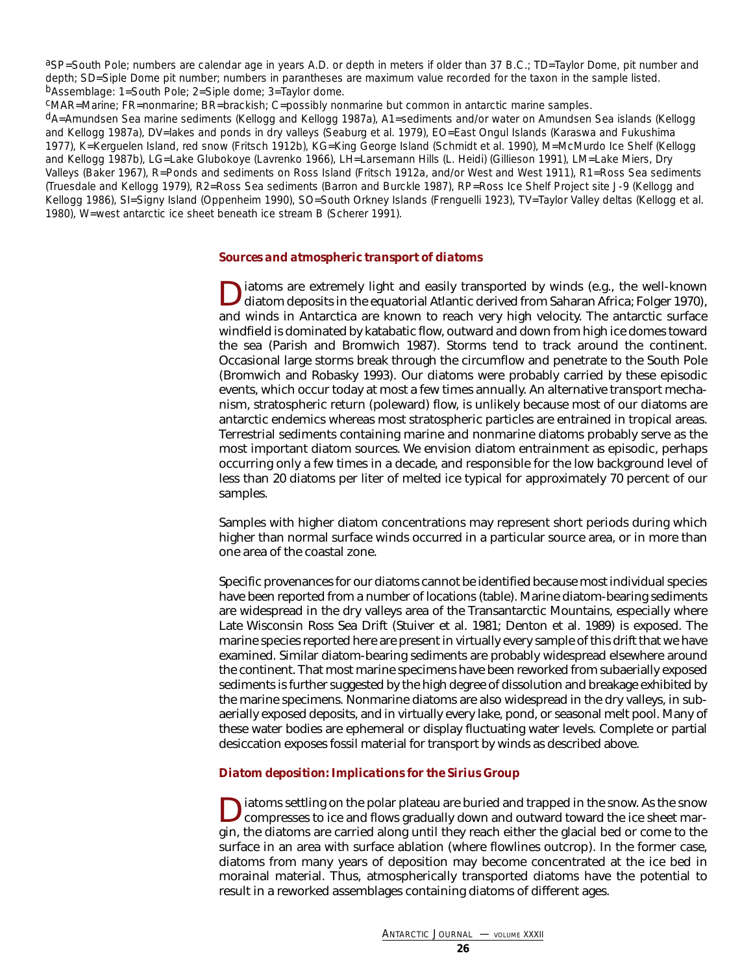aSP=South Pole; numbers are calendar age in years A.D. or depth in meters if older than 37 B.C.; TD=Taylor Dome, pit number and depth; SD=Siple Dome pit number; numbers in parantheses are maximum value recorded for the taxon in the sample listed. bAssemblage: 1=South Pole; 2=Siple dome; 3=Taylor dome.

cMAR=Marine; FR=nonmarine; BR=brackish; C=possibly nonmarine but common in antarctic marine samples.

<span id="page-25-0"></span>dA=Amundsen Sea marine sediments (Kellogg and Kellogg 1987a), A1=sediments and/or water on Amundsen Sea islands (Kellogg and Kellogg 1987a), DV=lakes and ponds in dry valleys (Seaburg et al. 1979), EO=East Ongul Islands (Karaswa and Fukushima 1977), K=Kerguelen Island, red snow (Fritsch 1912b), KG=King George Island (Schmidt et al. 1990), M=McMurdo Ice Shelf (Kellogg and Kellogg 1987b), LG=Lake Glubokoye (Lavrenko 1966), LH=Larsemann Hills (L. Heidi) (Gillieson 1991), LM=Lake Miers, Dry Valleys (Baker 1967), R=Ponds and sediments on Ross Island (Fritsch 1912a, and/or West and West 1911), R1=Ross Sea sediments (Truesdale and Kellogg 1979), R2=Ross Sea sediments (Barron and Burckle 1987), RP=Ross Ice Shelf Project site J-9 (Kellogg and Kellogg 1986), SI=Signy Island (Oppenheim 1990), SO=South Orkney Islands (Frenguelli 1923), TV=Taylor Valley deltas (Kellogg et al. 1980), W=west antarctic ice sheet beneath ice stream B (Scherer 1991).

### *Sources and atmospheric transport of diatoms*

Diatoms are extremely light and easily transported by winds (e.g., the well-known diatom deposits in the equatorial Atlantic derived from Saharan Africa; Folger 1970), and winds in Antarctica are known to reach very high velocity. The antarctic surface windfield is dominated by katabatic flow, outward and down from high ice domes toward the sea (Parish and Bromwich 1987). Storms tend to track around the continent. Occasional large storms break through the circumflow and penetrate to the South Pole (Bromwich and Robasky 1993). Our diatoms were probably carried by these episodic events, which occur today at most a few times annually. An alternative transport mechanism, stratospheric return (poleward) flow, is unlikely because most of our diatoms are antarctic endemics whereas most stratospheric particles are entrained in tropical areas. Terrestrial sediments containing marine and nonmarine diatoms probably serve as the most important diatom sources. We envision diatom entrainment as episodic, perhaps occurring only a few times in a decade, and responsible for the low background level of less than 20 diatoms per liter of melted ice typical for approximately 70 percent of our samples.

<span id="page-25-1"></span>Samples with higher diatom concentrations may represent short periods during which higher than normal surface winds occurred in a particular source area, or in more than one area of the coastal zone.

Specific provenances for our diatoms cannot be identified because most individual species have been reported from a number of locations (table). Marine diatom-bearing sediments are widespread in the dry valleys area of the Transantarctic Mountains, especially where Late Wisconsin Ross Sea Drift (Stuiver et al. 1981; Denton et al. 1989) is exposed. The marine species reported here are present in virtually every sample of this drift that we have examined. Similar diatom-bearing sediments are probably widespread elsewhere around the continent. That most marine specimens have been reworked from subaerially exposed sediments is further suggested by the high degree of dissolution and breakage exhibited by the marine specimens. Nonmarine diatoms are also widespread in the dry valleys, in subaerially exposed deposits, and in virtually every lake, pond, or seasonal melt pool. Many of these water bodies are ephemeral or display fluctuating water levels. Complete or partial desiccation exposes fossil material for transport by winds as described above.

### *Diatom deposition: Implications for the Sirius Group*

Diatoms settling on the polar plateau are buried and trapped in the snow. As the snow compresses to ice and flows gradually down and outward toward the ice sheet margin, the diatoms are carried along until they reach either the glacial bed or come to the surface in an area with surface ablation (where flowlines outcrop). In the former case, diatoms from many years of deposition may become concentrated at the ice bed in morainal material. Thus, atmospherically transported diatoms have the potential to result in a reworked assemblages containing diatoms of different ages.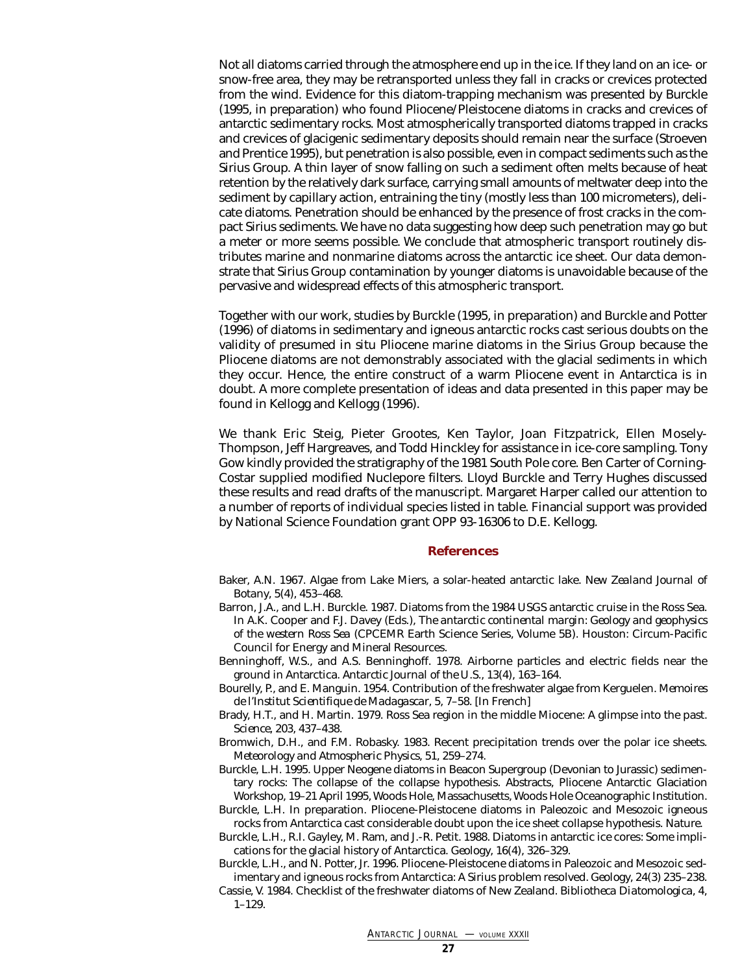Not all diatoms carried through the atmosphere end up in the ice. If they land on an ice- or snow-free area, they may be retransported unless they fall in cracks or crevices protected from the wind. Evidence for this diatom-trapping mechanism was presented by Burckle (1995, in preparation) who found Pliocene/Pleistocene diatoms in cracks and crevices of antarctic sedimentary rocks. Most atmospherically transported diatoms trapped in cracks and crevices of glacigenic sedimentary deposits should remain near the surface (Stroeven and Prentice 1995), but penetration is also possible, even in compact sediments such as the Sirius Group. A thin layer of snow falling on such a sediment often melts because of heat retention by the relatively dark surface, carrying small amounts of meltwater deep into the sediment by capillary action, entraining the tiny (mostly less than 100 micrometers), delicate diatoms. Penetration should be enhanced by the presence of frost cracks in the compact Sirius sediments. We have no data suggesting how deep such penetration may go but a meter or more seems possible. We conclude that atmospheric transport routinely distributes marine and nonmarine diatoms across the antarctic ice sheet. Our data demonstrate that Sirius Group contamination by younger diatoms is unavoidable because of the pervasive and widespread effects of this atmospheric transport.

Together with our work, studies by Burckle (1995, in preparation) and Burckle and Potter (1996) of diatoms in sedimentary and igneous antarctic rocks cast serious doubts on the validity of presumed *in situ* Pliocene marine diatoms in the Sirius Group because the Pliocene diatoms are not demonstrably associated with the glacial sediments in which they occur. Hence, the entire construct of a warm Pliocene event in Antarctica is in doubt. A more complete presentation of ideas and data presented in this paper may be found in Kellogg and Kellogg (1996).

<span id="page-26-0"></span>We thank Eric Steig, Pieter Grootes, Ken Taylor, Joan Fitzpatrick, Ellen Mosely-Thompson, Jeff Hargreaves, and Todd Hinckley for assistance in ice-core sampling. Tony Gow kindly provided the stratigraphy of the 1981 South Pole core. Ben Carter of Corning-Costar supplied modified Nuclepore filters. Lloyd Burckle and Terry Hughes discussed these results and read drafts of the manuscript. Margaret Harper called our attention to a number of reports of individual species listed in table. Financial support was provided by National Science Foundation grant OPP 93-16306 to D.E. Kellogg.

#### **References**

- Baker, A.N. 1967. Algae from Lake Miers, a solar-heated antarctic lake. *New Zealand Journal of Botany*, 5(4), 453–468.
- Barron, J.A., and L.H. Burckle. 1987. Diatoms from the 1984 USGS antarctic cruise in the Ross Sea. In A.K. Cooper and F.J. Davey (Eds.), *The antarctic continental margin: Geology and geophysics of the western Ross Sea* (CPCEMR Earth Science Series, Volume 5B). Houston: Circum-Pacific Council for Energy and Mineral Resources.
- Benninghoff, W.S., and A.S. Benninghoff. 1978. Airborne particles and electric fields near the ground in Antarctica. *Antarctic Journal of the U.S.*, 13(4), 163–164.
- Bourelly, P., and E. Manguin. 1954. Contribution of the freshwater algae from Kerguelen. *Memoires de l'Institut Scientifique de Madagascar*, 5, 7–58. [In French]
- Brady, H.T., and H. Martin. 1979. Ross Sea region in the middle Miocene: A glimpse into the past. *Science*, 203, 437–438.
- Bromwich, D.H., and F.M. Robasky. 1983. Recent precipitation trends over the polar ice sheets. *Meteorology and Atmospheric Physics*, 51, 259–274.
- Burckle, L.H. 1995. Upper Neogene diatoms in Beacon Supergroup (Devonian to Jurassic) sedimentary rocks: The collapse of the collapse hypothesis. Abstracts, Pliocene Antarctic Glaciation Workshop, 19–21 April 1995, Woods Hole, Massachusetts, Woods Hole Oceanographic Institution.
- Burckle, L.H. In preparation. Pliocene-Pleistocene diatoms in Paleozoic and Mesozoic igneous rocks from Antarctica cast considerable doubt upon the ice sheet collapse hypothesis. *Nature*.
- Burckle, L.H., R.I. Gayley, M. Ram, and J.-R. Petit. 1988. Diatoms in antarctic ice cores: Some implications for the glacial history of Antarctica. *Geology*, 16(4), 326–329.
- Burckle, L.H., and N. Potter, Jr. 1996. Pliocene-Pleistocene diatoms in Paleozoic and Mesozoic sedimentary and igneous rocks from Antarctica: A Sirius problem resolved. *Geology*, 24(3) 235–238.
- Cassie, V. 1984. Checklist of the freshwater diatoms of New Zealand. *Bibliotheca Diatomologica*, 4, 1–129.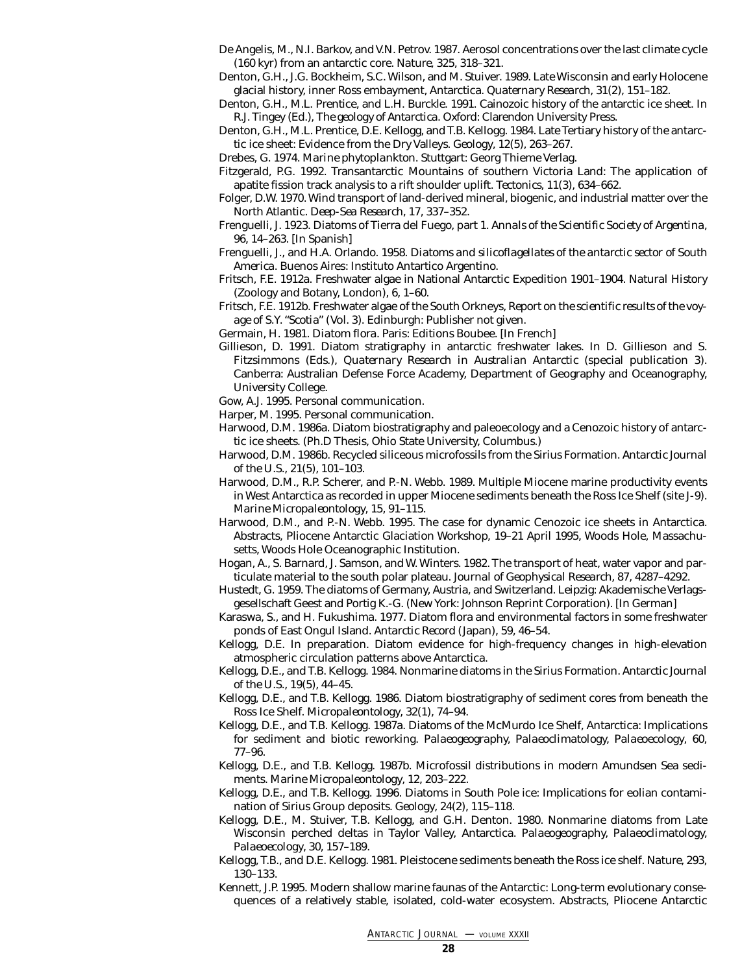- De Angelis, M., N.I. Barkov, and V.N. Petrov. 1987. Aerosol concentrations over the last climate cycle (160 kyr) from an antarctic core. *Nature*, 325, 318–321.
- Denton, G.H., J.G. Bockheim, S.C. Wilson, and M. Stuiver. 1989. Late Wisconsin and early Holocene glacial history, inner Ross embayment, Antarctica. *Quaternary Research*, 31(2), 151–182.
- Denton, G.H., M.L. Prentice, and L.H. Burckle. 1991. Cainozoic history of the antarctic ice sheet. In R.J. Tingey (Ed.), *The geology of Antarctica*. Oxford: Clarendon University Press.
- Denton, G.H., M.L. Prentice, D.E. Kellogg, and T.B. Kellogg. 1984. Late Tertiary history of the antarctic ice sheet: Evidence from the Dry Valleys. *Geology*, 12(5), 263–267.
- Drebes, G. 1974. *Marine phytoplankton*. Stuttgart: Georg Thieme Verlag.
- Fitzgerald, P.G. 1992. Transantarctic Mountains of southern Victoria Land: The application of apatite fission track analysis to a rift shoulder uplift. *Tectonics*, 11(3), 634–662.
- Folger, D.W. 1970. Wind transport of land-derived mineral, biogenic, and industrial matter over the North Atlantic. *Deep-Sea Research*, 17, 337–352.
- Frenguelli, J. 1923. Diatoms of Tierra del Fuego, part 1. *Annals of the Scientific Society of Argentina*, 96, 14–263. [In Spanish]
- Frenguelli, J., and H.A. Orlando. 1958. *Diatoms and silicoflagellates of the antarctic sector of South America.* Buenos Aires: Instituto Antartico Argentino.
- Fritsch, F.E. 1912a. Freshwater algae in National Antarctic Expedition 1901–1904. *Natural History* (Zoology and Botany, London), 6, 1–60.
- Fritsch, F.E. 1912b. Freshwater algae of the South Orkneys, *Report on the scientific results of the voyage of S.Y. "Scotia"* (Vol. 3). Edinburgh: Publisher not given.
- Germain, H. 1981. *Diatom flora*. Paris: Editions Boubee. [In French]
- Gillieson, D. 1991. Diatom stratigraphy in antarctic freshwater lakes. In D. Gillieson and S. Fitzsimmons (Eds.), *Quaternary Research in Australian Antarctic* (special publication 3). Canberra: Australian Defense Force Academy, Department of Geography and Oceanography, University College.
- Gow, A.J. 1995. Personal communication.
- Harper, M. 1995. Personal communication.
- Harwood, D.M. 1986a. Diatom biostratigraphy and paleoecology and a Cenozoic history of antarctic ice sheets. (Ph.D Thesis, Ohio State University, Columbus.)
- Harwood, D.M. 1986b. Recycled siliceous microfossils from the Sirius Formation. *Antarctic Journal of the U.S.*, 21(5), 101–103.
- Harwood, D.M., R.P. Scherer, and P.-N. Webb. 1989. Multiple Miocene marine productivity events in West Antarctica as recorded in upper Miocene sediments beneath the Ross Ice Shelf (site J-9). *Marine Micropaleontology*, 15, 91–115.
- Harwood, D.M., and P.-N. Webb. 1995. The case for dynamic Cenozoic ice sheets in Antarctica. Abstracts, Pliocene Antarctic Glaciation Workshop, 19–21 April 1995, Woods Hole, Massachusetts, Woods Hole Oceanographic Institution.
- Hogan, A., S. Barnard, J. Samson, and W. Winters. 1982. The transport of heat, water vapor and particulate material to the south polar plateau. *Journal of Geophysical Research*, 87, 4287–4292.
- Hustedt, G. 1959. The diatoms of Germany, Austria, and Switzerland. Leipzig: Akademische Verlagsgesellschaft Geest and Portig K.-G. (New York: Johnson Reprint Corporation). [In German]
- Karaswa, S., and H. Fukushima. 1977. Diatom flora and environmental factors in some freshwater ponds of East Ongul Island. *Antarctic Record* (Japan), 59, 46–54.
- Kellogg, D.E. In preparation. Diatom evidence for high-frequency changes in high-elevation atmospheric circulation patterns above Antarctica.
- Kellogg, D.E., and T.B. Kellogg. 1984. Nonmarine diatoms in the Sirius Formation. *Antarctic Journal of the U.S.*, 19(5), 44–45.
- Kellogg, D.E., and T.B. Kellogg. 1986. Diatom biostratigraphy of sediment cores from beneath the Ross Ice Shelf. *Micropaleontology*, 32(1), 74–94.
- Kellogg, D.E., and T.B. Kellogg. 1987a. Diatoms of the McMurdo Ice Shelf, Antarctica: Implications for sediment and biotic reworking. *Palaeogeography, Palaeoclimatology, Palaeoecology*, 60, 77–96.
- Kellogg, D.E., and T.B. Kellogg. 1987b. Microfossil distributions in modern Amundsen Sea sediments. *Marine Micropaleontology*, 12, 203–222.
- Kellogg, D.E., and T.B. Kellogg. 1996. Diatoms in South Pole ice: Implications for eolian contamination of Sirius Group deposits. *Geology*, 24(2), 115–118.
- Kellogg, D.E., M. Stuiver, T.B. Kellogg, and G.H. Denton. 1980. Nonmarine diatoms from Late Wisconsin perched deltas in Taylor Valley, Antarctica. *Palaeogeography, Palaeoclimatology, Palaeoecology*, 30, 157–189.
- Kellogg, T.B., and D.E. Kellogg. 1981. Pleistocene sediments beneath the Ross ice shelf. *Nature*, 293, 130–133.
- Kennett, J.P. 1995. Modern shallow marine faunas of the Antarctic: Long-term evolutionary consequences of a relatively stable, isolated, cold-water ecosystem. Abstracts, Pliocene Antarctic

*ANTARCTIC JOURNAL —* VOLUME XXXII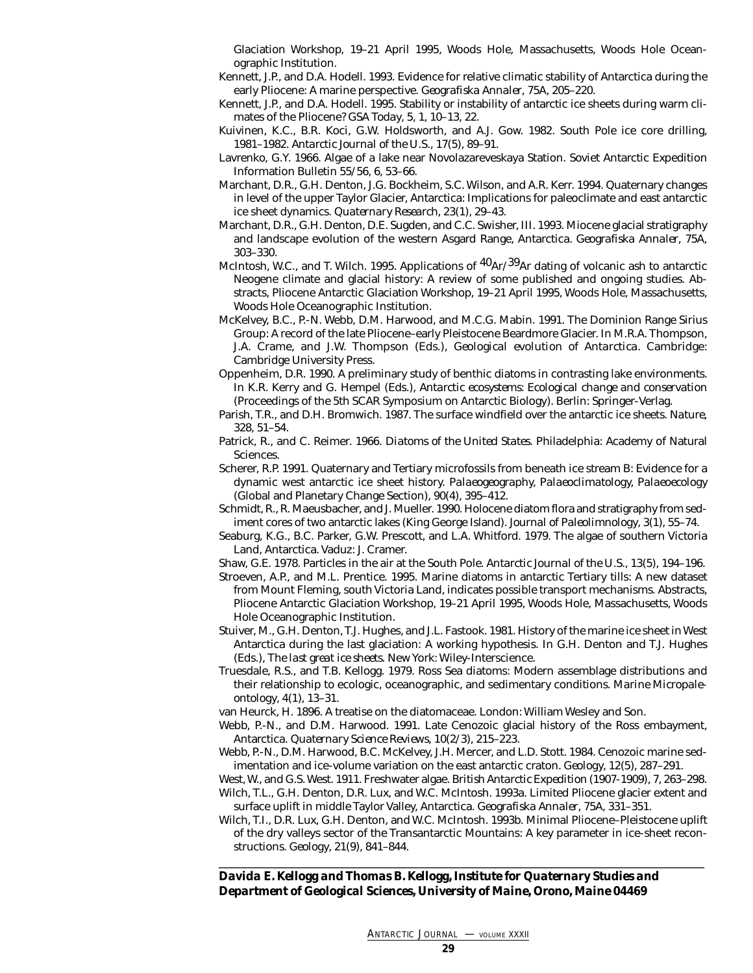Glaciation Workshop, 19–21 April 1995, Woods Hole, Massachusetts, Woods Hole Oceanographic Institution.

- Kennett, J.P., and D.A. Hodell. 1993. Evidence for relative climatic stability of Antarctica during the early Pliocene: A marine perspective. *Geografiska Annaler*, 75A, 205–220.
- Kennett, J.P., and D.A. Hodell. 1995. Stability or instability of antarctic ice sheets during warm climates of the Pliocene? *GSA Today*, 5, 1, 10–13, 22.
- Kuivinen, K.C., B.R. Koci, G.W. Holdsworth, and A.J. Gow. 1982. South Pole ice core drilling, 1981–1982. *Antarctic Journal of the U.S.*, 17(5), 89–91.
- Lavrenko, G.Y. 1966. Algae of a lake near Novolazareveskaya Station. Soviet Antarctic Expedition Information Bulletin 55/56, 6, 53–66.
- Marchant, D.R., G.H. Denton, J.G. Bockheim, S.C. Wilson, and A.R. Kerr. 1994. Quaternary changes in level of the upper Taylor Glacier, Antarctica: Implications for paleoclimate and east antarctic ice sheet dynamics. *Quaternary Research*, 23(1), 29–43.
- Marchant, D.R., G.H. Denton, D.E. Sugden, and C.C. Swisher, III. 1993. Miocene glacial stratigraphy and landscape evolution of the western Asgard Range, Antarctica. *Geografiska Annaler*, 75A, 303–330.
- McIntosh, W.C., and T. Wilch. 1995. Applications of  ${}^{40}Ar/{}^{39}Ar$  dating of volcanic ash to antarctic Neogene climate and glacial history: A review of some published and ongoing studies. Abstracts, Pliocene Antarctic Glaciation Workshop, 19–21 April 1995, Woods Hole, Massachusetts, Woods Hole Oceanographic Institution.
- McKelvey, B.C., P.-N. Webb, D.M. Harwood, and M.C.G. Mabin. 1991. The Dominion Range Sirius Group: A record of the late Pliocene–early Pleistocene Beardmore Glacier. In M.R.A. Thompson, J.A. Crame, and J.W. Thompson (Eds.), *Geological evolution of Antarctica.* Cambridge: Cambridge University Press.
- Oppenheim, D.R. 1990. A preliminary study of benthic diatoms in contrasting lake environments. In K.R. Kerry and G. Hempel (Eds.), *Antarctic ecosystems: Ecological change and conservation* (Proceedings of the 5th SCAR Symposium on Antarctic Biology). Berlin: Springer-Verlag.
- Parish, T.R., and D.H. Bromwich. 1987. The surface windfield over the antarctic ice sheets. *Nature*, 328, 51–54.
- Patrick, R., and C. Reimer. 1966. *Diatoms of the United States*. Philadelphia: Academy of Natural Sciences.
- Scherer, R.P. 1991. Quaternary and Tertiary microfossils from beneath ice stream B: Evidence for a dynamic west antarctic ice sheet history. *Palaeogeography, Palaeoclimatology, Palaeoecology* (Global and Planetary Change Section), 90(4), 395–412.
- Schmidt, R., R. Maeusbacher, and J. Mueller. 1990. Holocene diatom flora and stratigraphy from sediment cores of two antarctic lakes (King George Island). *Journal of Paleolimnology*, 3(1), 55–74.
- Seaburg, K.G., B.C. Parker, G.W. Prescott, and L.A. Whitford. 1979. The algae of southern Victoria Land, Antarctica. Vaduz: J. Cramer.

Shaw, G.E. 1978. Particles in the air at the South Pole. *Antarctic Journal of the U.S.*, 13(5), 194–196.

- Stroeven, A.P., and M.L. Prentice. 1995. Marine diatoms in antarctic Tertiary tills: A new dataset from Mount Fleming, south Victoria Land, indicates possible transport mechanisms. Abstracts, Pliocene Antarctic Glaciation Workshop, 19–21 April 1995, Woods Hole, Massachusetts, Woods Hole Oceanographic Institution.
- Stuiver, M., G.H. Denton, T.J. Hughes, and J.L. Fastook. 1981. History of the marine ice sheet in West Antarctica during the last glaciation: A working hypothesis. In G.H. Denton and T.J. Hughes (Eds.), *The last great ice sheets*. New York: Wiley-Interscience.
- Truesdale, R.S., and T.B. Kellogg. 1979. Ross Sea diatoms: Modern assemblage distributions and their relationship to ecologic, oceanographic, and sedimentary conditions. *Marine Micropaleontology*, 4(1), 13–31.
- van Heurck, H. 1896. A treatise on the diatomaceae. London: William Wesley and Son.
- Webb, P.-N., and D.M. Harwood. 1991. Late Cenozoic glacial history of the Ross embayment, Antarctica. *Quaternary Science Reviews*, 10(2/3), 215–223.
- Webb, P.-N., D.M. Harwood, B.C. McKelvey, J.H. Mercer, and L.D. Stott. 1984. Cenozoic marine sedimentation and ice-volume variation on the east antarctic craton. *Geology*, 12(5), 287–291.
- West, W., and G.S. West. 1911. Freshwater algae. *British Antarctic Expedition (1907-1909)*, 7, 263–298.

Wilch, T.L., G.H. Denton, D.R. Lux, and W.C. McIntosh. 1993a. Limited Pliocene glacier extent and surface uplift in middle Taylor Valley, Antarctica. *Geografiska Annaler*, 75A, 331–351.

Wilch, T.I., D.R. Lux, G.H. Denton, and W.C. McIntosh. 1993b. Minimal Pliocene–Pleistocene uplift of the dry valleys sector of the Transantarctic Mountains: A key parameter in ice-sheet reconstructions. *Geology*, 21(9), 841–844.

\_\_\_\_\_\_\_\_\_\_\_\_\_\_\_\_\_\_\_\_\_\_\_\_\_\_\_\_\_\_\_\_\_\_\_\_\_\_\_\_\_\_\_\_\_\_\_\_\_\_\_\_\_\_\_\_\_\_\_\_\_\_\_\_\_\_\_\_\_\_\_\_\_\_\_\_\_\_\_

*Davida E. Kellogg and Thomas B. Kellogg, Institute for Quaternary Studies and Department of Geological Sciences, University of Maine, Orono, Maine 04469*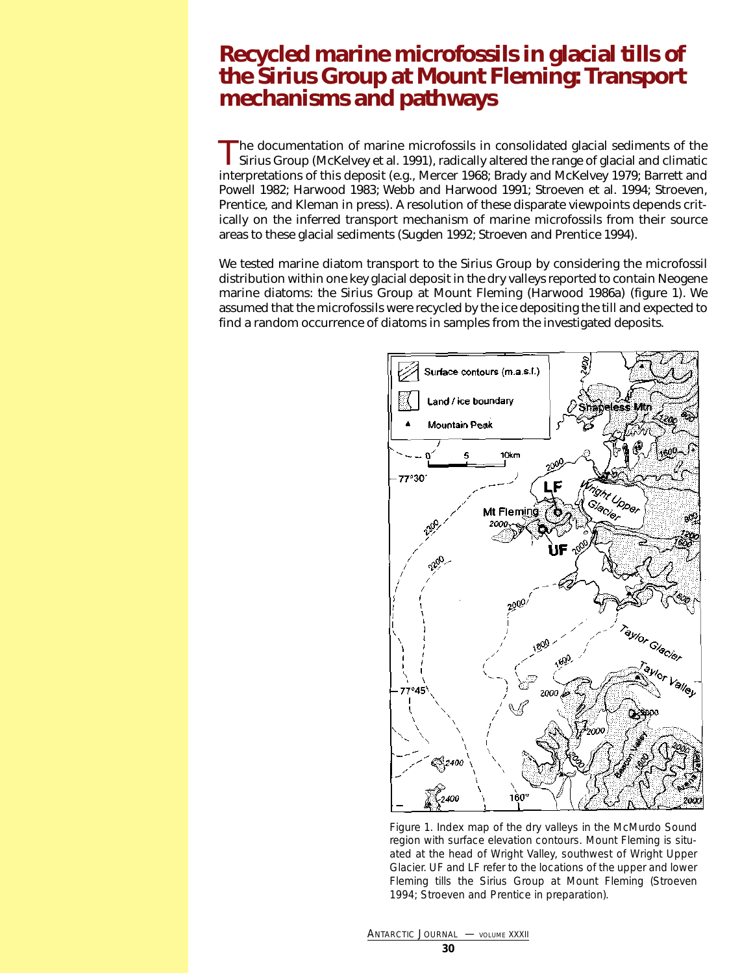### <span id="page-29-0"></span>**Recycled marine microfossils in glacial tills of the Sirius Group at Mount Fleming: Transport mechanisms and pathways**

The documentation of marine microfossils in consolidated glacial sediments of the<br>Sirius Group (McKelvey et al. 1991), radically altered the range of glacial and climatic<br>Notes that the range of glacial and climatic interpretations of this deposit (e.g., Mercer 1968; Brady and McKelvey 1979; Barrett and Powell 1982; Harwood 1983; Webb and Harwood 1991; Stroeven et al. 1994; Stroeven, Prentice, and Kleman in press). A resolution of these disparate viewpoints depends critically on the inferred transport mechanism of marine microfossils from their source areas to these glacial sediments (Sugden 1992; Stroeven and Prentice 1994).

We tested marine diatom transport to the Sirius Group by considering the microfossil distribution within one key glacial deposit in the dry valleys reported to contain Neogene marine diatoms: the Sirius Group at Mount Fleming (Harwood 1986a) (figure 1). We assumed that the microfossils were recycled by the ice depositing the till and expected to find a random occurrence of diatoms in samples from the investigated deposits.



Figure 1. Index map of the dry valleys in the McMurdo Sound region with surface elevation contours. Mount Fleming is situated at the head of Wright Valley, southwest of Wright Upper Glacier. UF and LF refer to the locations of the upper and lower Fleming tills the Sirius Group at Mount Fleming (Stroeven 1994; Stroeven and Prentice in preparation).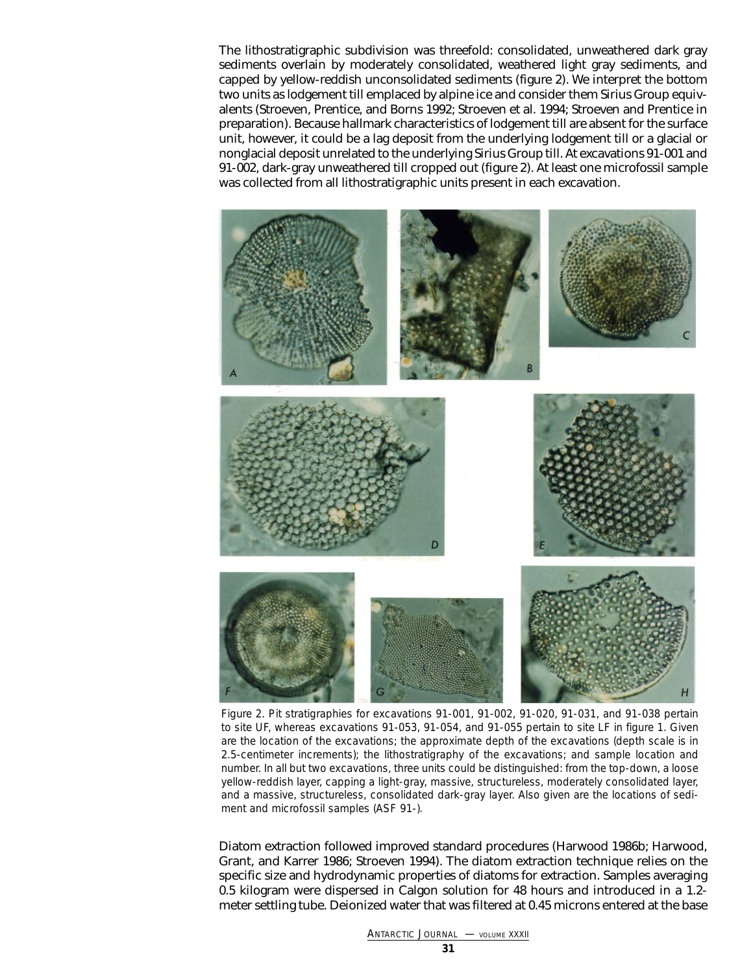The lithostratigraphic subdivision was threefold: consolidated, unweathered dark gray sediments overlain by moderately consolidated, weathered light gray sediments, and capped by yellow-reddish unconsolidated sediments (figure 2). We interpret the bottom two units as lodgement till emplaced by alpine ice and consider them Sirius Group equivalents (Stroeven, Prentice, and Borns 1992; Stroeven et al. 1994; Stroeven and Prentice in preparation). Because hallmark characteristics of lodgement till are absent for the surface unit, however, it could be a lag deposit from the underlying lodgement till or a glacial or nonglacial deposit unrelated to the underlying Sirius Group till. At excavations 91-001 and 91-002, dark-gray unweathered till cropped out (figure 2). At least one microfossil sample was collected from all lithostratigraphic units present in each excavation.



Figure 2. Pit stratigraphies for excavations 91-001, 91-002, 91-020, 91-031, and 91-038 pertain to site UF, whereas excavations 91-053, 91-054, and 91-055 pertain to site LF in figure 1. Given are the location of the excavations; the approximate depth of the excavations (depth scale is in 2.5-centimeter increments); the lithostratigraphy of the excavations; and sample location and number. In all but two excavations, three units could be distinguished: from the top-down, a loose yellow-reddish layer, capping a light-gray, massive, structureless, moderately consolidated layer, and a massive, structureless, consolidated dark-gray layer. Also given are the locations of sediment and microfossil samples (ASF 91-).

Diatom extraction followed improved standard procedures (Harwood 1986b; Harwood, Grant, and Karrer 1986; Stroeven 1994). The diatom extraction technique relies on the specific size and hydrodynamic properties of diatoms for extraction. Samples averaging 0.5 kilogram were dispersed in Calgon solution for 48 hours and introduced in a 1.2 meter settling tube. Deionized water that was filtered at 0.45 microns entered at the base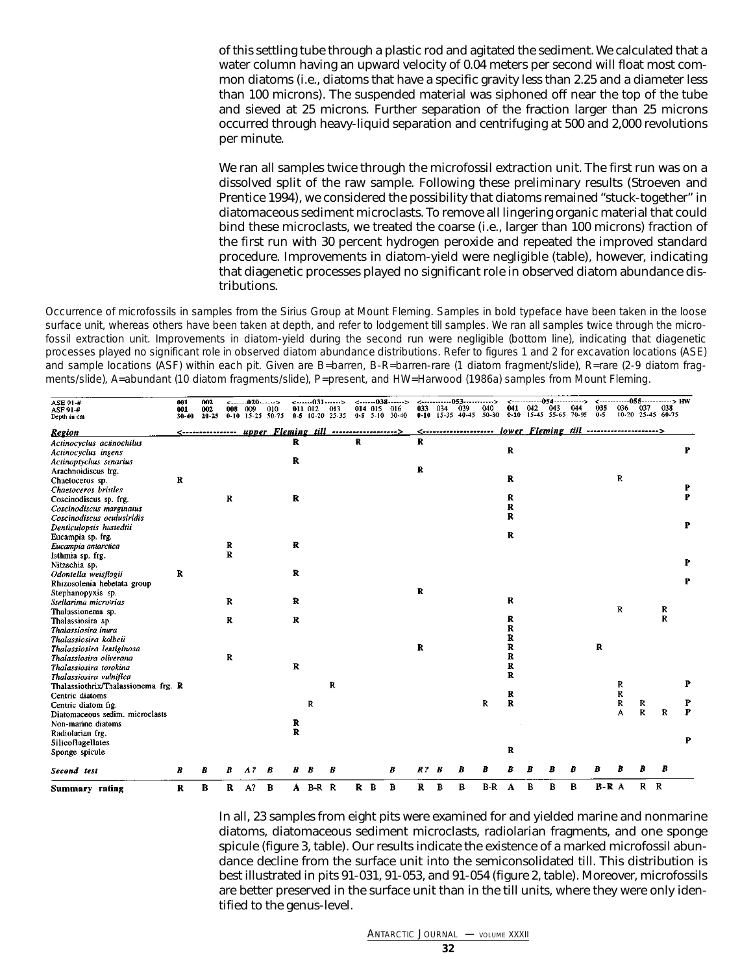of this settling tube through a plastic rod and agitated the sediment. We calculated that a water column having an upward velocity of 0.04 meters per second will float most common diatoms (i.e., diatoms that have a specific gravity less than 2.25 and a diameter less than 100 microns). The suspended material was siphoned off near the top of the tube and sieved at 25 microns. Further separation of the fraction larger than 25 microns occurred through heavy-liquid separation and centrifuging at 500 and 2,000 revolutions per minute.

We ran all samples twice through the microfossil extraction unit. The first run was on a dissolved split of the raw sample. Following these preliminary results (Stroeven and Prentice 1994), we considered the possibility that diatoms remained "stuck-together" in diatomaceous sediment microclasts. To remove all lingering organic material that could bind these microclasts, we treated the coarse (i.e., larger than 100 microns) fraction of the first run with 30 percent hydrogen peroxide and repeated the improved standard procedure. Improvements in diatom-yield were negligible (table), however, indicating that diagenetic processes played no significant role in observed diatom abundance distributions.

Occurrence of microfossils in samples from the Sirius Group at Mount Fleming. Samples in bold typeface have been taken in the loose surface unit, whereas others have been taken at depth, and refer to lodgement till samples. We ran all samples twice through the microfossil extraction unit. Improvements in diatom-yield during the second run were negligible (bottom line), indicating that diagenetic processes played no significant role in observed diatom abundance distributions. Refer to figures 1 and 2 for excavation locations (ASE) and sample locations (ASF) within each pit. Given are B=barren, B-R=barren-rare (1 diatom fragment/slide), R=rare (2-9 diatom fragments/slide), A=abundant (10 diatom fragments/slide), P=present, and HW=Harwood (1986a) samples from Mount Fleming.

| ASE 91-#<br>ASF 91-#<br>Depth in cm | 001<br>001<br>30-40 | 002<br>002<br>$20 - 25$ | <----<br>008<br>$0 - 10$ | 009   | -020------><br>010<br>15-25 50-75 |              | -------031------><br>011 012<br>0-5 10-20 25-35 | 013 |   | 014 015<br>$0 - 5 - 5 - 10$ | $\leftarrow$ 038><br>016<br>30-40 | 033.         | 034 | -------------053------------><br>039<br>$0-10$ $15-35$ $40-45$ $50-80$ | 040   | 041<br>$0 - 10$ | 042 | 043 | ------------054-----------><br>044<br>15-45 55-65 70-95          | 035<br>$0 - 5$ | 036 | 037          | <-----------055-----------> HW<br>038<br>10-20 25-45 60-75 |        |
|-------------------------------------|---------------------|-------------------------|--------------------------|-------|-----------------------------------|--------------|-------------------------------------------------|-----|---|-----------------------------|-----------------------------------|--------------|-----|------------------------------------------------------------------------|-------|-----------------|-----|-----|------------------------------------------------------------------|----------------|-----|--------------|------------------------------------------------------------|--------|
| <b>Region</b>                       |                     | <----------------       |                          |       | upper Fleming till >              |              |                                                 |     |   |                             |                                   |              |     |                                                                        |       |                 |     |     | <--------------------- lower Fleming till ---------------------> |                |     |              |                                                            |        |
| Actinocyclus actinochilus           |                     |                         |                          |       |                                   | R            |                                                 |     | R |                             |                                   | R            |     |                                                                        |       |                 |     |     |                                                                  |                |     |              |                                                            |        |
| Actinocyclus ingens                 |                     |                         |                          |       |                                   |              |                                                 |     |   |                             |                                   |              |     |                                                                        |       | R               |     |     |                                                                  |                |     |              |                                                            | P      |
| Actinoptychus senarius              |                     |                         |                          |       |                                   | $\mathbf R$  |                                                 |     |   |                             |                                   |              |     |                                                                        |       |                 |     |     |                                                                  |                |     |              |                                                            |        |
| Arachnoidiscus frg.                 |                     |                         |                          |       |                                   |              |                                                 |     |   |                             |                                   | R            |     |                                                                        |       |                 |     |     |                                                                  |                |     |              |                                                            |        |
| Chaetoceros sp.                     | R                   |                         |                          |       |                                   |              |                                                 |     |   |                             |                                   |              |     |                                                                        |       | $\mathbf R$     |     |     |                                                                  |                | R   |              |                                                            |        |
| Chaetoceros bristles                |                     |                         |                          |       |                                   |              |                                                 |     |   |                             |                                   |              |     |                                                                        |       |                 |     |     |                                                                  |                |     |              |                                                            | P      |
| Coscinodiscus sp. frg.              |                     |                         | R                        |       |                                   | R            |                                                 |     |   |                             |                                   |              |     |                                                                        |       | $\mathbf{R}$    |     |     |                                                                  |                |     |              |                                                            | P      |
| Coscinodiscus marginatus            |                     |                         |                          |       |                                   |              |                                                 |     |   |                             |                                   |              |     |                                                                        |       | R               |     |     |                                                                  |                |     |              |                                                            |        |
| Coscinodiscus oculusiridis          |                     |                         |                          |       |                                   |              |                                                 |     |   |                             |                                   |              |     |                                                                        |       | $\mathbf{R}$    |     |     |                                                                  |                |     |              |                                                            |        |
| Denticulopsis hustedtii             |                     |                         |                          |       |                                   |              |                                                 |     |   |                             |                                   |              |     |                                                                        |       |                 |     |     |                                                                  |                |     |              |                                                            | P      |
| Eucampia sp. frg.                   |                     |                         |                          |       |                                   |              |                                                 |     |   |                             |                                   |              |     |                                                                        |       | R               |     |     |                                                                  |                |     |              |                                                            |        |
| Eucampia antarctica                 |                     |                         | R                        |       |                                   | $\mathbf{R}$ |                                                 |     |   |                             |                                   |              |     |                                                                        |       |                 |     |     |                                                                  |                |     |              |                                                            |        |
| Isthmia sp. frg.                    |                     |                         | $\mathbf{R}$             |       |                                   |              |                                                 |     |   |                             |                                   |              |     |                                                                        |       |                 |     |     |                                                                  |                |     |              |                                                            |        |
| Nitzschia sp.                       |                     |                         |                          |       |                                   |              |                                                 |     |   |                             |                                   |              |     |                                                                        |       |                 |     |     |                                                                  |                |     |              |                                                            | P      |
| Odontella weisflogii                | R                   |                         |                          |       |                                   | $\mathbf R$  |                                                 |     |   |                             |                                   |              |     |                                                                        |       |                 |     |     |                                                                  |                |     |              |                                                            |        |
| Rhizosolenia hebetata group         |                     |                         |                          |       |                                   |              |                                                 |     |   |                             |                                   |              |     |                                                                        |       |                 |     |     |                                                                  |                |     |              |                                                            | P      |
| Stephanopyxis sp.                   |                     |                         |                          |       |                                   |              |                                                 |     |   |                             |                                   | $\mathbf{R}$ |     |                                                                        |       |                 |     |     |                                                                  |                |     |              |                                                            |        |
| Stellarima microtrias               |                     |                         | R                        |       |                                   | $\mathbf{R}$ |                                                 |     |   |                             |                                   |              |     |                                                                        |       | $\mathbf R$     |     |     |                                                                  |                |     |              |                                                            |        |
| Thalassionema sp.                   |                     |                         |                          |       |                                   |              |                                                 |     |   |                             |                                   |              |     |                                                                        |       |                 |     |     |                                                                  |                | R   |              | R                                                          |        |
| Thalassiosira sp.                   |                     |                         | R                        |       |                                   | $\mathbf R$  |                                                 |     |   |                             |                                   |              |     |                                                                        |       | R               |     |     |                                                                  |                |     |              | $\mathbf{R}$                                               |        |
| Thalassiosira inura                 |                     |                         |                          |       |                                   |              |                                                 |     |   |                             |                                   |              |     |                                                                        |       | R               |     |     |                                                                  |                |     |              |                                                            |        |
| Thalassiosira kolbeii               |                     |                         |                          |       |                                   |              |                                                 |     |   |                             |                                   |              |     |                                                                        |       | R               |     |     |                                                                  |                |     |              |                                                            |        |
| Thalassiosira lentiginosa           |                     |                         |                          |       |                                   |              |                                                 |     |   |                             |                                   | R            |     |                                                                        |       | R               |     |     |                                                                  | $\mathbf R$    |     |              |                                                            |        |
| Thalassiosira oliverana             |                     |                         | R                        |       |                                   |              |                                                 |     |   |                             |                                   |              |     |                                                                        |       | R               |     |     |                                                                  |                |     |              |                                                            |        |
| Thalassiosira torokina              |                     |                         |                          |       |                                   | $\mathbf{R}$ |                                                 |     |   |                             |                                   |              |     |                                                                        |       | R               |     |     |                                                                  |                |     |              |                                                            |        |
| Thalassiosira vulnifica             |                     |                         |                          |       |                                   |              |                                                 |     |   |                             |                                   |              |     |                                                                        |       | R               |     |     |                                                                  |                |     |              |                                                            |        |
| Thalassiothrix/Thalassionema frg. R |                     |                         |                          |       |                                   |              |                                                 | R   |   |                             |                                   |              |     |                                                                        |       |                 |     |     |                                                                  |                | R   |              |                                                            | P      |
| Centric diatoms                     |                     |                         |                          |       |                                   |              |                                                 |     |   |                             |                                   |              |     |                                                                        |       | R               |     |     |                                                                  |                | R   |              |                                                            |        |
| Centric diatom frg.                 |                     |                         |                          |       |                                   |              | R                                               |     |   |                             |                                   |              |     |                                                                        | R     | R               |     |     |                                                                  |                | R   | R            |                                                            | P<br>P |
| Diatomaceous sedim. microclasts     |                     |                         |                          |       |                                   |              |                                                 |     |   |                             |                                   |              |     |                                                                        |       |                 |     |     |                                                                  |                | A   | $\mathbf R$  | R                                                          |        |
| Non-marine diatoms                  |                     |                         |                          |       |                                   | R            |                                                 |     |   |                             |                                   |              |     |                                                                        |       |                 |     |     |                                                                  |                |     |              |                                                            |        |
| Radiolarian frg.                    |                     |                         |                          |       |                                   | R            |                                                 |     |   |                             |                                   |              |     |                                                                        |       |                 |     |     |                                                                  |                |     |              |                                                            | P      |
| Silicoflagellates                   |                     |                         |                          |       |                                   |              |                                                 |     |   |                             |                                   |              |     |                                                                        |       |                 |     |     |                                                                  |                |     |              |                                                            |        |
| Sponge spicule                      |                     |                         |                          |       |                                   |              |                                                 |     |   |                             |                                   |              |     |                                                                        |       | R               |     |     |                                                                  |                |     |              |                                                            |        |
| Second test                         | B                   | B                       | R                        | $A$ ? | B                                 | B            |                                                 |     |   |                             | R                                 | $R$ ? $B$    |     |                                                                        | B     |                 |     |     | В                                                                |                |     |              | B                                                          |        |
| Summary rating                      | R                   | B                       | $\mathbf{R}$             | $A$ ? | в                                 | A            | $B-R$ R                                         |     |   | R B                         | в                                 | R            | B   | в                                                                      | $B-R$ | A               | в   | в   | B                                                                | <b>B-RA</b>    |     | $\mathbf{R}$ | $\mathbb{R}$                                               |        |

In all, 23 samples from eight pits were examined for and yielded marine and nonmarine diatoms, diatomaceous sediment microclasts, radiolarian fragments, and one sponge spicule (figure 3, table). Our results indicate the existence of a marked microfossil abundance decline from the surface unit into the semiconsolidated till. This distribution is best illustrated in pits 91-031, 91-053, and 91-054 (figure 2, table). Moreover, microfossils are better preserved in the surface unit than in the till units, where they were only identified to the genus-level.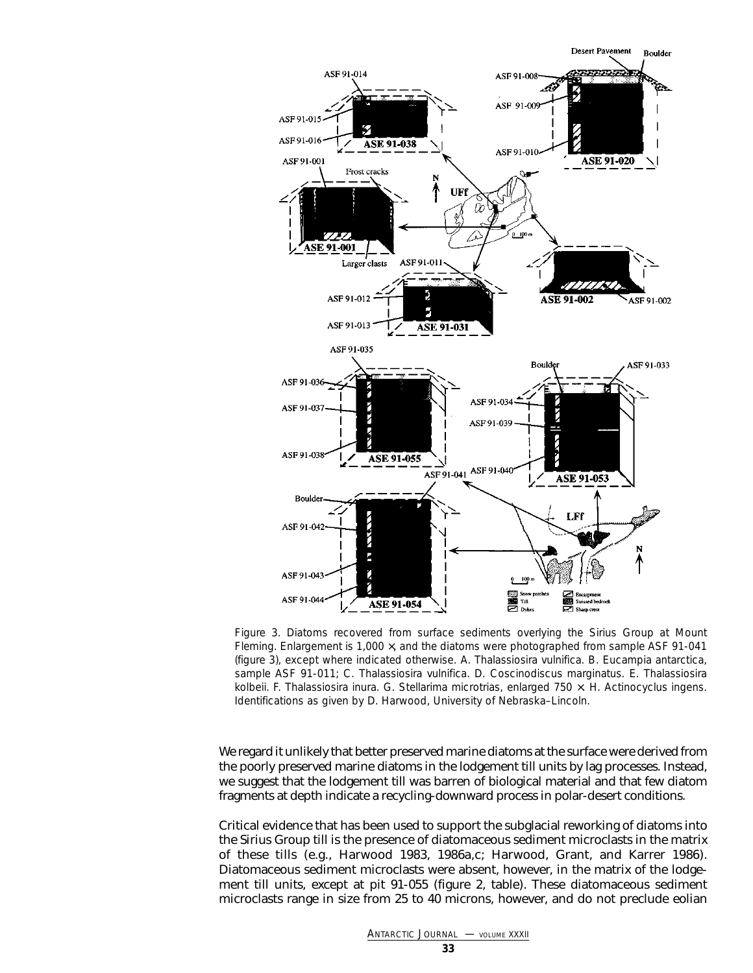

Figure 3. Diatoms recovered from surface sediments overlying the Sirius Group at Mount Fleming. Enlargement is 1,000 ×, and the diatoms were photographed from sample ASF 91-041 (figure 3), except where indicated otherwise. A. *Thalassiosira vulnifica*. B. *Eucampia antarctica*, sample ASF 91-011; C. *Thalassiosira vulnifica*. D. *Coscinodiscus marginatus*. E. *Thalassiosira kolbeii*. F. *Thalassiosira inura*. G. *Stellarima microtrias*, enlarged 750 ×. H. *Actinocyclus ingens*. Identifications as given by D. Harwood, University of Nebraska–Lincoln.

We regard it unlikely that better preserved marine diatoms at the surface were derived from the poorly preserved marine diatoms in the lodgement till units by lag processes. Instead, we suggest that the lodgement till was barren of biological material and that few diatom fragments at depth indicate a recycling-downward process in polar-desert conditions.

Critical evidence that has been used to support the subglacial reworking of diatoms into the Sirius Group till is the presence of diatomaceous sediment microclasts in the matrix of these tills (e.g., Harwood 1983, 1986a,c; Harwood, Grant, and Karrer 1986). Diatomaceous sediment microclasts were absent, however, in the matrix of the lodgement till units, except at pit 91-055 (figure 2, table). These diatomaceous sediment microclasts range in size from 25 to 40 microns, however, and do not preclude eolian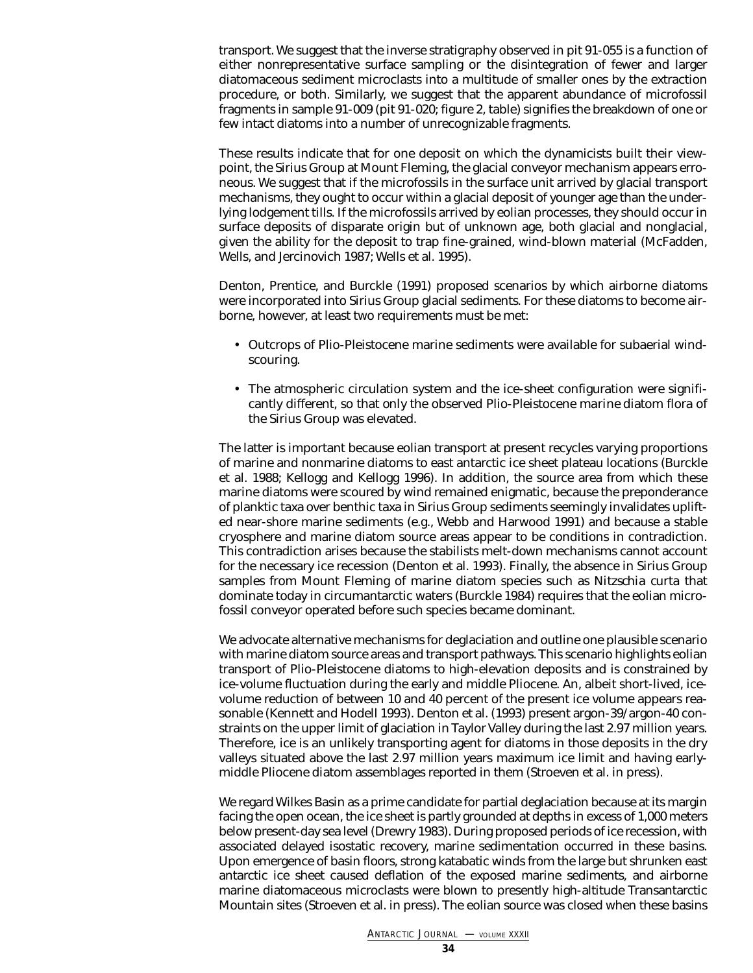transport. We suggest that the inverse stratigraphy observed in pit 91-055 is a function of either nonrepresentative surface sampling or the disintegration of fewer and larger diatomaceous sediment microclasts into a multitude of smaller ones by the extraction procedure, or both. Similarly, we suggest that the apparent abundance of microfossil fragments in sample 91-009 (pit 91-020; figure 2, table) signifies the breakdown of one or few intact diatoms into a number of unrecognizable fragments.

These results indicate that for one deposit on which the dynamicists built their viewpoint, the Sirius Group at Mount Fleming, the glacial conveyor mechanism appears erroneous. We suggest that if the microfossils in the surface unit arrived by glacial transport mechanisms, they ought to occur within a glacial deposit of younger age than the underlying lodgement tills. If the microfossils arrived by eolian processes, they should occur in surface deposits of disparate origin but of unknown age, both glacial and nonglacial, given the ability for the deposit to trap fine-grained, wind-blown material (McFadden, Wells, and Jercinovich 1987; Wells et al. 1995).

Denton, Prentice, and Burckle (1991) proposed scenarios by which airborne diatoms were incorporated into Sirius Group glacial sediments. For these diatoms to become airborne, however, at least two requirements must be met:

- Outcrops of Plio-Pleistocene marine sediments were available for subaerial windscouring.
- The atmospheric circulation system and the ice-sheet configuration were significantly different, so that *only* the observed Plio-Pleistocene *marine* diatom flora of the Sirius Group was elevated.

The latter is important because eolian transport at present recycles varying proportions of marine and nonmarine diatoms to east antarctic ice sheet plateau locations (Burckle et al. 1988; Kellogg and Kellogg 1996). In addition, the source area from which these marine diatoms were scoured by wind remained enigmatic, because the preponderance of planktic taxa over benthic taxa in Sirius Group sediments seemingly invalidates uplifted near-shore marine sediments (e.g., Webb and Harwood 1991) and because a stable cryosphere and marine diatom source areas appear to be conditions in contradiction. This contradiction arises because the stabilists melt-down mechanisms cannot account for the necessary ice recession (Denton et al. 1993). Finally, the absence in Sirius Group samples from Mount Fleming of marine diatom species such as *Nitzschia curta* that dominate today in circumantarctic waters (Burckle 1984) requires that the eolian microfossil conveyor operated before such species became dominant.

We advocate alternative mechanisms for deglaciation and outline one plausible scenario with marine diatom source areas and transport pathways. This scenario highlights eolian transport of Plio-Pleistocene diatoms to high-elevation deposits and is constrained by ice-volume fluctuation during the early and middle Pliocene. An, albeit short-lived, icevolume reduction of between 10 and 40 percent of the present ice volume appears reasonable (Kennett and Hodell 1993). Denton et al. (1993) present argon-39/argon-40 constraints on the upper limit of glaciation in Taylor Valley during the last 2.97 million years. Therefore, ice is an unlikely transporting agent for diatoms in those deposits in the dry valleys situated above the last 2.97 million years maximum ice limit and having earlymiddle Pliocene diatom assemblages reported in them (Stroeven et al. in press).

We regard Wilkes Basin as a prime candidate for partial deglaciation because at its margin facing the open ocean, the ice sheet is partly grounded at depths in excess of 1,000 meters below present-day sea level (Drewry 1983). During proposed periods of ice recession, with associated delayed isostatic recovery, marine sedimentation occurred in these basins. Upon emergence of basin floors, strong katabatic winds from the large but shrunken east antarctic ice sheet caused deflation of the exposed marine sediments, and airborne marine diatomaceous microclasts were blown to presently high-altitude Transantarctic Mountain sites (Stroeven et al. in press). The eolian source was closed when these basins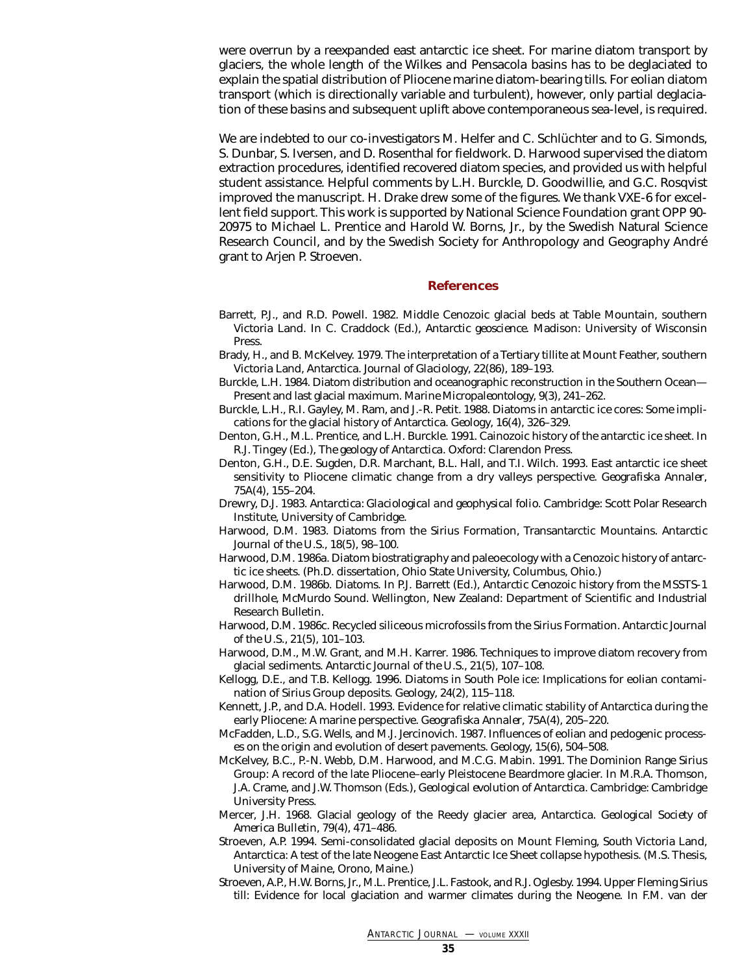were overrun by a reexpanded east antarctic ice sheet. For marine diatom transport by glaciers, the whole length of the Wilkes and Pensacola basins has to be deglaciated to explain the spatial distribution of Pliocene marine diatom-bearing tills. For eolian diatom transport (which is directionally variable and turbulent), however, only partial deglaciation of these basins and subsequent uplift above contemporaneous sea-level, is required.

We are indebted to our co-investigators M. Helfer and C. Schlüchter and to G. Simonds, S. Dunbar, S. Iversen, and D. Rosenthal for fieldwork. D. Harwood supervised the diatom extraction procedures, identified recovered diatom species, and provided us with helpful student assistance. Helpful comments by L.H. Burckle, D. Goodwillie, and G.C. Rosqvist improved the manuscript. H. Drake drew some of the figures. We thank VXE-6 for excellent field support. This work is supported by National Science Foundation grant OPP 90- 20975 to Michael L. Prentice and Harold W. Borns, Jr., by the Swedish Natural Science Research Council, and by the Swedish Society for Anthropology and Geography André grant to Arjen P. Stroeven.

#### **References**

- Barrett, P.J., and R.D. Powell. 1982. Middle Cenozoic glacial beds at Table Mountain, southern Victoria Land. In C. Craddock (Ed.), *Antarctic geoscience*. Madison: University of Wisconsin Press.
- Brady, H., and B. McKelvey. 1979. The interpretation of a Tertiary tillite at Mount Feather, southern Victoria Land, Antarctica. *Journal of Glaciology*, 22(86), 189–193.
- Burckle, L.H. 1984. Diatom distribution and oceanographic reconstruction in the Southern Ocean— Present and last glacial maximum. *Marine Micropaleontology*, 9(3), 241–262.
- Burckle, L.H., R.I. Gayley, M. Ram, and J.-R. Petit. 1988. Diatoms in antarctic ice cores: Some implications for the glacial history of Antarctica. *Geology*, 16(4), 326–329.
- Denton, G.H., M.L. Prentice, and L.H. Burckle. 1991. Cainozoic history of the antarctic ice sheet. In R.J. Tingey (Ed.), *The geology of Antarctica*. Oxford: Clarendon Press.
- Denton, G.H., D.E. Sugden, D.R. Marchant, B.L. Hall, and T.I. Wilch. 1993. East antarctic ice sheet sensitivity to Pliocene climatic change from a dry valleys perspective. *Geografiska Annaler*, 75A(4), 155–204.
- Drewry, D.J. 1983. *Antarctica: Glaciological and geophysical folio*. Cambridge: Scott Polar Research Institute, University of Cambridge.
- Harwood, D.M. 1983. Diatoms from the Sirius Formation, Transantarctic Mountains. *Antarctic Journal of the U.S.*, 18(5), 98–100.
- Harwood, D.M. 1986a. Diatom biostratigraphy and paleoecology with a Cenozoic history of antarctic ice sheets. (Ph.D. dissertation, Ohio State University, Columbus, Ohio.)
- Harwood, D.M. 1986b. Diatoms. In P.J. Barrett (Ed.), *Antarctic Cenozoic history from the MSSTS-1 drillhole, McMurdo Sound.* Wellington, New Zealand: Department of Scientific and Industrial Research Bulletin.
- Harwood, D.M. 1986c. Recycled siliceous microfossils from the Sirius Formation. *Antarctic Journal of the U.S.,* 21(5), 101–103.
- Harwood, D.M., M.W. Grant, and M.H. Karrer. 1986. Techniques to improve diatom recovery from glacial sediments. *Antarctic Journal of the U.S.*, 21(5), 107–108.
- Kellogg, D.E., and T.B. Kellogg. 1996. Diatoms in South Pole ice: Implications for eolian contamination of Sirius Group deposits. *Geology*, 24(2), 115–118.
- Kennett, J.P., and D.A. Hodell. 1993. Evidence for relative climatic stability of Antarctica during the early Pliocene: A marine perspective. *Geografiska Annaler*, 75A(4), 205–220.
- McFadden, L.D., S.G. Wells, and M.J. Jercinovich. 1987. Influences of eolian and pedogenic processes on the origin and evolution of desert pavements. *Geology*, 15(6), 504–508.
- McKelvey, B.C., P.-N. Webb, D.M. Harwood, and M.C.G. Mabin. 1991. The Dominion Range Sirius Group: A record of the late Pliocene–early Pleistocene Beardmore glacier. In M.R.A. Thomson, J.A. Crame, and J.W. Thomson (Eds.), *Geological evolution of Antarctica*. Cambridge: Cambridge University Press.
- Mercer, J.H. 1968. Glacial geology of the Reedy glacier area, Antarctica. *Geological Society of America Bulletin*, 79(4), 471–486.
- Stroeven, A.P. 1994. Semi-consolidated glacial deposits on Mount Fleming, South Victoria Land, Antarctica: A test of the late Neogene East Antarctic Ice Sheet collapse hypothesis. (M.S. Thesis, University of Maine, Orono, Maine.)
- Stroeven, A.P., H.W. Borns, Jr., M.L. Prentice, J.L. Fastook, and R.J. Oglesby. 1994. Upper Fleming Sirius till: Evidence for local glaciation and warmer climates during the Neogene. In F.M. van der

*ANTARCTIC JOURNAL —* VOLUME XXXII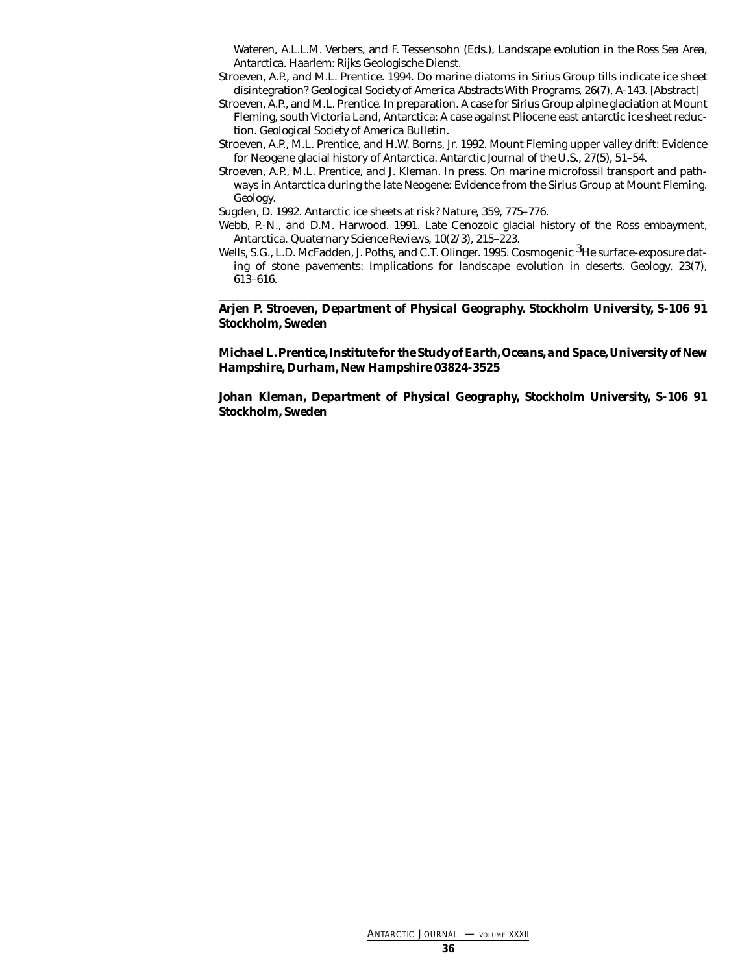Wateren, A.L.L.M. Verbers, and F. Tessensohn (Eds.), *Landscape evolution in the Ross Sea Area, Antarctica*. Haarlem: Rijks Geologische Dienst.

- Stroeven, A.P., and M.L. Prentice. 1994. Do marine diatoms in Sirius Group tills indicate ice sheet disintegration? *Geological Society of America Abstracts With Programs*, 26(7), A-143. [Abstract]
- Stroeven, A.P., and M.L. Prentice. In preparation. A case for Sirius Group alpine glaciation at Mount Fleming, south Victoria Land, Antarctica: A case against Pliocene east antarctic ice sheet reduction. *Geological Society of America Bulletin.*
- Stroeven, A.P., M.L. Prentice, and H.W. Borns, Jr. 1992. Mount Fleming upper valley drift: Evidence for Neogene glacial history of Antarctica. *Antarctic Journal of the U.S.*, 27(5), 51–54.
- Stroeven, A.P., M.L. Prentice, and J. Kleman. In press. On marine microfossil transport and pathways in Antarctica during the late Neogene: Evidence from the Sirius Group at Mount Fleming. *Geology*.

Sugden, D. 1992. Antarctic ice sheets at risk? *Nature*, 359, 775–776.

- Webb, P.-N., and D.M. Harwood. 1991. Late Cenozoic glacial history of the Ross embayment, Antarctica. *Quaternary Science Reviews*, 10(2/3), 215–223.
- Wells, S.G., L.D. McFadden, J. Poths, and C.T. Olinger. 1995. Cosmogenic <sup>3</sup>He surface-exposure dating of stone pavements: Implications for landscape evolution in deserts. *Geology*, 23(7), 613–616.

\_\_\_\_\_\_\_\_\_\_\_\_\_\_\_\_\_\_\_\_\_\_\_\_\_\_\_\_\_\_\_\_\_\_\_\_\_\_\_\_\_\_\_\_\_\_\_\_\_\_\_\_\_\_\_\_\_\_\_\_\_\_\_\_\_\_\_\_\_\_\_\_\_\_\_\_\_\_\_ *Arjen P. Stroeven, Department of Physical Geography. Stockholm University, S-106 91 Stockholm, Sweden*

### *Michael L. Prentice, Institute for the Study of Earth, Oceans, and Space, University of New Hampshire, Durham, New Hampshire 03824-3525*

*Johan Kleman, Department of Physical Geography, Stockholm University, S-106 91 Stockholm, Sweden*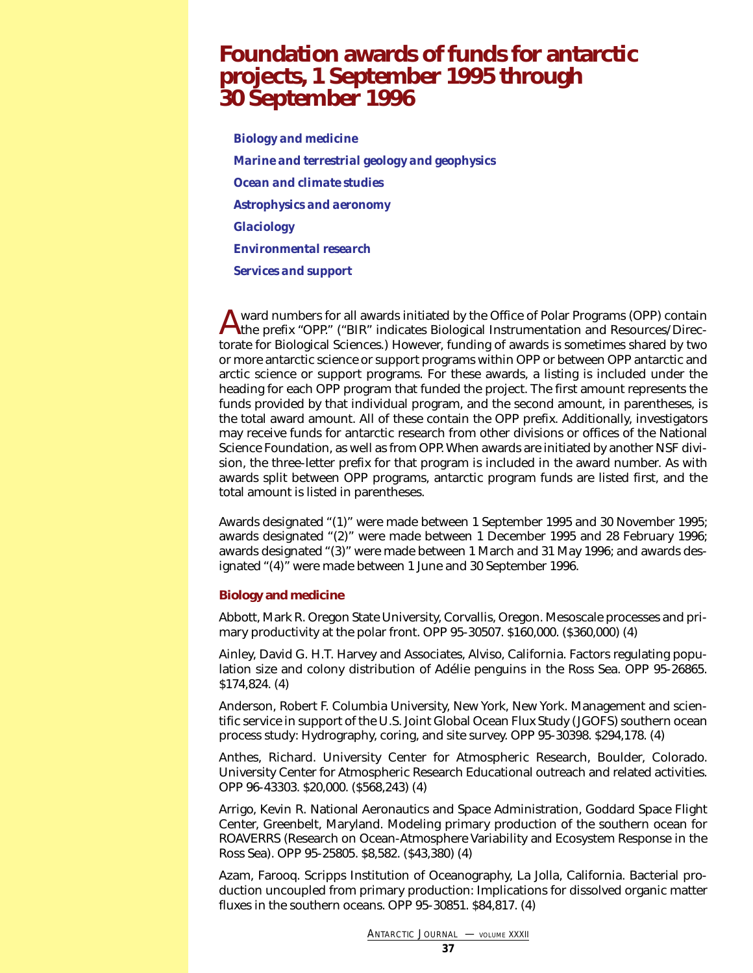## <span id="page-36-0"></span>**Foundation awards of funds for antarctic projects, 1 September 1995 through 30 September 1996**

*[Biology and medicine](#page-36-1) [Marine and terrestrial geology and geophysics](#page-40-0) [Ocean and climate studies](#page-45-0) [Astrophysics and aeronomy](#page-48-0) [Glaciology](#page-49-0) [Environmental research](#page-53-0) [Services and support](#page-53-1)*

A ward numbers for all awards initiated by the Office of Polar Programs (OPP) contain<br>the prefix "OPP." ("BIR" indicates Biological Instrumentation and Resources/Directorate for Biological Sciences.) However, funding of awards is sometimes shared by two or more antarctic science or support programs within OPP or between OPP antarctic and arctic science or support programs. For these awards, a listing is included under the heading for each OPP program that funded the project. The first amount represents the funds provided by that individual program, and the second amount, in parentheses, is the total award amount. All of these contain the OPP prefix. Additionally, investigators may receive funds for antarctic research from other divisions or offices of the National Science Foundation, as well as from OPP. When awards are initiated by another NSF division, the three-letter prefix for that program is included in the award number. As with awards split between OPP programs, antarctic program funds are listed first, and the total amount is listed in parentheses.

<span id="page-36-1"></span>Awards designated "(1)" were made between 1 September 1995 and 30 November 1995; awards designated "(2)" were made between 1 December 1995 and 28 February 1996; awards designated "(3)" were made between 1 March and 31 May 1996; and awards designated "(4)" were made between 1 June and 30 September 1996.

### **Biology and medicine**

Abbott, Mark R. Oregon State University, Corvallis, Oregon. Mesoscale processes and primary productivity at the polar front. OPP 95-30507. \$160,000. (\$360,000) (4)

Ainley, David G. H.T. Harvey and Associates, Alviso, California. Factors regulating population size and colony distribution of Adélie penguins in the Ross Sea. OPP 95-26865. \$174,824. (4)

Anderson, Robert F. Columbia University, New York, New York. Management and scientific service in support of the U.S. Joint Global Ocean Flux Study (JGOFS) southern ocean process study: Hydrography, coring, and site survey. OPP 95-30398. \$294,178. (4)

Anthes, Richard. University Center for Atmospheric Research, Boulder, Colorado. University Center for Atmospheric Research Educational outreach and related activities. OPP 96-43303. \$20,000. (\$568,243) (4)

Arrigo, Kevin R. National Aeronautics and Space Administration, Goddard Space Flight Center, Greenbelt, Maryland. Modeling primary production of the southern ocean for ROAVERRS (Research on Ocean-Atmosphere Variability and Ecosystem Response in the Ross Sea). OPP 95-25805. \$8,582. (\$43,380) (4)

Azam, Farooq. Scripps Institution of Oceanography, La Jolla, California. Bacterial production uncoupled from primary production: Implications for dissolved organic matter fluxes in the southern oceans. OPP 95-30851. \$84,817. (4)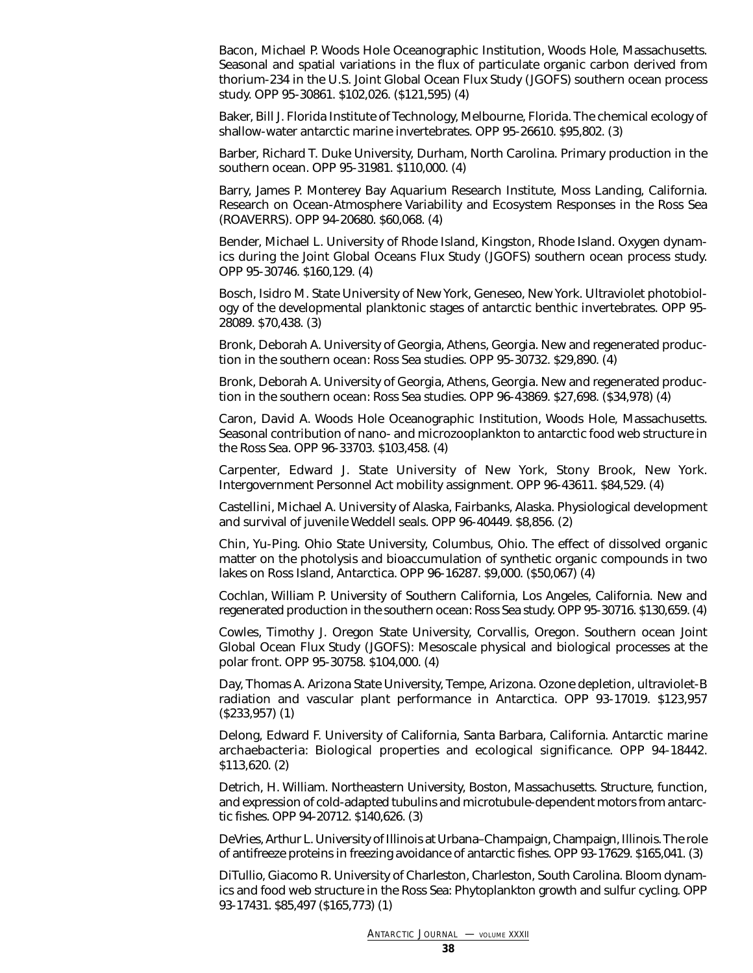Bacon, Michael P. Woods Hole Oceanographic Institution, Woods Hole, Massachusetts. Seasonal and spatial variations in the flux of particulate organic carbon derived from thorium-234 in the U.S. Joint Global Ocean Flux Study (JGOFS) southern ocean process study. OPP 95-30861. \$102,026. (\$121,595) (4)

Baker, Bill J. Florida Institute of Technology, Melbourne, Florida. The chemical ecology of shallow-water antarctic marine invertebrates. OPP 95-26610. \$95,802. (3)

Barber, Richard T. Duke University, Durham, North Carolina. Primary production in the southern ocean. OPP 95-31981. \$110,000. (4)

Barry, James P. Monterey Bay Aquarium Research Institute, Moss Landing, California. Research on Ocean-Atmosphere Variability and Ecosystem Responses in the Ross Sea (ROAVERRS). OPP 94-20680. \$60,068. (4)

Bender, Michael L. University of Rhode Island, Kingston, Rhode Island. Oxygen dynamics during the Joint Global Oceans Flux Study (JGOFS) southern ocean process study. OPP 95-30746. \$160,129. (4)

Bosch, Isidro M. State University of New York, Geneseo, New York. Ultraviolet photobiology of the developmental planktonic stages of antarctic benthic invertebrates. OPP 95- 28089. \$70,438. (3)

Bronk, Deborah A. University of Georgia, Athens, Georgia. New and regenerated production in the southern ocean: Ross Sea studies. OPP 95-30732. \$29,890. (4)

Bronk, Deborah A. University of Georgia, Athens, Georgia. New and regenerated production in the southern ocean: Ross Sea studies. OPP 96-43869. \$27,698. (\$34,978) (4)

Caron, David A. Woods Hole Oceanographic Institution, Woods Hole, Massachusetts. Seasonal contribution of nano- and microzooplankton to antarctic food web structure in the Ross Sea. OPP 96-33703. \$103,458. (4)

Carpenter, Edward J. State University of New York, Stony Brook, New York. Intergovernment Personnel Act mobility assignment. OPP 96-43611. \$84,529. (4)

Castellini, Michael A. University of Alaska, Fairbanks, Alaska. Physiological development and survival of juvenile Weddell seals. OPP 96-40449. \$8,856. (2)

Chin, Yu-Ping. Ohio State University, Columbus, Ohio. The effect of dissolved organic matter on the photolysis and bioaccumulation of synthetic organic compounds in two lakes on Ross Island, Antarctica. OPP 96-16287. \$9,000. (\$50,067) (4)

Cochlan, William P. University of Southern California, Los Angeles, California. New and regenerated production in the southern ocean: Ross Sea study. OPP 95-30716. \$130,659. (4)

Cowles, Timothy J. Oregon State University, Corvallis, Oregon. Southern ocean Joint Global Ocean Flux Study (JGOFS): Mesoscale physical and biological processes at the polar front. OPP 95-30758. \$104,000. (4)

Day, Thomas A. Arizona State University, Tempe, Arizona. Ozone depletion, ultraviolet-B radiation and vascular plant performance in Antarctica. OPP 93-17019. \$123,957 (\$233,957) (1)

Delong, Edward F. University of California, Santa Barbara, California. Antarctic marine archaebacteria: Biological properties and ecological significance. OPP 94-18442. \$113,620. (2)

Detrich, H. William. Northeastern University, Boston, Massachusetts. Structure, function, and expression of cold-adapted tubulins and microtubule-dependent motors from antarctic fishes. OPP 94-20712. \$140,626. (3)

DeVries, Arthur L. University of Illinois at Urbana–Champaign, Champaign, Illinois. The role of antifreeze proteins in freezing avoidance of antarctic fishes. OPP 93-17629. \$165,041. (3)

DiTullio, Giacomo R. University of Charleston, Charleston, South Carolina. Bloom dynamics and food web structure in the Ross Sea: Phytoplankton growth and sulfur cycling. OPP 93-17431. \$85,497 (\$165,773) (1)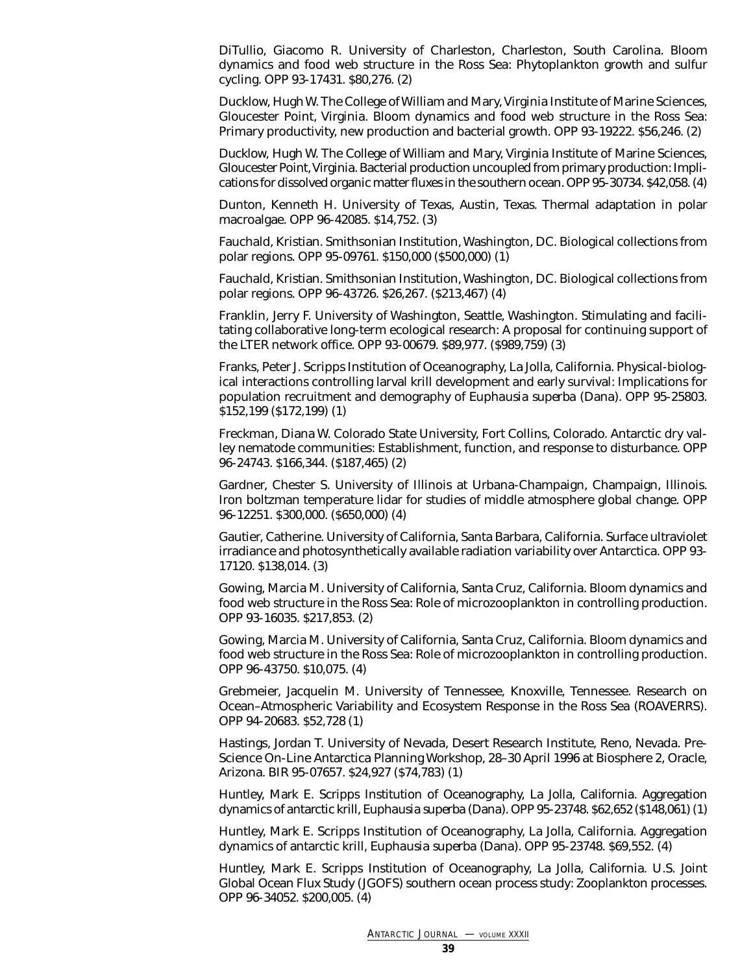DiTullio, Giacomo R. University of Charleston, Charleston, South Carolina. Bloom dynamics and food web structure in the Ross Sea: Phytoplankton growth and sulfur cycling. OPP 93-17431. \$80,276. (2)

Ducklow, Hugh W. The College of William and Mary, Virginia Institute of Marine Sciences, Gloucester Point, Virginia. Bloom dynamics and food web structure in the Ross Sea: Primary productivity, new production and bacterial growth. OPP 93-19222. \$56,246. (2)

Ducklow, Hugh W. The College of William and Mary, Virginia Institute of Marine Sciences, Gloucester Point, Virginia. Bacterial production uncoupled from primary production: Implications for dissolved organic matter fluxes in the southern ocean. OPP 95-30734. \$42,058. (4)

Dunton, Kenneth H. University of Texas, Austin, Texas. Thermal adaptation in polar macroalgae. OPP 96-42085. \$14,752. (3)

Fauchald, Kristian. Smithsonian Institution, Washington, DC. Biological collections from polar regions. OPP 95-09761. \$150,000 (\$500,000) (1)

Fauchald, Kristian. Smithsonian Institution, Washington, DC. Biological collections from polar regions. OPP 96-43726. \$26,267. (\$213,467) (4)

Franklin, Jerry F. University of Washington, Seattle, Washington. Stimulating and facilitating collaborative long-term ecological research: A proposal for continuing support of the LTER network office. OPP 93-00679. \$89,977. (\$989,759) (3)

Franks, Peter J. Scripps Institution of Oceanography, La Jolla, California. Physical-biological interactions controlling larval krill development and early survival: Implications for population recruitment and demography of *Euphausia superba* (Dana). OPP 95-25803. \$152,199 (\$172,199) (1)

Freckman, Diana W. Colorado State University, Fort Collins, Colorado. Antarctic dry valley nematode communities: Establishment, function, and response to disturbance. OPP 96-24743. \$166,344. (\$187,465) (2)

Gardner, Chester S. University of Illinois at Urbana-Champaign, Champaign, Illinois. Iron boltzman temperature lidar for studies of middle atmosphere global change. OPP 96-12251. \$300,000. (\$650,000) (4)

Gautier, Catherine. University of California, Santa Barbara, California. Surface ultraviolet irradiance and photosynthetically available radiation variability over Antarctica. OPP 93- 17120. \$138,014. (3)

Gowing, Marcia M. University of California, Santa Cruz, California. Bloom dynamics and food web structure in the Ross Sea: Role of microzooplankton in controlling production. OPP 93-16035. \$217,853. (2)

Gowing, Marcia M. University of California, Santa Cruz, California. Bloom dynamics and food web structure in the Ross Sea: Role of microzooplankton in controlling production. OPP 96-43750. \$10,075. (4)

Grebmeier, Jacquelin M. University of Tennessee, Knoxville, Tennessee. Research on Ocean–Atmospheric Variability and Ecosystem Response in the Ross Sea (ROAVERRS). OPP 94-20683. \$52,728 (1)

Hastings, Jordan T. University of Nevada, Desert Research Institute, Reno, Nevada. Pre-Science On-Line Antarctica Planning Workshop, 28–30 April 1996 at Biosphere 2, Oracle, Arizona. BIR 95-07657. \$24,927 (\$74,783) (1)

Huntley, Mark E. Scripps Institution of Oceanography, La Jolla, California. Aggregation dynamics of antarctic krill, *Euphausia superba* (Dana). OPP 95-23748. \$62,652 (\$148,061) (1)

Huntley, Mark E. Scripps Institution of Oceanography, La Jolla, California. Aggregation dynamics of antarctic krill, *Euphausia superba* (Dana). OPP 95-23748. \$69,552. (4)

Huntley, Mark E. Scripps Institution of Oceanography, La Jolla, California. U.S. Joint Global Ocean Flux Study (JGOFS) southern ocean process study: Zooplankton processes. OPP 96-34052. \$200,005. (4)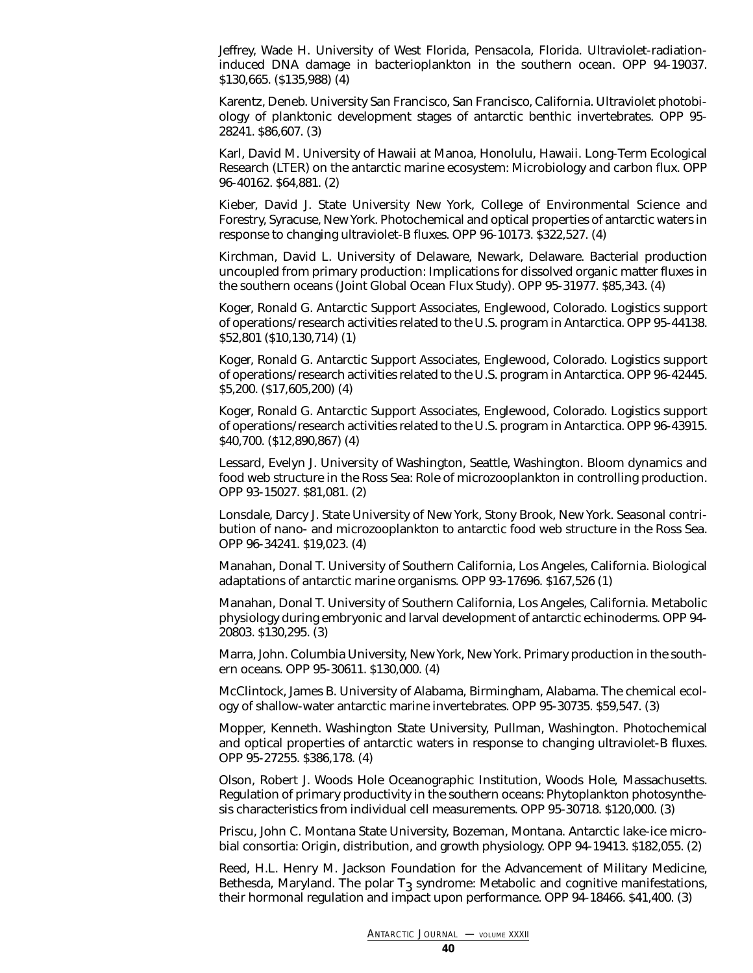Jeffrey, Wade H. University of West Florida, Pensacola, Florida. Ultraviolet-radiationinduced DNA damage in bacterioplankton in the southern ocean. OPP 94-19037. \$130,665. (\$135,988) (4)

Karentz, Deneb. University San Francisco, San Francisco, California. Ultraviolet photobiology of planktonic development stages of antarctic benthic invertebrates. OPP 95- 28241. \$86,607. (3)

Karl, David M. University of Hawaii at Manoa, Honolulu, Hawaii. Long-Term Ecological Research (LTER) on the antarctic marine ecosystem: Microbiology and carbon flux. OPP 96-40162. \$64,881. (2)

Kieber, David J. State University New York, College of Environmental Science and Forestry, Syracuse, New York. Photochemical and optical properties of antarctic waters in response to changing ultraviolet-B fluxes. OPP 96-10173. \$322,527. (4)

Kirchman, David L. University of Delaware, Newark, Delaware. Bacterial production uncoupled from primary production: Implications for dissolved organic matter fluxes in the southern oceans (Joint Global Ocean Flux Study). OPP 95-31977. \$85,343. (4)

Koger, Ronald G. Antarctic Support Associates, Englewood, Colorado. Logistics support of operations/research activities related to the U.S. program in Antarctica. OPP 95-44138. \$52,801 (\$10,130,714) (1)

Koger, Ronald G. Antarctic Support Associates, Englewood, Colorado. Logistics support of operations/research activities related to the U.S. program in Antarctica. OPP 96-42445. \$5,200. (\$17,605,200) (4)

Koger, Ronald G. Antarctic Support Associates, Englewood, Colorado. Logistics support of operations/research activities related to the U.S. program in Antarctica. OPP 96-43915. \$40,700. (\$12,890,867) (4)

Lessard, Evelyn J. University of Washington, Seattle, Washington. Bloom dynamics and food web structure in the Ross Sea: Role of microzooplankton in controlling production. OPP 93-15027. \$81,081. (2)

Lonsdale, Darcy J. State University of New York, Stony Brook, New York. Seasonal contribution of nano- and microzooplankton to antarctic food web structure in the Ross Sea. OPP 96-34241. \$19,023. (4)

Manahan, Donal T. University of Southern California, Los Angeles, California. Biological adaptations of antarctic marine organisms. OPP 93-17696. \$167,526 (1)

Manahan, Donal T. University of Southern California, Los Angeles, California. Metabolic physiology during embryonic and larval development of antarctic echinoderms. OPP 94- 20803. \$130,295. (3)

Marra, John. Columbia University, New York, New York. Primary production in the southern oceans. OPP 95-30611. \$130,000. (4)

McClintock, James B. University of Alabama, Birmingham, Alabama. The chemical ecology of shallow-water antarctic marine invertebrates. OPP 95-30735. \$59,547. (3)

Mopper, Kenneth. Washington State University, Pullman, Washington. Photochemical and optical properties of antarctic waters in response to changing ultraviolet-B fluxes. OPP 95-27255. \$386,178. (4)

Olson, Robert J. Woods Hole Oceanographic Institution, Woods Hole, Massachusetts. Regulation of primary productivity in the southern oceans: Phytoplankton photosynthesis characteristics from individual cell measurements. OPP 95-30718. \$120,000. (3)

Priscu, John C. Montana State University, Bozeman, Montana. Antarctic lake-ice microbial consortia: Origin, distribution, and growth physiology. OPP 94-19413. \$182,055. (2)

Reed, H.L. Henry M. Jackson Foundation for the Advancement of Military Medicine, Bethesda, Maryland. The polar  $T_3$  syndrome: Metabolic and cognitive manifestations, their hormonal regulation and impact upon performance. OPP 94-18466. \$41,400. (3)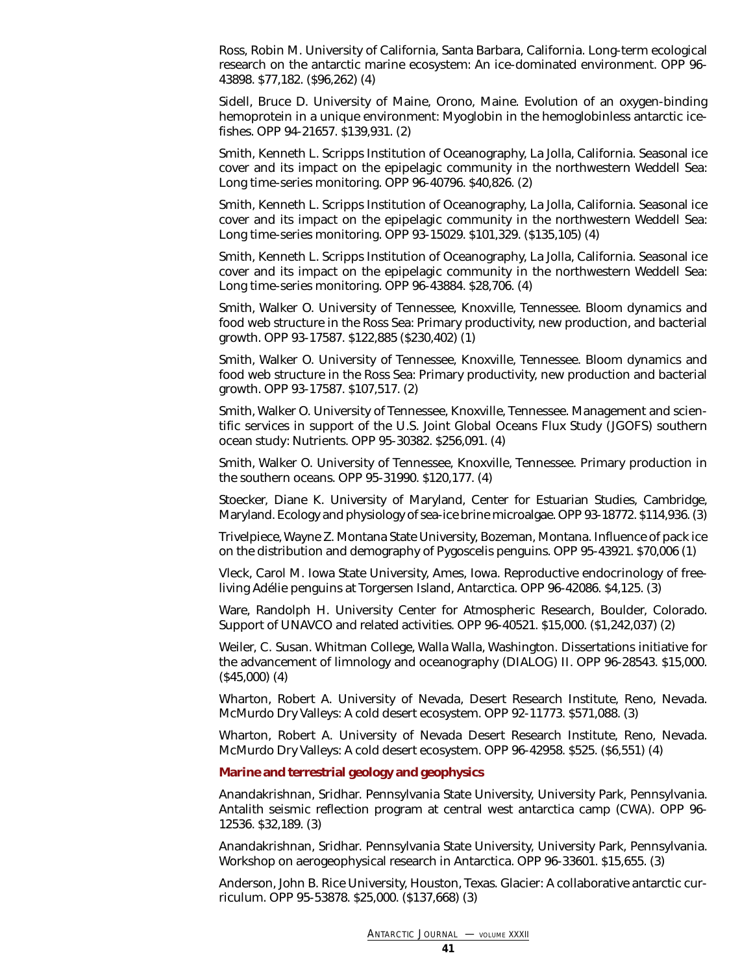Ross, Robin M. University of California, Santa Barbara, California. Long-term ecological research on the antarctic marine ecosystem: An ice-dominated environment. OPP 96- 43898. \$77,182. (\$96,262) (4)

Sidell, Bruce D. University of Maine, Orono, Maine. Evolution of an oxygen-binding hemoprotein in a unique environment: Myoglobin in the hemoglobinless antarctic icefishes. OPP 94-21657. \$139,931. (2)

Smith, Kenneth L. Scripps Institution of Oceanography, La Jolla, California. Seasonal ice cover and its impact on the epipelagic community in the northwestern Weddell Sea: Long time-series monitoring. OPP 96-40796. \$40,826. (2)

Smith, Kenneth L. Scripps Institution of Oceanography, La Jolla, California. Seasonal ice cover and its impact on the epipelagic community in the northwestern Weddell Sea: Long time-series monitoring. OPP 93-15029. \$101,329. (\$135,105) (4)

Smith, Kenneth L. Scripps Institution of Oceanography, La Jolla, California. Seasonal ice cover and its impact on the epipelagic community in the northwestern Weddell Sea: Long time-series monitoring. OPP 96-43884. \$28,706. (4)

Smith, Walker O. University of Tennessee, Knoxville, Tennessee. Bloom dynamics and food web structure in the Ross Sea: Primary productivity, new production, and bacterial growth. OPP 93-17587. \$122,885 (\$230,402) (1)

Smith, Walker O. University of Tennessee, Knoxville, Tennessee. Bloom dynamics and food web structure in the Ross Sea: Primary productivity, new production and bacterial growth. OPP 93-17587. \$107,517. (2)

Smith, Walker O. University of Tennessee, Knoxville, Tennessee. Management and scientific services in support of the U.S. Joint Global Oceans Flux Study (JGOFS) southern ocean study: Nutrients. OPP 95-30382. \$256,091. (4)

Smith, Walker O. University of Tennessee, Knoxville, Tennessee. Primary production in the southern oceans. OPP 95-31990. \$120,177. (4)

<span id="page-40-0"></span>Stoecker, Diane K. University of Maryland, Center for Estuarian Studies, Cambridge, Maryland. Ecology and physiology of sea-ice brine microalgae. OPP 93-18772. \$114,936. (3)

Trivelpiece, Wayne Z. Montana State University, Bozeman, Montana. Influence of pack ice on the distribution and demography of Pygoscelis penguins. OPP 95-43921. \$70,006 (1)

Vleck, Carol M. Iowa State University, Ames, Iowa. Reproductive endocrinology of freeliving Adélie penguins at Torgersen Island, Antarctica. OPP 96-42086. \$4,125. (3)

Ware, Randolph H. University Center for Atmospheric Research, Boulder, Colorado. Support of UNAVCO and related activities. OPP 96-40521. \$15,000. (\$1,242,037) (2)

Weiler, C. Susan. Whitman College, Walla Walla, Washington. Dissertations initiative for the advancement of limnology and oceanography (DIALOG) II. OPP 96-28543. \$15,000. (\$45,000) (4)

Wharton, Robert A. University of Nevada, Desert Research Institute, Reno, Nevada. McMurdo Dry Valleys: A cold desert ecosystem. OPP 92-11773. \$571,088. (3)

Wharton, Robert A. University of Nevada Desert Research Institute, Reno, Nevada. McMurdo Dry Valleys: A cold desert ecosystem. OPP 96-42958. \$525. (\$6,551) (4)

### **Marine and terrestrial geology and geophysics**

Anandakrishnan, Sridhar. Pennsylvania State University, University Park, Pennsylvania. Antalith seismic reflection program at central west antarctica camp (CWA). OPP 96- 12536. \$32,189. (3)

Anandakrishnan, Sridhar. Pennsylvania State University, University Park, Pennsylvania. Workshop on aerogeophysical research in Antarctica. OPP 96-33601. \$15,655. (3)

Anderson, John B. Rice University, Houston, Texas. Glacier: A collaborative antarctic curriculum. OPP 95-53878. \$25,000. (\$137,668) (3)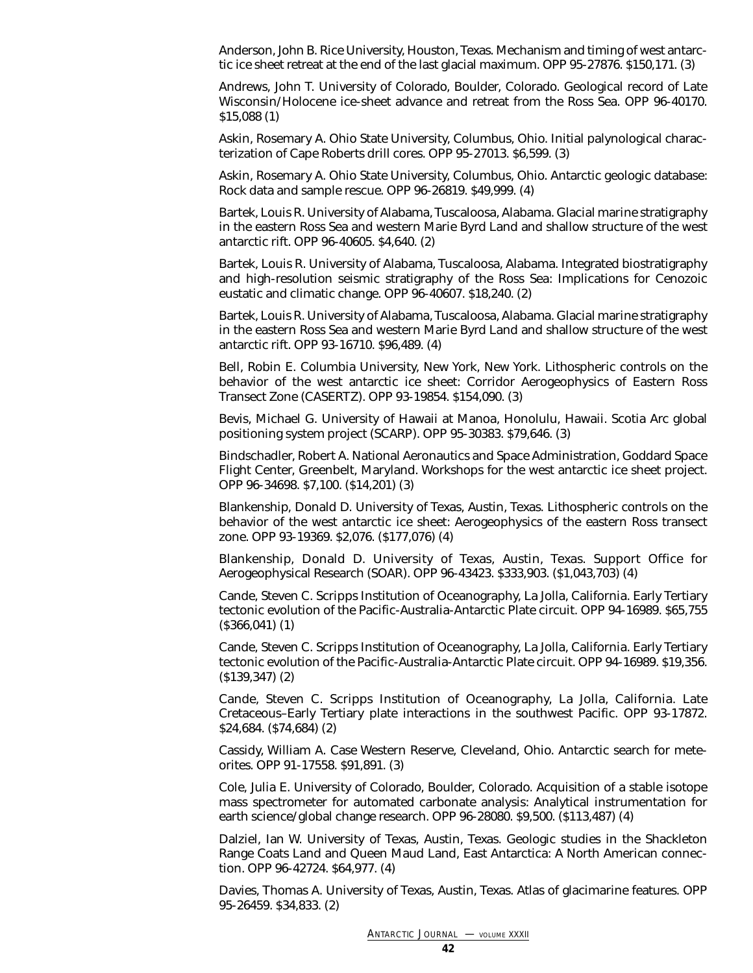Anderson, John B. Rice University, Houston, Texas. Mechanism and timing of west antarctic ice sheet retreat at the end of the last glacial maximum. OPP 95-27876. \$150,171. (3)

Andrews, John T. University of Colorado, Boulder, Colorado. Geological record of Late Wisconsin/Holocene ice-sheet advance and retreat from the Ross Sea. OPP 96-40170. \$15,088 (1)

Askin, Rosemary A. Ohio State University, Columbus, Ohio. Initial palynological characterization of Cape Roberts drill cores. OPP 95-27013. \$6,599. (3)

Askin, Rosemary A. Ohio State University, Columbus, Ohio. Antarctic geologic database: Rock data and sample rescue. OPP 96-26819. \$49,999. (4)

Bartek, Louis R. University of Alabama, Tuscaloosa, Alabama. Glacial marine stratigraphy in the eastern Ross Sea and western Marie Byrd Land and shallow structure of the west antarctic rift. OPP 96-40605. \$4,640. (2)

Bartek, Louis R. University of Alabama, Tuscaloosa, Alabama. Integrated biostratigraphy and high-resolution seismic stratigraphy of the Ross Sea: Implications for Cenozoic eustatic and climatic change. OPP 96-40607. \$18,240. (2)

Bartek, Louis R. University of Alabama, Tuscaloosa, Alabama. Glacial marine stratigraphy in the eastern Ross Sea and western Marie Byrd Land and shallow structure of the west antarctic rift. OPP 93-16710. \$96,489. (4)

Bell, Robin E. Columbia University, New York, New York. Lithospheric controls on the behavior of the west antarctic ice sheet: Corridor Aerogeophysics of Eastern Ross Transect Zone (CASERTZ). OPP 93-19854. \$154,090. (3)

Bevis, Michael G. University of Hawaii at Manoa, Honolulu, Hawaii. Scotia Arc global positioning system project (SCARP). OPP 95-30383. \$79,646. (3)

Bindschadler, Robert A. National Aeronautics and Space Administration, Goddard Space Flight Center, Greenbelt, Maryland. Workshops for the west antarctic ice sheet project. OPP 96-34698. \$7,100. (\$14,201) (3)

Blankenship, Donald D. University of Texas, Austin, Texas. Lithospheric controls on the behavior of the west antarctic ice sheet: Aerogeophysics of the eastern Ross transect zone. OPP 93-19369. \$2,076. (\$177,076) (4)

Blankenship, Donald D. University of Texas, Austin, Texas. Support Office for Aerogeophysical Research (SOAR). OPP 96-43423. \$333,903. (\$1,043,703) (4)

Cande, Steven C. Scripps Institution of Oceanography, La Jolla, California. Early Tertiary tectonic evolution of the Pacific-Australia-Antarctic Plate circuit. OPP 94-16989. \$65,755 (\$366,041) (1)

Cande, Steven C. Scripps Institution of Oceanography, La Jolla, California. Early Tertiary tectonic evolution of the Pacific-Australia-Antarctic Plate circuit. OPP 94-16989. \$19,356. (\$139,347) (2)

Cande, Steven C. Scripps Institution of Oceanography, La Jolla, California. Late Cretaceous–Early Tertiary plate interactions in the southwest Pacific. OPP 93-17872. \$24,684. (\$74,684) (2)

Cassidy, William A. Case Western Reserve, Cleveland, Ohio. Antarctic search for meteorites. OPP 91-17558. \$91,891. (3)

Cole, Julia E. University of Colorado, Boulder, Colorado. Acquisition of a stable isotope mass spectrometer for automated carbonate analysis: Analytical instrumentation for earth science/global change research. OPP 96-28080. \$9,500. (\$113,487) (4)

Dalziel, Ian W. University of Texas, Austin, Texas. Geologic studies in the Shackleton Range Coats Land and Queen Maud Land, East Antarctica: A North American connection. OPP 96-42724. \$64,977. (4)

Davies, Thomas A. University of Texas, Austin, Texas. Atlas of glacimarine features. OPP 95-26459. \$34,833. (2)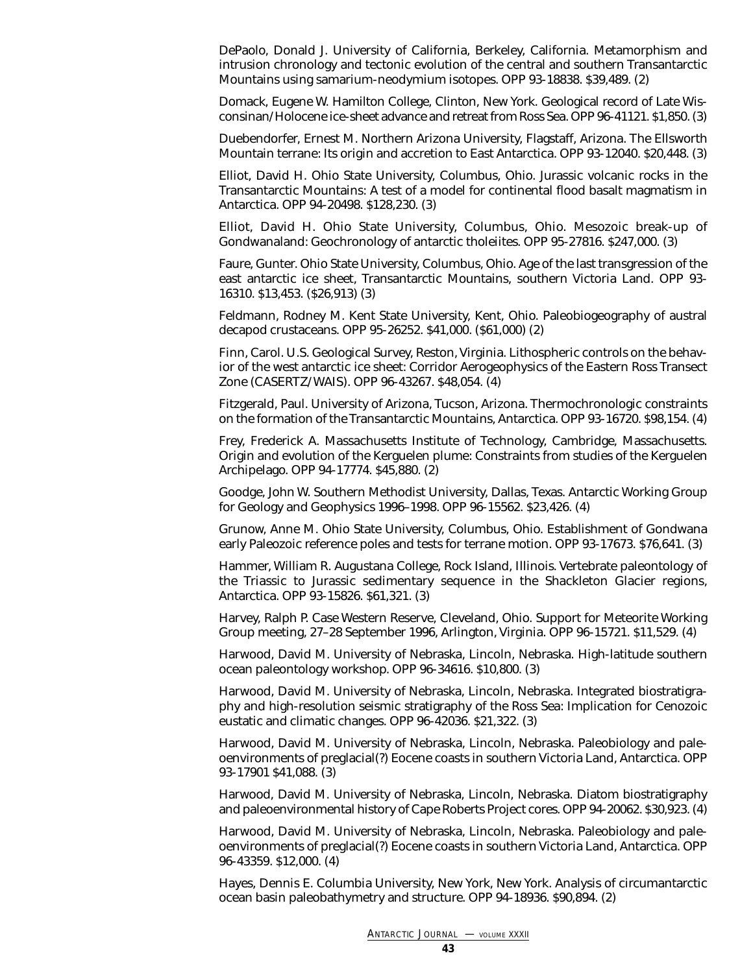DePaolo, Donald J. University of California, Berkeley, California. Metamorphism and intrusion chronology and tectonic evolution of the central and southern Transantarctic Mountains using samarium-neodymium isotopes. OPP 93-18838. \$39,489. (2)

Domack, Eugene W. Hamilton College, Clinton, New York. Geological record of Late Wisconsinan/Holocene ice-sheet advance and retreat from Ross Sea. OPP 96-41121. \$1,850. (3)

Duebendorfer, Ernest M. Northern Arizona University, Flagstaff, Arizona. The Ellsworth Mountain terrane: Its origin and accretion to East Antarctica. OPP 93-12040. \$20,448. (3)

Elliot, David H. Ohio State University, Columbus, Ohio. Jurassic volcanic rocks in the Transantarctic Mountains: A test of a model for continental flood basalt magmatism in Antarctica. OPP 94-20498. \$128,230. (3)

Elliot, David H. Ohio State University, Columbus, Ohio. Mesozoic break-up of Gondwanaland: Geochronology of antarctic tholeiites. OPP 95-27816. \$247,000. (3)

Faure, Gunter. Ohio State University, Columbus, Ohio. Age of the last transgression of the east antarctic ice sheet, Transantarctic Mountains, southern Victoria Land. OPP 93- 16310. \$13,453. (\$26,913) (3)

Feldmann, Rodney M. Kent State University, Kent, Ohio. Paleobiogeography of austral decapod crustaceans. OPP 95-26252. \$41,000. (\$61,000) (2)

Finn, Carol. U.S. Geological Survey, Reston, Virginia. Lithospheric controls on the behavior of the west antarctic ice sheet: Corridor Aerogeophysics of the Eastern Ross Transect Zone (CASERTZ/WAIS). OPP 96-43267. \$48,054. (4)

Fitzgerald, Paul. University of Arizona, Tucson, Arizona. Thermochronologic constraints on the formation of the Transantarctic Mountains, Antarctica. OPP 93-16720. \$98,154. (4)

Frey, Frederick A. Massachusetts Institute of Technology, Cambridge, Massachusetts. Origin and evolution of the Kerguelen plume: Constraints from studies of the Kerguelen Archipelago. OPP 94-17774. \$45,880. (2)

Goodge, John W. Southern Methodist University, Dallas, Texas. Antarctic Working Group for Geology and Geophysics 1996–1998. OPP 96-15562. \$23,426. (4)

Grunow, Anne M. Ohio State University, Columbus, Ohio. Establishment of Gondwana early Paleozoic reference poles and tests for terrane motion. OPP 93-17673. \$76,641. (3)

Hammer, William R. Augustana College, Rock Island, Illinois. Vertebrate paleontology of the Triassic to Jurassic sedimentary sequence in the Shackleton Glacier regions, Antarctica. OPP 93-15826. \$61,321. (3)

Harvey, Ralph P. Case Western Reserve, Cleveland, Ohio. Support for Meteorite Working Group meeting, 27–28 September 1996, Arlington, Virginia. OPP 96-15721. \$11,529. (4)

Harwood, David M. University of Nebraska, Lincoln, Nebraska. High-latitude southern ocean paleontology workshop. OPP 96-34616. \$10,800. (3)

Harwood, David M. University of Nebraska, Lincoln, Nebraska. Integrated biostratigraphy and high-resolution seismic stratigraphy of the Ross Sea: Implication for Cenozoic eustatic and climatic changes. OPP 96-42036. \$21,322. (3)

Harwood, David M. University of Nebraska, Lincoln, Nebraska. Paleobiology and paleoenvironments of preglacial(?) Eocene coasts in southern Victoria Land, Antarctica. OPP 93-17901 \$41,088. (3)

Harwood, David M. University of Nebraska, Lincoln, Nebraska. Diatom biostratigraphy and paleoenvironmental history of Cape Roberts Project cores. OPP 94-20062. \$30,923. (4)

Harwood, David M. University of Nebraska, Lincoln, Nebraska. Paleobiology and paleoenvironments of preglacial(?) Eocene coasts in southern Victoria Land, Antarctica. OPP 96-43359. \$12,000. (4)

Hayes, Dennis E. Columbia University, New York, New York. Analysis of circumantarctic ocean basin paleobathymetry and structure. OPP 94-18936. \$90,894. (2)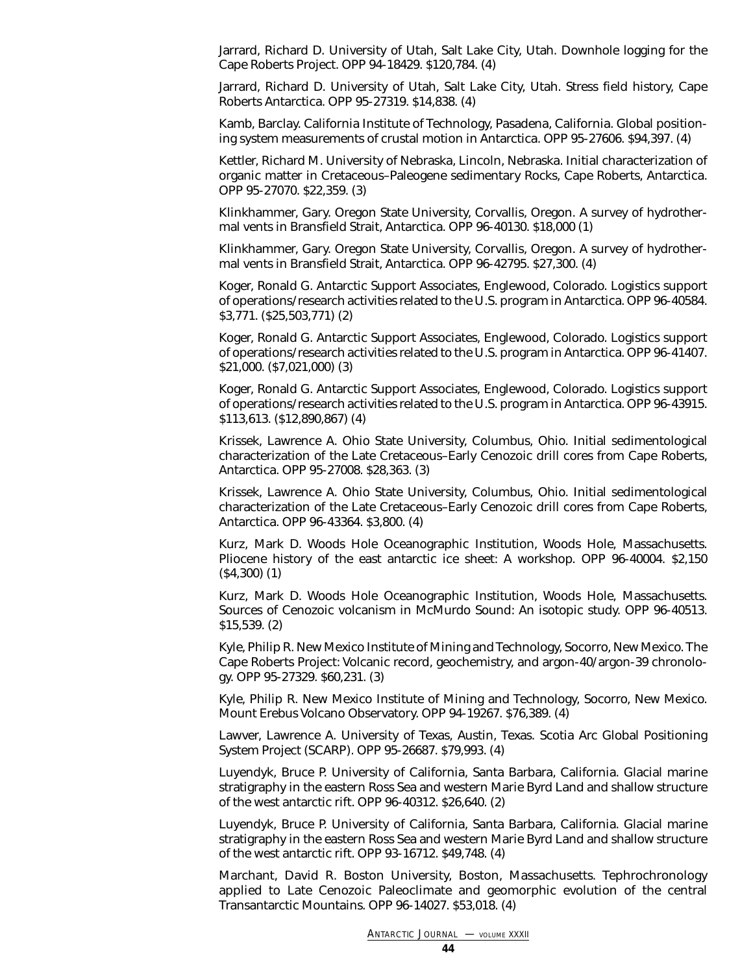Jarrard, Richard D. University of Utah, Salt Lake City, Utah. Downhole logging for the Cape Roberts Project. OPP 94-18429. \$120,784. (4)

Jarrard, Richard D. University of Utah, Salt Lake City, Utah. Stress field history, Cape Roberts Antarctica. OPP 95-27319. \$14,838. (4)

Kamb, Barclay. California Institute of Technology, Pasadena, California. Global positioning system measurements of crustal motion in Antarctica. OPP 95-27606. \$94,397. (4)

Kettler, Richard M. University of Nebraska, Lincoln, Nebraska. Initial characterization of organic matter in Cretaceous–Paleogene sedimentary Rocks, Cape Roberts, Antarctica. OPP 95-27070. \$22,359. (3)

Klinkhammer, Gary. Oregon State University, Corvallis, Oregon. A survey of hydrothermal vents in Bransfield Strait, Antarctica. OPP 96-40130. \$18,000 (1)

Klinkhammer, Gary. Oregon State University, Corvallis, Oregon. A survey of hydrothermal vents in Bransfield Strait, Antarctica. OPP 96-42795. \$27,300. (4)

Koger, Ronald G. Antarctic Support Associates, Englewood, Colorado. Logistics support of operations/research activities related to the U.S. program in Antarctica. OPP 96-40584. \$3,771. (\$25,503,771) (2)

Koger, Ronald G. Antarctic Support Associates, Englewood, Colorado. Logistics support of operations/research activities related to the U.S. program in Antarctica. OPP 96-41407. \$21,000. (\$7,021,000) (3)

Koger, Ronald G. Antarctic Support Associates, Englewood, Colorado. Logistics support of operations/research activities related to the U.S. program in Antarctica. OPP 96-43915. \$113,613. (\$12,890,867) (4)

Krissek, Lawrence A. Ohio State University, Columbus, Ohio. Initial sedimentological characterization of the Late Cretaceous–Early Cenozoic drill cores from Cape Roberts, Antarctica. OPP 95-27008. \$28,363. (3)

Krissek, Lawrence A. Ohio State University, Columbus, Ohio. Initial sedimentological characterization of the Late Cretaceous–Early Cenozoic drill cores from Cape Roberts, Antarctica. OPP 96-43364. \$3,800. (4)

Kurz, Mark D. Woods Hole Oceanographic Institution, Woods Hole, Massachusetts. Pliocene history of the east antarctic ice sheet: A workshop. OPP 96-40004. \$2,150 (\$4,300) (1)

Kurz, Mark D. Woods Hole Oceanographic Institution, Woods Hole, Massachusetts. Sources of Cenozoic volcanism in McMurdo Sound: An isotopic study. OPP 96-40513. \$15,539. (2)

Kyle, Philip R. New Mexico Institute of Mining and Technology, Socorro, New Mexico. The Cape Roberts Project: Volcanic record, geochemistry, and argon-40/argon-39 chronology. OPP 95-27329. \$60,231. (3)

Kyle, Philip R. New Mexico Institute of Mining and Technology, Socorro, New Mexico. Mount Erebus Volcano Observatory. OPP 94-19267. \$76,389. (4)

Lawver, Lawrence A. University of Texas, Austin, Texas. Scotia Arc Global Positioning System Project (SCARP). OPP 95-26687. \$79,993. (4)

Luyendyk, Bruce P. University of California, Santa Barbara, California. Glacial marine stratigraphy in the eastern Ross Sea and western Marie Byrd Land and shallow structure of the west antarctic rift. OPP 96-40312. \$26,640. (2)

Luyendyk, Bruce P. University of California, Santa Barbara, California. Glacial marine stratigraphy in the eastern Ross Sea and western Marie Byrd Land and shallow structure of the west antarctic rift. OPP 93-16712. \$49,748. (4)

Marchant, David R. Boston University, Boston, Massachusetts. Tephrochronology applied to Late Cenozoic Paleoclimate and geomorphic evolution of the central Transantarctic Mountains. OPP 96-14027. \$53,018. (4)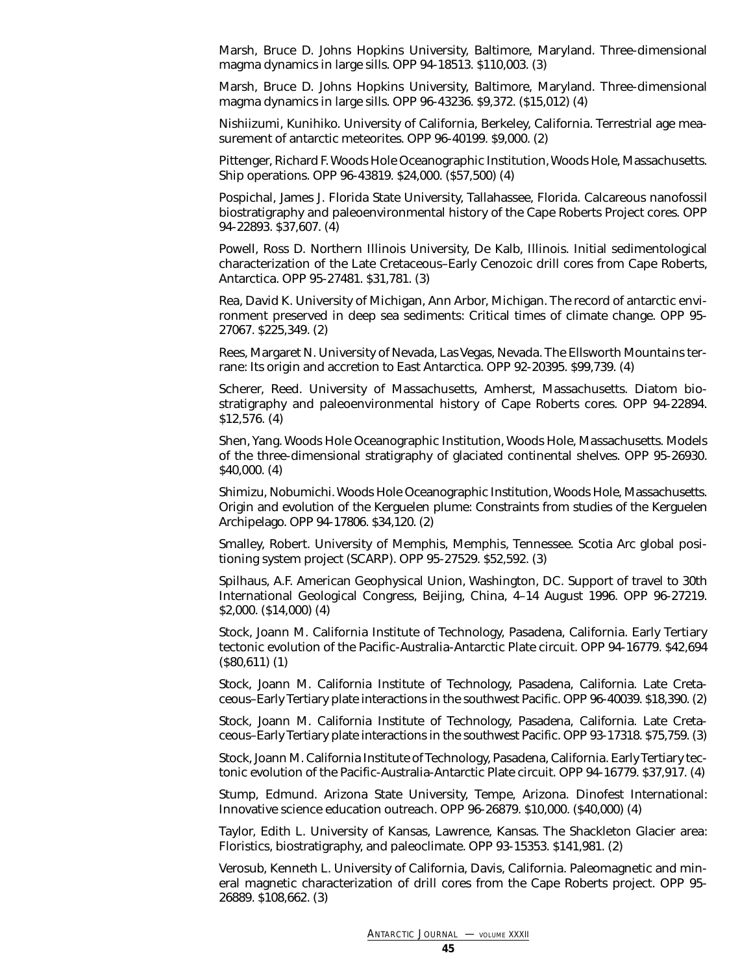Marsh, Bruce D. Johns Hopkins University, Baltimore, Maryland. Three-dimensional magma dynamics in large sills. OPP 94-18513. \$110,003. (3)

Marsh, Bruce D. Johns Hopkins University, Baltimore, Maryland. Three-dimensional magma dynamics in large sills. OPP 96-43236. \$9,372. (\$15,012) (4)

Nishiizumi, Kunihiko. University of California, Berkeley, California. Terrestrial age measurement of antarctic meteorites. OPP 96-40199. \$9,000. (2)

Pittenger, Richard F. Woods Hole Oceanographic Institution, Woods Hole, Massachusetts. Ship operations. OPP 96-43819. \$24,000. (\$57,500) (4)

Pospichal, James J. Florida State University, Tallahassee, Florida. Calcareous nanofossil biostratigraphy and paleoenvironmental history of the Cape Roberts Project cores. OPP 94-22893. \$37,607. (4)

Powell, Ross D. Northern Illinois University, De Kalb, Illinois. Initial sedimentological characterization of the Late Cretaceous–Early Cenozoic drill cores from Cape Roberts, Antarctica. OPP 95-27481. \$31,781. (3)

Rea, David K. University of Michigan, Ann Arbor, Michigan. The record of antarctic environment preserved in deep sea sediments: Critical times of climate change. OPP 95- 27067. \$225,349. (2)

Rees, Margaret N. University of Nevada, Las Vegas, Nevada. The Ellsworth Mountains terrane: Its origin and accretion to East Antarctica. OPP 92-20395. \$99,739. (4)

Scherer, Reed. University of Massachusetts, Amherst, Massachusetts. Diatom biostratigraphy and paleoenvironmental history of Cape Roberts cores. OPP 94-22894. \$12,576. (4)

Shen, Yang. Woods Hole Oceanographic Institution, Woods Hole, Massachusetts. Models of the three-dimensional stratigraphy of glaciated continental shelves. OPP 95-26930. \$40,000. (4)

Shimizu, Nobumichi. Woods Hole Oceanographic Institution, Woods Hole, Massachusetts. Origin and evolution of the Kerguelen plume: Constraints from studies of the Kerguelen Archipelago. OPP 94-17806. \$34,120. (2)

Smalley, Robert. University of Memphis, Memphis, Tennessee. Scotia Arc global positioning system project (SCARP). OPP 95-27529. \$52,592. (3)

Spilhaus, A.F. American Geophysical Union, Washington, DC. Support of travel to 30th International Geological Congress, Beijing, China, 4–14 August 1996. OPP 96-27219. \$2,000. (\$14,000) (4)

Stock, Joann M. California Institute of Technology, Pasadena, California. Early Tertiary tectonic evolution of the Pacific-Australia-Antarctic Plate circuit. OPP 94-16779. \$42,694 (\$80,611) (1)

Stock, Joann M. California Institute of Technology, Pasadena, California. Late Cretaceous–Early Tertiary plate interactions in the southwest Pacific. OPP 96-40039. \$18,390. (2)

Stock, Joann M. California Institute of Technology, Pasadena, California. Late Cretaceous–Early Tertiary plate interactions in the southwest Pacific. OPP 93-17318. \$75,759. (3)

Stock, Joann M. California Institute of Technology, Pasadena, California. Early Tertiary tectonic evolution of the Pacific-Australia-Antarctic Plate circuit. OPP 94-16779. \$37,917. (4)

Stump, Edmund. Arizona State University, Tempe, Arizona. Dinofest International: Innovative science education outreach. OPP 96-26879. \$10,000. (\$40,000) (4)

Taylor, Edith L. University of Kansas, Lawrence, Kansas. The Shackleton Glacier area: Floristics, biostratigraphy, and paleoclimate. OPP 93-15353. \$141,981. (2)

Verosub, Kenneth L. University of California, Davis, California. Paleomagnetic and mineral magnetic characterization of drill cores from the Cape Roberts project. OPP 95- 26889. \$108,662. (3)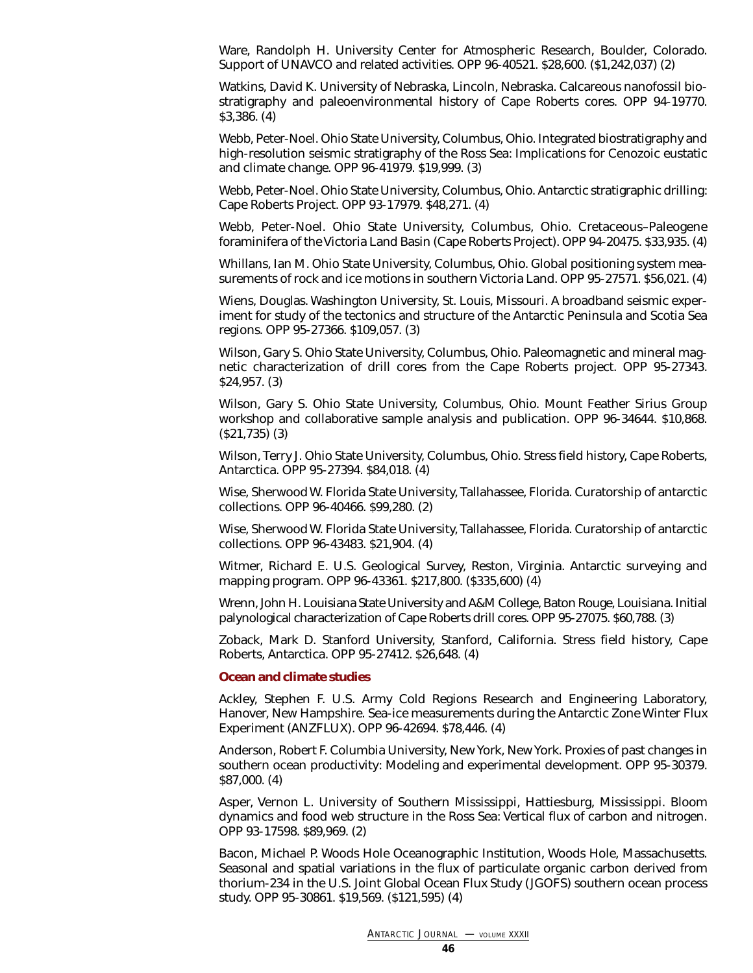Ware, Randolph H. University Center for Atmospheric Research, Boulder, Colorado. Support of UNAVCO and related activities. OPP 96-40521. \$28,600. (\$1,242,037) (2)

Watkins, David K. University of Nebraska, Lincoln, Nebraska. Calcareous nanofossil biostratigraphy and paleoenvironmental history of Cape Roberts cores. OPP 94-19770. \$3,386. (4)

Webb, Peter-Noel. Ohio State University, Columbus, Ohio. Integrated biostratigraphy and high-resolution seismic stratigraphy of the Ross Sea: Implications for Cenozoic eustatic and climate change. OPP 96-41979. \$19,999. (3)

Webb, Peter-Noel. Ohio State University, Columbus, Ohio. Antarctic stratigraphic drilling: Cape Roberts Project. OPP 93-17979. \$48,271. (4)

Webb, Peter-Noel. Ohio State University, Columbus, Ohio. Cretaceous–Paleogene foraminifera of the Victoria Land Basin (Cape Roberts Project). OPP 94-20475. \$33,935. (4)

Whillans, Ian M. Ohio State University, Columbus, Ohio. Global positioning system measurements of rock and ice motions in southern Victoria Land. OPP 95-27571. \$56,021. (4)

Wiens, Douglas. Washington University, St. Louis, Missouri. A broadband seismic experiment for study of the tectonics and structure of the Antarctic Peninsula and Scotia Sea regions. OPP 95-27366. \$109,057. (3)

Wilson, Gary S. Ohio State University, Columbus, Ohio. Paleomagnetic and mineral magnetic characterization of drill cores from the Cape Roberts project. OPP 95-27343. \$24,957. (3)

Wilson, Gary S. Ohio State University, Columbus, Ohio. Mount Feather Sirius Group workshop and collaborative sample analysis and publication. OPP 96-34644. \$10,868. (\$21,735) (3)

Wilson, Terry J. Ohio State University, Columbus, Ohio. Stress field history, Cape Roberts, Antarctica. OPP 95-27394. \$84,018. (4)

<span id="page-45-0"></span>Wise, Sherwood W. Florida State University, Tallahassee, Florida. Curatorship of antarctic collections. OPP 96-40466. \$99,280. (2)

Wise, Sherwood W. Florida State University, Tallahassee, Florida. Curatorship of antarctic collections. OPP 96-43483. \$21,904. (4)

Witmer, Richard E. U.S. Geological Survey, Reston, Virginia. Antarctic surveying and mapping program. OPP 96-43361. \$217,800. (\$335,600) (4)

Wrenn, John H. Louisiana State University and A&M College, Baton Rouge, Louisiana. Initial palynological characterization of Cape Roberts drill cores. OPP 95-27075. \$60,788. (3)

Zoback, Mark D. Stanford University, Stanford, California. Stress field history, Cape Roberts, Antarctica. OPP 95-27412. \$26,648. (4)

#### **Ocean and climate studies**

Ackley, Stephen F. U.S. Army Cold Regions Research and Engineering Laboratory, Hanover, New Hampshire. Sea-ice measurements during the Antarctic Zone Winter Flux Experiment (ANZFLUX). OPP 96-42694. \$78,446. (4)

Anderson, Robert F. Columbia University, New York, New York. Proxies of past changes in southern ocean productivity: Modeling and experimental development. OPP 95-30379. \$87,000. (4)

Asper, Vernon L. University of Southern Mississippi, Hattiesburg, Mississippi. Bloom dynamics and food web structure in the Ross Sea: Vertical flux of carbon and nitrogen. OPP 93-17598. \$89,969. (2)

Bacon, Michael P. Woods Hole Oceanographic Institution, Woods Hole, Massachusetts. Seasonal and spatial variations in the flux of particulate organic carbon derived from thorium-234 in the U.S. Joint Global Ocean Flux Study (JGOFS) southern ocean process study. OPP 95-30861. \$19,569. (\$121,595) (4)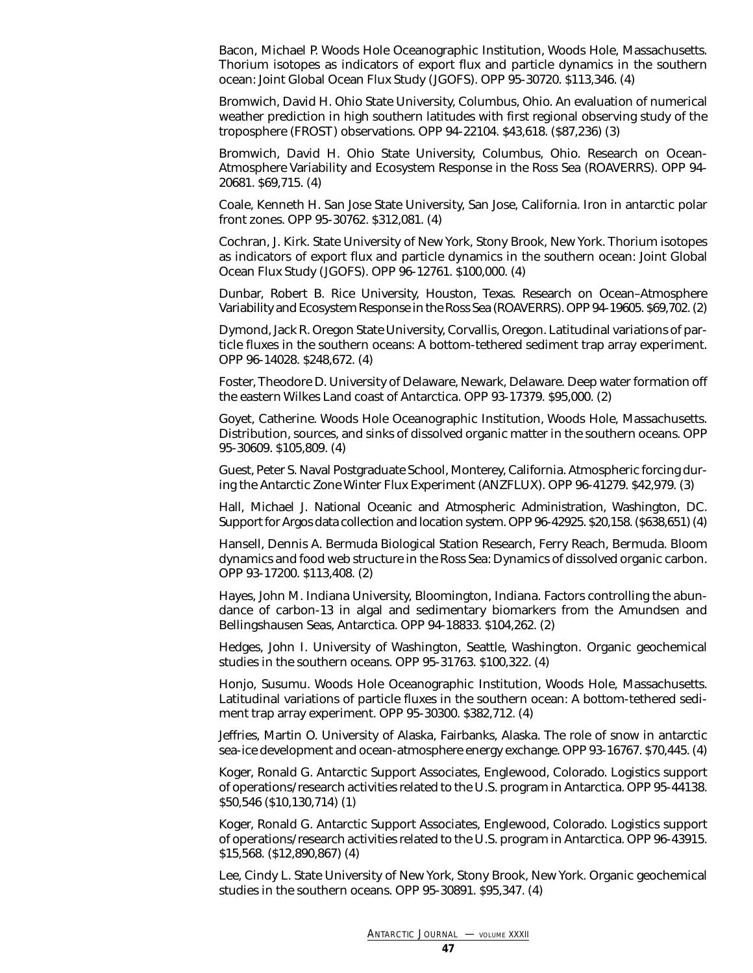Bacon, Michael P. Woods Hole Oceanographic Institution, Woods Hole, Massachusetts. Thorium isotopes as indicators of export flux and particle dynamics in the southern ocean: Joint Global Ocean Flux Study (JGOFS). OPP 95-30720. \$113,346. (4)

Bromwich, David H. Ohio State University, Columbus, Ohio. An evaluation of numerical weather prediction in high southern latitudes with first regional observing study of the troposphere (FROST) observations. OPP 94-22104. \$43,618. (\$87,236) (3)

Bromwich, David H. Ohio State University, Columbus, Ohio. Research on Ocean-Atmosphere Variability and Ecosystem Response in the Ross Sea (ROAVERRS). OPP 94- 20681. \$69,715. (4)

Coale, Kenneth H. San Jose State University, San Jose, California. Iron in antarctic polar front zones. OPP 95-30762. \$312,081. (4)

Cochran, J. Kirk. State University of New York, Stony Brook, New York. Thorium isotopes as indicators of export flux and particle dynamics in the southern ocean: Joint Global Ocean Flux Study (JGOFS). OPP 96-12761. \$100,000. (4)

Dunbar, Robert B. Rice University, Houston, Texas. Research on Ocean–Atmosphere Variability and Ecosystem Response in the Ross Sea (ROAVERRS). OPP 94-19605. \$69,702. (2)

Dymond, Jack R. Oregon State University, Corvallis, Oregon. Latitudinal variations of particle fluxes in the southern oceans: A bottom-tethered sediment trap array experiment. OPP 96-14028. \$248,672. (4)

Foster, Theodore D. University of Delaware, Newark, Delaware. Deep water formation off the eastern Wilkes Land coast of Antarctica. OPP 93-17379. \$95,000. (2)

Goyet, Catherine. Woods Hole Oceanographic Institution, Woods Hole, Massachusetts. Distribution, sources, and sinks of dissolved organic matter in the southern oceans. OPP 95-30609. \$105,809. (4)

Guest, Peter S. Naval Postgraduate School, Monterey, California. Atmospheric forcing during the Antarctic Zone Winter Flux Experiment (ANZFLUX). OPP 96-41279. \$42,979. (3)

Hall, Michael J. National Oceanic and Atmospheric Administration, Washington, DC. Support for Argos data collection and location system. OPP 96-42925. \$20,158. (\$638,651) (4)

Hansell, Dennis A. Bermuda Biological Station Research, Ferry Reach, Bermuda. Bloom dynamics and food web structure in the Ross Sea: Dynamics of dissolved organic carbon. OPP 93-17200. \$113,408. (2)

Hayes, John M. Indiana University, Bloomington, Indiana. Factors controlling the abundance of carbon-13 in algal and sedimentary biomarkers from the Amundsen and Bellingshausen Seas, Antarctica. OPP 94-18833. \$104,262. (2)

Hedges, John I. University of Washington, Seattle, Washington. Organic geochemical studies in the southern oceans. OPP 95-31763. \$100,322. (4)

Honjo, Susumu. Woods Hole Oceanographic Institution, Woods Hole, Massachusetts. Latitudinal variations of particle fluxes in the southern ocean: A bottom-tethered sediment trap array experiment. OPP 95-30300. \$382,712. (4)

Jeffries, Martin O. University of Alaska, Fairbanks, Alaska. The role of snow in antarctic sea-ice development and ocean-atmosphere energy exchange. OPP 93-16767. \$70,445. (4)

Koger, Ronald G. Antarctic Support Associates, Englewood, Colorado. Logistics support of operations/research activities related to the U.S. program in Antarctica. OPP 95-44138. \$50,546 (\$10,130,714) (1)

Koger, Ronald G. Antarctic Support Associates, Englewood, Colorado. Logistics support of operations/research activities related to the U.S. program in Antarctica. OPP 96-43915. \$15,568. (\$12,890,867) (4)

Lee, Cindy L. State University of New York, Stony Brook, New York. Organic geochemical studies in the southern oceans. OPP 95-30891. \$95,347. (4)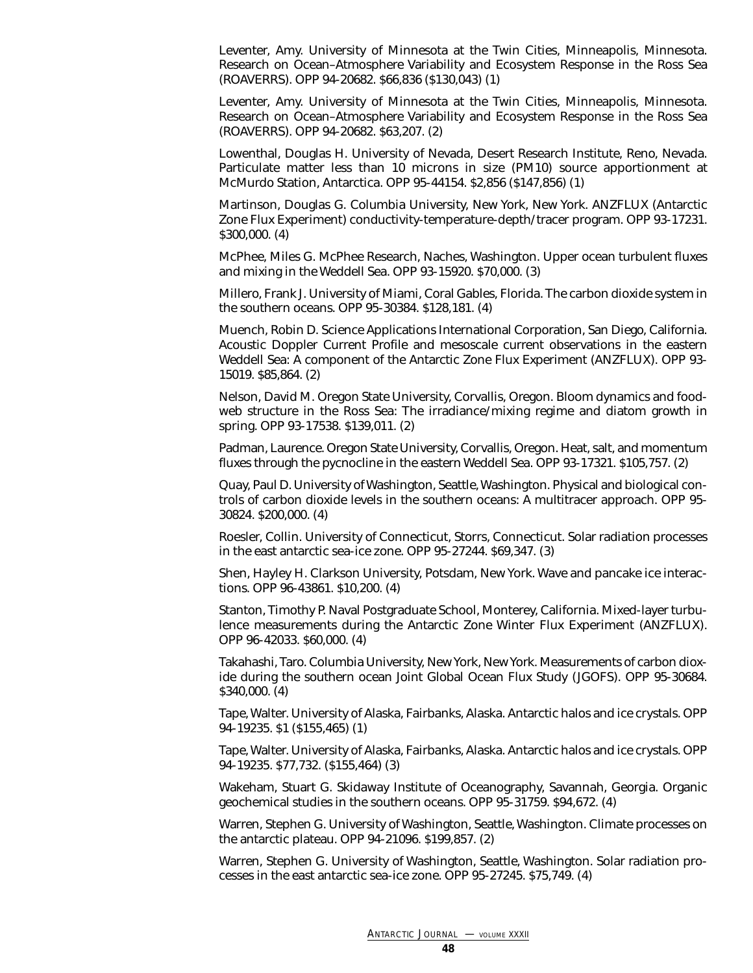Leventer, Amy. University of Minnesota at the Twin Cities, Minneapolis, Minnesota. Research on Ocean–Atmosphere Variability and Ecosystem Response in the Ross Sea (ROAVERRS). OPP 94-20682. \$66,836 (\$130,043) (1)

Leventer, Amy. University of Minnesota at the Twin Cities, Minneapolis, Minnesota. Research on Ocean–Atmosphere Variability and Ecosystem Response in the Ross Sea (ROAVERRS). OPP 94-20682. \$63,207. (2)

Lowenthal, Douglas H. University of Nevada, Desert Research Institute, Reno, Nevada. Particulate matter less than 10 microns in size (PM10) source apportionment at McMurdo Station, Antarctica. OPP 95-44154. \$2,856 (\$147,856) (1)

Martinson, Douglas G. Columbia University, New York, New York. ANZFLUX (Antarctic Zone Flux Experiment) conductivity-temperature-depth/tracer program. OPP 93-17231. \$300,000. (4)

McPhee, Miles G. McPhee Research, Naches, Washington. Upper ocean turbulent fluxes and mixing in the Weddell Sea. OPP 93-15920. \$70,000. (3)

Millero, Frank J. University of Miami, Coral Gables, Florida. The carbon dioxide system in the southern oceans. OPP 95-30384. \$128,181. (4)

Muench, Robin D. Science Applications International Corporation, San Diego, California. Acoustic Doppler Current Profile and mesoscale current observations in the eastern Weddell Sea: A component of the Antarctic Zone Flux Experiment (ANZFLUX). OPP 93- 15019. \$85,864. (2)

Nelson, David M. Oregon State University, Corvallis, Oregon. Bloom dynamics and foodweb structure in the Ross Sea: The irradiance/mixing regime and diatom growth in spring. OPP 93-17538. \$139,011. (2)

Padman, Laurence. Oregon State University, Corvallis, Oregon. Heat, salt, and momentum fluxes through the pycnocline in the eastern Weddell Sea. OPP 93-17321. \$105,757. (2)

Quay, Paul D. University of Washington, Seattle, Washington. Physical and biological controls of carbon dioxide levels in the southern oceans: A multitracer approach. OPP 95- 30824. \$200,000. (4)

Roesler, Collin. University of Connecticut, Storrs, Connecticut. Solar radiation processes in the east antarctic sea-ice zone. OPP 95-27244. \$69,347. (3)

Shen, Hayley H. Clarkson University, Potsdam, New York. Wave and pancake ice interactions. OPP 96-43861. \$10,200. (4)

Stanton, Timothy P. Naval Postgraduate School, Monterey, California. Mixed-layer turbulence measurements during the Antarctic Zone Winter Flux Experiment (ANZFLUX). OPP 96-42033. \$60,000. (4)

Takahashi, Taro. Columbia University, New York, New York. Measurements of carbon dioxide during the southern ocean Joint Global Ocean Flux Study (JGOFS). OPP 95-30684. \$340,000. (4)

Tape, Walter. University of Alaska, Fairbanks, Alaska. Antarctic halos and ice crystals. OPP 94-19235. \$1 (\$155,465) (1)

Tape, Walter. University of Alaska, Fairbanks, Alaska. Antarctic halos and ice crystals. OPP 94-19235. \$77,732. (\$155,464) (3)

Wakeham, Stuart G. Skidaway Institute of Oceanography, Savannah, Georgia. Organic geochemical studies in the southern oceans. OPP 95-31759. \$94,672. (4)

Warren, Stephen G. University of Washington, Seattle, Washington. Climate processes on the antarctic plateau. OPP 94-21096. \$199,857. (2)

Warren, Stephen G. University of Washington, Seattle, Washington. Solar radiation processes in the east antarctic sea-ice zone. OPP 95-27245. \$75,749. (4)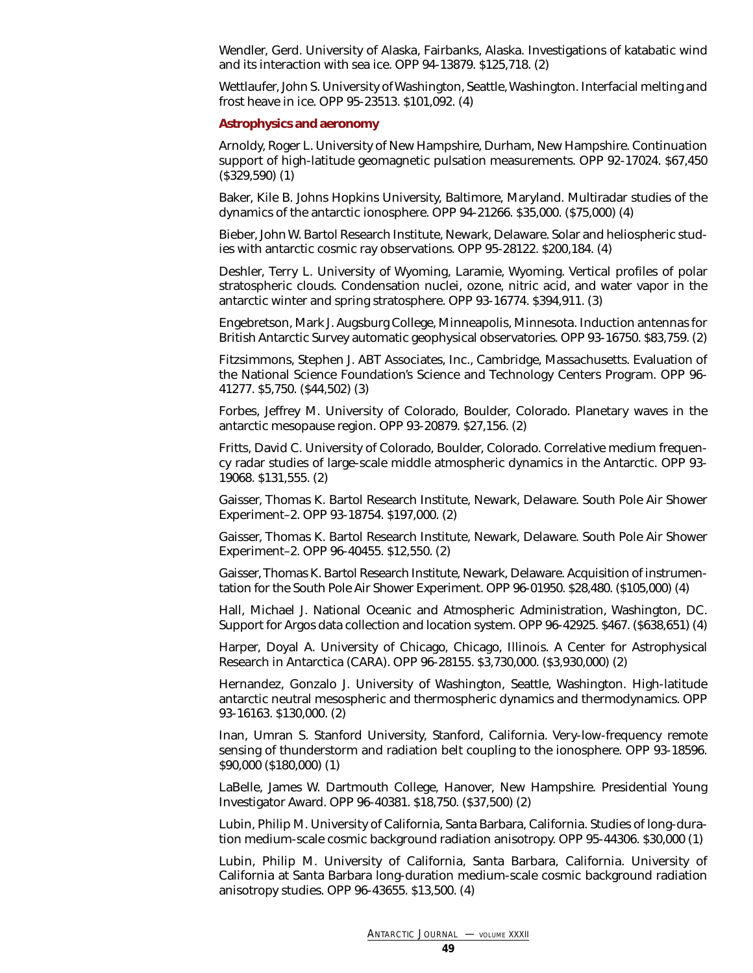Wendler, Gerd. University of Alaska, Fairbanks, Alaska. Investigations of katabatic wind and its interaction with sea ice. OPP 94-13879. \$125,718. (2)

Wettlaufer, John S. University of Washington, Seattle, Washington. Interfacial melting and frost heave in ice. OPP 95-23513. \$101,092. (4)

#### <span id="page-48-0"></span>**Astrophysics and aeronomy**

Arnoldy, Roger L. University of New Hampshire, Durham, New Hampshire. Continuation support of high-latitude geomagnetic pulsation measurements. OPP 92-17024. \$67,450 (\$329,590) (1)

Baker, Kile B. Johns Hopkins University, Baltimore, Maryland. Multiradar studies of the dynamics of the antarctic ionosphere. OPP 94-21266. \$35,000. (\$75,000) (4)

Bieber, John W. Bartol Research Institute, Newark, Delaware. Solar and heliospheric studies with antarctic cosmic ray observations. OPP 95-28122. \$200,184. (4)

Deshler, Terry L. University of Wyoming, Laramie, Wyoming. Vertical profiles of polar stratospheric clouds. Condensation nuclei, ozone, nitric acid, and water vapor in the antarctic winter and spring stratosphere. OPP 93-16774. \$394,911. (3)

Engebretson, Mark J. Augsburg College, Minneapolis, Minnesota. Induction antennas for British Antarctic Survey automatic geophysical observatories. OPP 93-16750. \$83,759. (2)

Fitzsimmons, Stephen J. ABT Associates, Inc., Cambridge, Massachusetts. Evaluation of the National Science Foundation's Science and Technology Centers Program. OPP 96- 41277. \$5,750. (\$44,502) (3)

Forbes, Jeffrey M. University of Colorado, Boulder, Colorado. Planetary waves in the antarctic mesopause region. OPP 93-20879. \$27,156. (2)

Fritts, David C. University of Colorado, Boulder, Colorado. Correlative medium frequency radar studies of large-scale middle atmospheric dynamics in the Antarctic. OPP 93- 19068. \$131,555. (2)

Gaisser, Thomas K. Bartol Research Institute, Newark, Delaware. South Pole Air Shower Experiment–2. OPP 93-18754. \$197,000. (2)

Gaisser, Thomas K. Bartol Research Institute, Newark, Delaware. South Pole Air Shower Experiment–2. OPP 96-40455. \$12,550. (2)

Gaisser, Thomas K. Bartol Research Institute, Newark, Delaware. Acquisition of instrumentation for the South Pole Air Shower Experiment. OPP 96-01950. \$28,480. (\$105,000) (4)

Hall, Michael J. National Oceanic and Atmospheric Administration, Washington, DC. Support for Argos data collection and location system. OPP 96-42925. \$467. (\$638,651) (4)

Harper, Doyal A. University of Chicago, Chicago, Illinois. A Center for Astrophysical Research in Antarctica (CARA). OPP 96-28155. \$3,730,000. (\$3,930,000) (2)

Hernandez, Gonzalo J. University of Washington, Seattle, Washington. High-latitude antarctic neutral mesospheric and thermospheric dynamics and thermodynamics. OPP 93-16163. \$130,000. (2)

Inan, Umran S. Stanford University, Stanford, California. Very-low-frequency remote sensing of thunderstorm and radiation belt coupling to the ionosphere. OPP 93-18596. \$90,000 (\$180,000) (1)

LaBelle, James W. Dartmouth College, Hanover, New Hampshire. Presidential Young Investigator Award. OPP 96-40381. \$18,750. (\$37,500) (2)

Lubin, Philip M. University of California, Santa Barbara, California. Studies of long-duration medium-scale cosmic background radiation anisotropy. OPP 95-44306. \$30,000 (1)

Lubin, Philip M. University of California, Santa Barbara, California. University of California at Santa Barbara long-duration medium-scale cosmic background radiation anisotropy studies. OPP 96-43655. \$13,500. (4)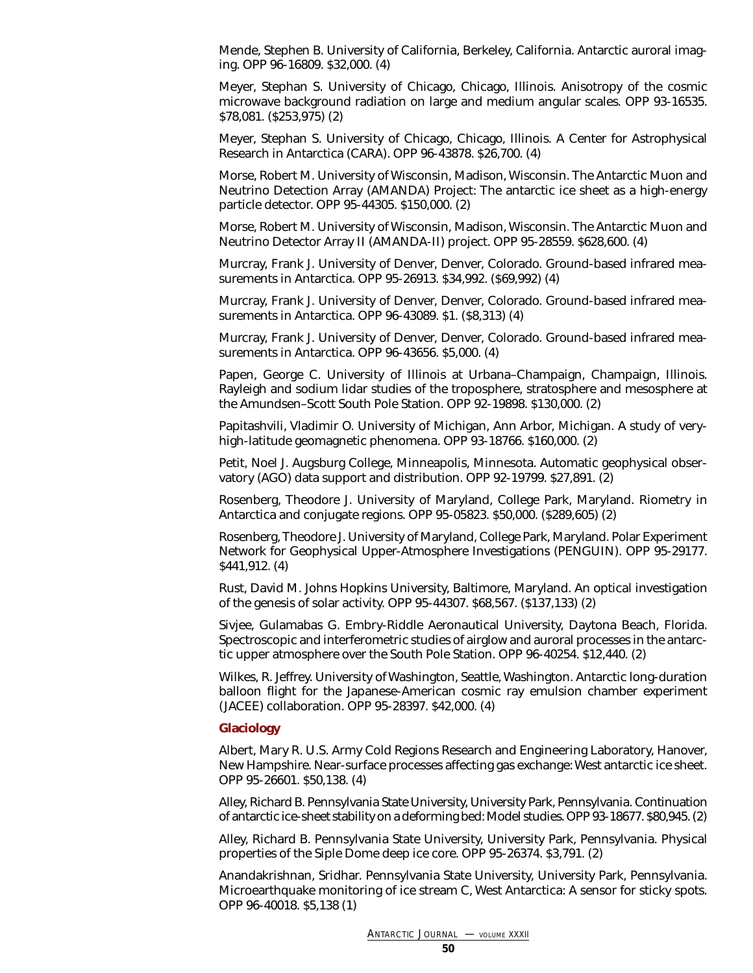Mende, Stephen B. University of California, Berkeley, California. Antarctic auroral imaging. OPP 96-16809. \$32,000. (4)

Meyer, Stephan S. University of Chicago, Chicago, Illinois. Anisotropy of the cosmic microwave background radiation on large and medium angular scales. OPP 93-16535. \$78,081. (\$253,975) (2)

Meyer, Stephan S. University of Chicago, Chicago, Illinois. A Center for Astrophysical Research in Antarctica (CARA). OPP 96-43878. \$26,700. (4)

Morse, Robert M. University of Wisconsin, Madison, Wisconsin. The Antarctic Muon and Neutrino Detection Array (AMANDA) Project: The antarctic ice sheet as a high-energy particle detector. OPP 95-44305. \$150,000. (2)

Morse, Robert M. University of Wisconsin, Madison, Wisconsin. The Antarctic Muon and Neutrino Detector Array II (AMANDA-II) project. OPP 95-28559. \$628,600. (4)

Murcray, Frank J. University of Denver, Denver, Colorado. Ground-based infrared measurements in Antarctica. OPP 95-26913. \$34,992. (\$69,992) (4)

Murcray, Frank J. University of Denver, Denver, Colorado. Ground-based infrared measurements in Antarctica. OPP 96-43089. \$1. (\$8,313) (4)

Murcray, Frank J. University of Denver, Denver, Colorado. Ground-based infrared measurements in Antarctica. OPP 96-43656. \$5,000. (4)

Papen, George C. University of Illinois at Urbana–Champaign, Champaign, Illinois. Rayleigh and sodium lidar studies of the troposphere, stratosphere and mesosphere at the Amundsen–Scott South Pole Station. OPP 92-19898. \$130,000. (2)

Papitashvili, Vladimir O. University of Michigan, Ann Arbor, Michigan. A study of veryhigh-latitude geomagnetic phenomena. OPP 93-18766. \$160,000. (2)

Petit, Noel J. Augsburg College, Minneapolis, Minnesota. Automatic geophysical observatory (AGO) data support and distribution. OPP 92-19799. \$27,891. (2)

<span id="page-49-0"></span>Rosenberg, Theodore J. University of Maryland, College Park, Maryland. Riometry in Antarctica and conjugate regions. OPP 95-05823. \$50,000. (\$289,605) (2)

Rosenberg, Theodore J. University of Maryland, College Park, Maryland. Polar Experiment Network for Geophysical Upper-Atmosphere Investigations (PENGUIN). OPP 95-29177. \$441,912. (4)

Rust, David M. Johns Hopkins University, Baltimore, Maryland. An optical investigation of the genesis of solar activity. OPP 95-44307. \$68,567. (\$137,133) (2)

Sivjee, Gulamabas G. Embry-Riddle Aeronautical University, Daytona Beach, Florida. Spectroscopic and interferometric studies of airglow and auroral processes in the antarctic upper atmosphere over the South Pole Station. OPP 96-40254. \$12,440. (2)

Wilkes, R. Jeffrey. University of Washington, Seattle, Washington. Antarctic long-duration balloon flight for the Japanese-American cosmic ray emulsion chamber experiment (JACEE) collaboration. OPP 95-28397. \$42,000. (4)

### **Glaciology**

Albert, Mary R. U.S. Army Cold Regions Research and Engineering Laboratory, Hanover, New Hampshire. Near-surface processes affecting gas exchange: West antarctic ice sheet. OPP 95-26601. \$50,138. (4)

Alley, Richard B. Pennsylvania State University, University Park, Pennsylvania. Continuation of antarctic ice-sheet stability on a deforming bed: Model studies. OPP 93-18677. \$80,945. (2)

Alley, Richard B. Pennsylvania State University, University Park, Pennsylvania. Physical properties of the Siple Dome deep ice core. OPP 95-26374. \$3,791. (2)

Anandakrishnan, Sridhar. Pennsylvania State University, University Park, Pennsylvania. Microearthquake monitoring of ice stream C, West Antarctica: A sensor for sticky spots. OPP 96-40018. \$5,138 (1)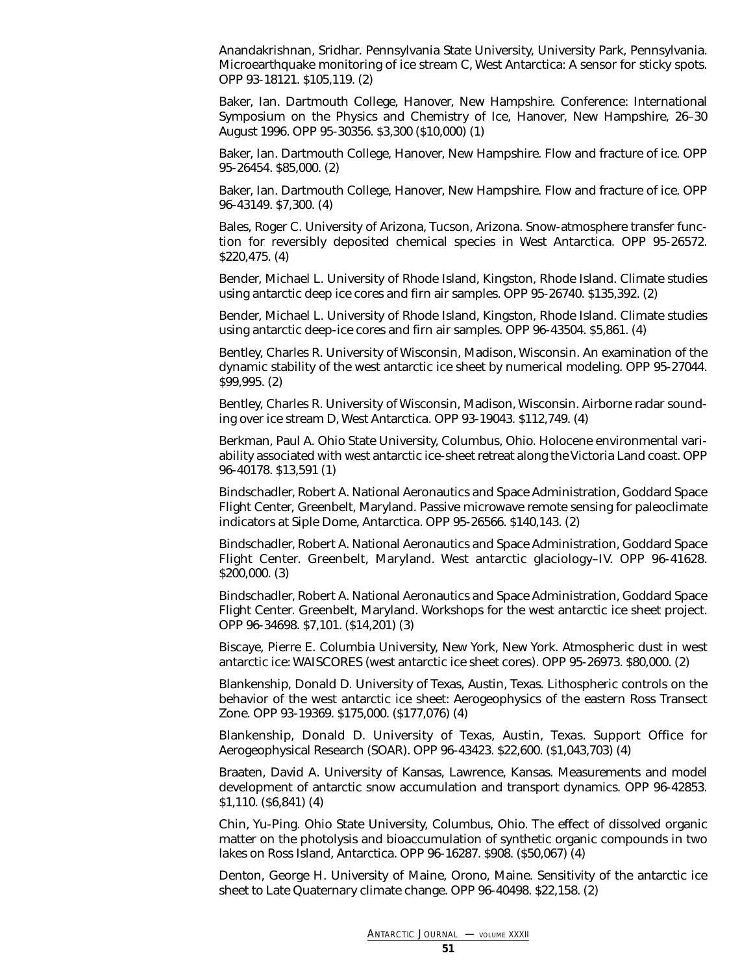Anandakrishnan, Sridhar. Pennsylvania State University, University Park, Pennsylvania. Microearthquake monitoring of ice stream C, West Antarctica: A sensor for sticky spots. OPP 93-18121. \$105,119. (2)

Baker, Ian. Dartmouth College, Hanover, New Hampshire. Conference: International Symposium on the Physics and Chemistry of Ice, Hanover, New Hampshire, 26–30 August 1996. OPP 95-30356. \$3,300 (\$10,000) (1)

Baker, Ian. Dartmouth College, Hanover, New Hampshire. Flow and fracture of ice. OPP 95-26454. \$85,000. (2)

Baker, Ian. Dartmouth College, Hanover, New Hampshire. Flow and fracture of ice. OPP 96-43149. \$7,300. (4)

Bales, Roger C. University of Arizona, Tucson, Arizona. Snow-atmosphere transfer function for reversibly deposited chemical species in West Antarctica. OPP 95-26572. \$220,475. (4)

Bender, Michael L. University of Rhode Island, Kingston, Rhode Island. Climate studies using antarctic deep ice cores and firn air samples. OPP 95-26740. \$135,392. (2)

Bender, Michael L. University of Rhode Island, Kingston, Rhode Island. Climate studies using antarctic deep-ice cores and firn air samples. OPP 96-43504. \$5,861. (4)

Bentley, Charles R. University of Wisconsin, Madison, Wisconsin. An examination of the dynamic stability of the west antarctic ice sheet by numerical modeling. OPP 95-27044. \$99,995. (2)

Bentley, Charles R. University of Wisconsin, Madison, Wisconsin. Airborne radar sounding over ice stream D, West Antarctica. OPP 93-19043. \$112,749. (4)

Berkman, Paul A. Ohio State University, Columbus, Ohio. Holocene environmental variability associated with west antarctic ice-sheet retreat along the Victoria Land coast. OPP 96-40178. \$13,591 (1)

Bindschadler, Robert A. National Aeronautics and Space Administration, Goddard Space Flight Center, Greenbelt, Maryland. Passive microwave remote sensing for paleoclimate indicators at Siple Dome, Antarctica. OPP 95-26566. \$140,143. (2)

Bindschadler, Robert A. National Aeronautics and Space Administration, Goddard Space Flight Center. Greenbelt, Maryland. West antarctic glaciology–IV. OPP 96-41628. \$200,000. (3)

Bindschadler, Robert A. National Aeronautics and Space Administration, Goddard Space Flight Center. Greenbelt, Maryland. Workshops for the west antarctic ice sheet project. OPP 96-34698. \$7,101. (\$14,201) (3)

Biscaye, Pierre E. Columbia University, New York, New York. Atmospheric dust in west antarctic ice: WAISCORES (west antarctic ice sheet cores). OPP 95-26973. \$80,000. (2)

Blankenship, Donald D. University of Texas, Austin, Texas. Lithospheric controls on the behavior of the west antarctic ice sheet: Aerogeophysics of the eastern Ross Transect Zone. OPP 93-19369. \$175,000. (\$177,076) (4)

Blankenship, Donald D. University of Texas, Austin, Texas. Support Office for Aerogeophysical Research (SOAR). OPP 96-43423. \$22,600. (\$1,043,703) (4)

Braaten, David A. University of Kansas, Lawrence, Kansas. Measurements and model development of antarctic snow accumulation and transport dynamics. OPP 96-42853. \$1,110. (\$6,841) (4)

Chin, Yu-Ping. Ohio State University, Columbus, Ohio. The effect of dissolved organic matter on the photolysis and bioaccumulation of synthetic organic compounds in two lakes on Ross Island, Antarctica. OPP 96-16287. \$908. (\$50,067) (4)

Denton, George H. University of Maine, Orono, Maine. Sensitivity of the antarctic ice sheet to Late Quaternary climate change. OPP 96-40498. \$22,158. (2)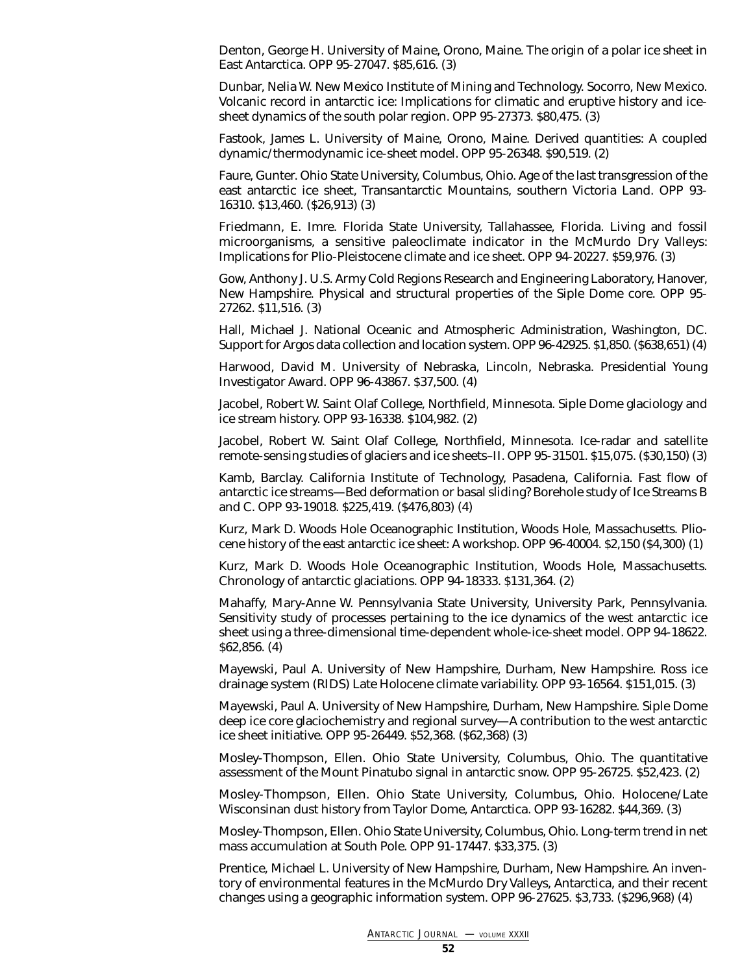Denton, George H. University of Maine, Orono, Maine. The origin of a polar ice sheet in East Antarctica. OPP 95-27047. \$85,616. (3)

Dunbar, Nelia W. New Mexico Institute of Mining and Technology. Socorro, New Mexico. Volcanic record in antarctic ice: Implications for climatic and eruptive history and icesheet dynamics of the south polar region. OPP 95-27373. \$80,475. (3)

Fastook, James L. University of Maine, Orono, Maine. Derived quantities: A coupled dynamic/thermodynamic ice-sheet model. OPP 95-26348. \$90,519. (2)

Faure, Gunter. Ohio State University, Columbus, Ohio. Age of the last transgression of the east antarctic ice sheet, Transantarctic Mountains, southern Victoria Land. OPP 93- 16310. \$13,460. (\$26,913) (3)

Friedmann, E. Imre. Florida State University, Tallahassee, Florida. Living and fossil microorganisms, a sensitive paleoclimate indicator in the McMurdo Dry Valleys: Implications for Plio-Pleistocene climate and ice sheet. OPP 94-20227. \$59,976. (3)

Gow, Anthony J. U.S. Army Cold Regions Research and Engineering Laboratory, Hanover, New Hampshire. Physical and structural properties of the Siple Dome core. OPP 95- 27262. \$11,516. (3)

Hall, Michael J. National Oceanic and Atmospheric Administration, Washington, DC. Support for Argos data collection and location system. OPP 96-42925. \$1,850. (\$638,651) (4)

Harwood, David M. University of Nebraska, Lincoln, Nebraska. Presidential Young Investigator Award. OPP 96-43867. \$37,500. (4)

Jacobel, Robert W. Saint Olaf College, Northfield, Minnesota. Siple Dome glaciology and ice stream history. OPP 93-16338. \$104,982. (2)

Jacobel, Robert W. Saint Olaf College, Northfield, Minnesota. Ice-radar and satellite remote-sensing studies of glaciers and ice sheets–II. OPP 95-31501. \$15,075. (\$30,150) (3)

Kamb, Barclay. California Institute of Technology, Pasadena, California. Fast flow of antarctic ice streams—Bed deformation or basal sliding? Borehole study of Ice Streams B and C. OPP 93-19018. \$225,419. (\$476,803) (4)

Kurz, Mark D. Woods Hole Oceanographic Institution, Woods Hole, Massachusetts. Pliocene history of the east antarctic ice sheet: A workshop. OPP 96-40004. \$2,150 (\$4,300) (1)

Kurz, Mark D. Woods Hole Oceanographic Institution, Woods Hole, Massachusetts. Chronology of antarctic glaciations. OPP 94-18333. \$131,364. (2)

Mahaffy, Mary-Anne W. Pennsylvania State University, University Park, Pennsylvania. Sensitivity study of processes pertaining to the ice dynamics of the west antarctic ice sheet using a three-dimensional time-dependent whole-ice-sheet model. OPP 94-18622. \$62,856. (4)

Mayewski, Paul A. University of New Hampshire, Durham, New Hampshire. Ross ice drainage system (RIDS) Late Holocene climate variability. OPP 93-16564. \$151,015. (3)

Mayewski, Paul A. University of New Hampshire, Durham, New Hampshire. Siple Dome deep ice core glaciochemistry and regional survey—A contribution to the west antarctic ice sheet initiative. OPP 95-26449. \$52,368. (\$62,368) (3)

Mosley-Thompson, Ellen. Ohio State University, Columbus, Ohio. The quantitative assessment of the Mount Pinatubo signal in antarctic snow. OPP 95-26725. \$52,423. (2)

Mosley-Thompson, Ellen. Ohio State University, Columbus, Ohio. Holocene/Late Wisconsinan dust history from Taylor Dome, Antarctica. OPP 93-16282. \$44,369. (3)

Mosley-Thompson, Ellen. Ohio State University, Columbus, Ohio. Long-term trend in net mass accumulation at South Pole. OPP 91-17447. \$33,375. (3)

Prentice, Michael L. University of New Hampshire, Durham, New Hampshire. An inventory of environmental features in the McMurdo Dry Valleys, Antarctica, and their recent changes using a geographic information system. OPP 96-27625. \$3,733. (\$296,968) (4)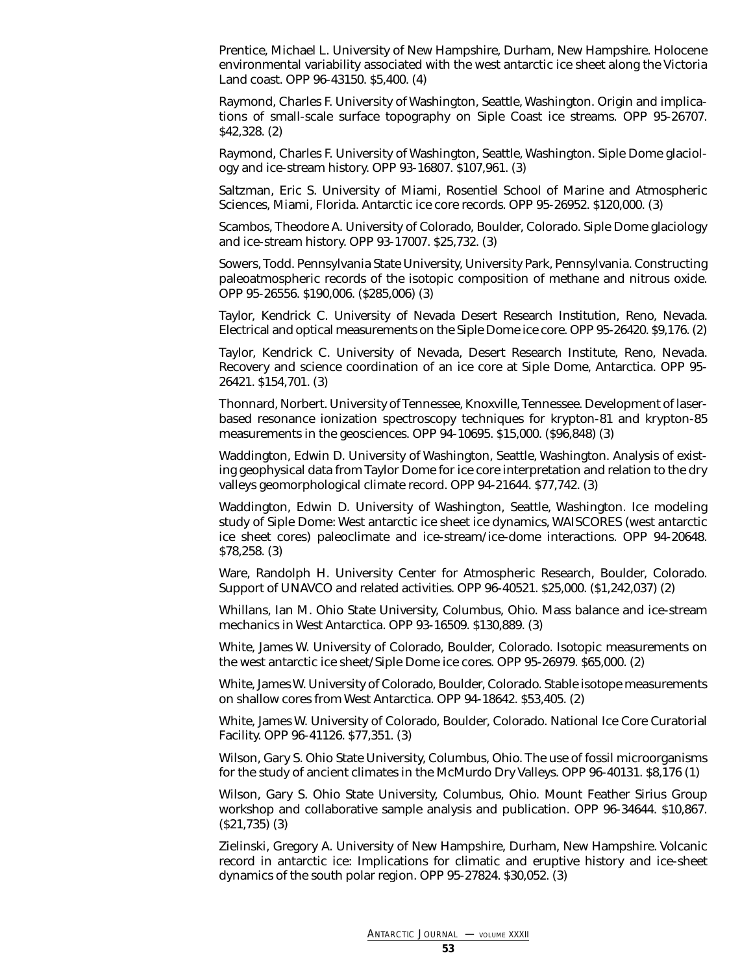Prentice, Michael L. University of New Hampshire, Durham, New Hampshire. Holocene environmental variability associated with the west antarctic ice sheet along the Victoria Land coast. OPP 96-43150. \$5,400. (4)

Raymond, Charles F. University of Washington, Seattle, Washington. Origin and implications of small-scale surface topography on Siple Coast ice streams. OPP 95-26707. \$42,328. (2)

Raymond, Charles F. University of Washington, Seattle, Washington. Siple Dome glaciology and ice-stream history. OPP 93-16807. \$107,961. (3)

Saltzman, Eric S. University of Miami, Rosentiel School of Marine and Atmospheric Sciences, Miami, Florida. Antarctic ice core records. OPP 95-26952. \$120,000. (3)

Scambos, Theodore A. University of Colorado, Boulder, Colorado. Siple Dome glaciology and ice-stream history. OPP 93-17007. \$25,732. (3)

Sowers, Todd. Pennsylvania State University, University Park, Pennsylvania. Constructing paleoatmospheric records of the isotopic composition of methane and nitrous oxide. OPP 95-26556. \$190,006. (\$285,006) (3)

Taylor, Kendrick C. University of Nevada Desert Research Institution, Reno, Nevada. Electrical and optical measurements on the Siple Dome ice core. OPP 95-26420. \$9,176. (2)

Taylor, Kendrick C. University of Nevada, Desert Research Institute, Reno, Nevada. Recovery and science coordination of an ice core at Siple Dome, Antarctica. OPP 95- 26421. \$154,701. (3)

Thonnard, Norbert. University of Tennessee, Knoxville, Tennessee. Development of laserbased resonance ionization spectroscopy techniques for krypton-81 and krypton-85 measurements in the geosciences. OPP 94-10695. \$15,000. (\$96,848) (3)

Waddington, Edwin D. University of Washington, Seattle, Washington. Analysis of existing geophysical data from Taylor Dome for ice core interpretation and relation to the dry valleys geomorphological climate record. OPP 94-21644. \$77,742. (3)

Waddington, Edwin D. University of Washington, Seattle, Washington. Ice modeling study of Siple Dome: West antarctic ice sheet ice dynamics, WAISCORES (west antarctic ice sheet cores) paleoclimate and ice-stream/ice-dome interactions. OPP 94-20648. \$78,258. (3)

Ware, Randolph H. University Center for Atmospheric Research, Boulder, Colorado. Support of UNAVCO and related activities. OPP 96-40521. \$25,000. (\$1,242,037) (2)

Whillans, Ian M. Ohio State University, Columbus, Ohio. Mass balance and ice-stream mechanics in West Antarctica. OPP 93-16509. \$130,889. (3)

White, James W. University of Colorado, Boulder, Colorado. Isotopic measurements on the west antarctic ice sheet/Siple Dome ice cores. OPP 95-26979. \$65,000. (2)

White, James W. University of Colorado, Boulder, Colorado. Stable isotope measurements on shallow cores from West Antarctica. OPP 94-18642. \$53,405. (2)

White, James W. University of Colorado, Boulder, Colorado. National Ice Core Curatorial Facility. OPP 96-41126. \$77,351. (3)

Wilson, Gary S. Ohio State University, Columbus, Ohio. The use of fossil microorganisms for the study of ancient climates in the McMurdo Dry Valleys. OPP 96-40131. \$8,176 (1)

Wilson, Gary S. Ohio State University, Columbus, Ohio. Mount Feather Sirius Group workshop and collaborative sample analysis and publication. OPP 96-34644. \$10,867. (\$21,735) (3)

Zielinski, Gregory A. University of New Hampshire, Durham, New Hampshire. Volcanic record in antarctic ice: Implications for climatic and eruptive history and ice-sheet dynamics of the south polar region. OPP 95-27824. \$30,052. (3)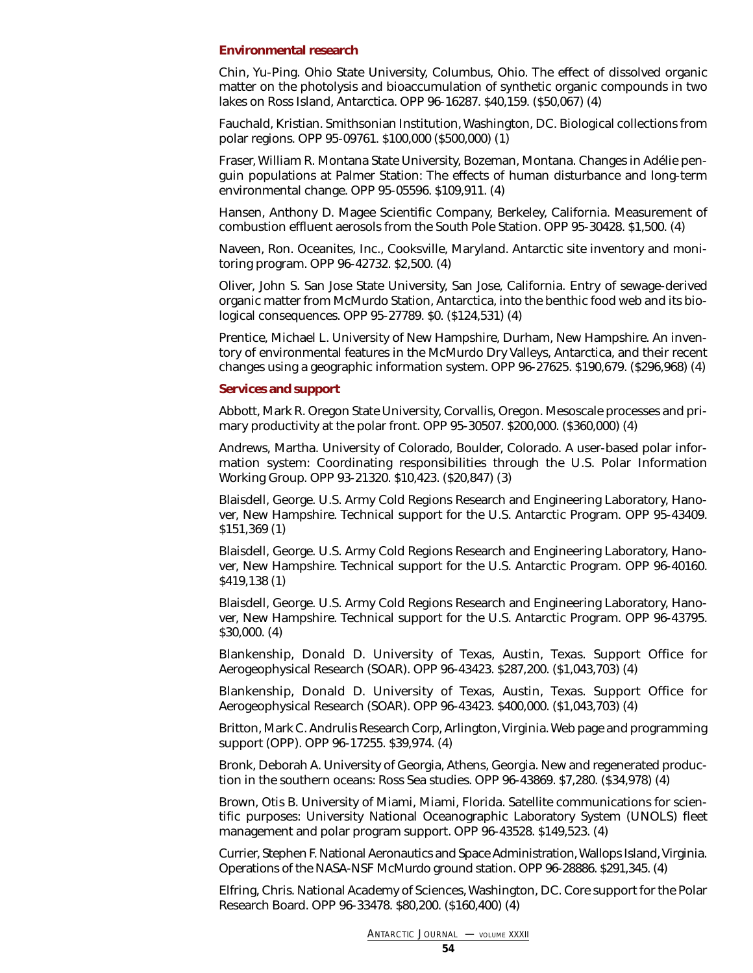### <span id="page-53-0"></span>**Environmental research**

Chin, Yu-Ping. Ohio State University, Columbus, Ohio. The effect of dissolved organic matter on the photolysis and bioaccumulation of synthetic organic compounds in two lakes on Ross Island, Antarctica. OPP 96-16287. \$40,159. (\$50,067) (4)

Fauchald, Kristian. Smithsonian Institution, Washington, DC. Biological collections from polar regions. OPP 95-09761. \$100,000 (\$500,000) (1)

Fraser, William R. Montana State University, Bozeman, Montana. Changes in Adélie penguin populations at Palmer Station: The effects of human disturbance and long-term environmental change. OPP 95-05596. \$109,911. (4)

Hansen, Anthony D. Magee Scientific Company, Berkeley, California. Measurement of combustion effluent aerosols from the South Pole Station. OPP 95-30428. \$1,500. (4)

Naveen, Ron. Oceanites, Inc., Cooksville, Maryland. Antarctic site inventory and monitoring program. OPP 96-42732. \$2,500. (4)

Oliver, John S. San Jose State University, San Jose, California. Entry of sewage-derived organic matter from McMurdo Station, Antarctica, into the benthic food web and its biological consequences. OPP 95-27789. \$0. (\$124,531) (4)

Prentice, Michael L. University of New Hampshire, Durham, New Hampshire. An inventory of environmental features in the McMurdo Dry Valleys, Antarctica, and their recent changes using a geographic information system. OPP 96-27625. \$190,679. (\$296,968) (4)

#### <span id="page-53-1"></span>**Services and support**

Abbott, Mark R. Oregon State University, Corvallis, Oregon. Mesoscale processes and primary productivity at the polar front. OPP 95-30507. \$200,000. (\$360,000) (4)

Andrews, Martha. University of Colorado, Boulder, Colorado. A user-based polar information system: Coordinating responsibilities through the U.S. Polar Information Working Group. OPP 93-21320. \$10,423. (\$20,847) (3)

Blaisdell, George. U.S. Army Cold Regions Research and Engineering Laboratory, Hanover, New Hampshire. Technical support for the U.S. Antarctic Program. OPP 95-43409. \$151,369 (1)

Blaisdell, George. U.S. Army Cold Regions Research and Engineering Laboratory, Hanover, New Hampshire. Technical support for the U.S. Antarctic Program. OPP 96-40160. \$419,138 (1)

Blaisdell, George. U.S. Army Cold Regions Research and Engineering Laboratory, Hanover, New Hampshire. Technical support for the U.S. Antarctic Program. OPP 96-43795. \$30,000. (4)

Blankenship, Donald D. University of Texas, Austin, Texas. Support Office for Aerogeophysical Research (SOAR). OPP 96-43423. \$287,200. (\$1,043,703) (4)

Blankenship, Donald D. University of Texas, Austin, Texas. Support Office for Aerogeophysical Research (SOAR). OPP 96-43423. \$400,000. (\$1,043,703) (4)

Britton, Mark C. Andrulis Research Corp, Arlington, Virginia. Web page and programming support (OPP). OPP 96-17255. \$39,974. (4)

Bronk, Deborah A. University of Georgia, Athens, Georgia. New and regenerated production in the southern oceans: Ross Sea studies. OPP 96-43869. \$7,280. (\$34,978) (4)

Brown, Otis B. University of Miami, Miami, Florida. Satellite communications for scientific purposes: University National Oceanographic Laboratory System (UNOLS) fleet management and polar program support. OPP 96-43528. \$149,523. (4)

Currier, Stephen F. National Aeronautics and Space Administration, Wallops Island, Virginia. Operations of the NASA-NSF McMurdo ground station. OPP 96-28886. \$291,345. (4)

Elfring, Chris. National Academy of Sciences, Washington, DC. Core support for the Polar Research Board. OPP 96-33478. \$80,200. (\$160,400) (4)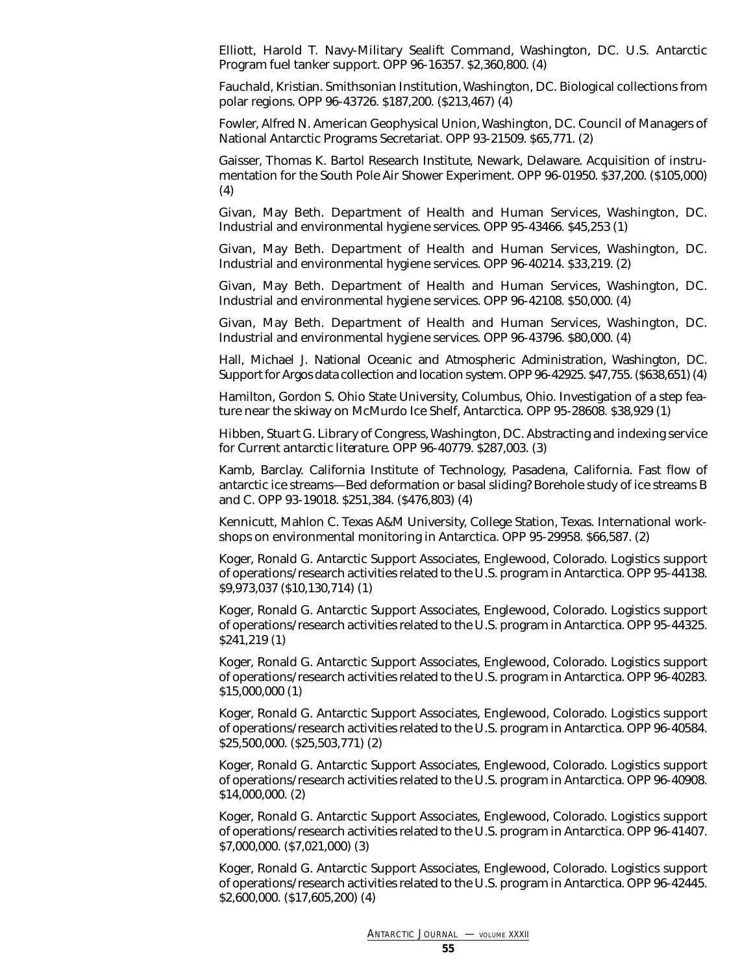Elliott, Harold T. Navy-Military Sealift Command, Washington, DC. U.S. Antarctic Program fuel tanker support. OPP 96-16357. \$2,360,800. (4)

Fauchald, Kristian. Smithsonian Institution, Washington, DC. Biological collections from polar regions. OPP 96-43726. \$187,200. (\$213,467) (4)

Fowler, Alfred N. American Geophysical Union, Washington, DC. Council of Managers of National Antarctic Programs Secretariat. OPP 93-21509. \$65,771. (2)

Gaisser, Thomas K. Bartol Research Institute, Newark, Delaware. Acquisition of instrumentation for the South Pole Air Shower Experiment. OPP 96-01950. \$37,200. (\$105,000) (4)

Givan, May Beth. Department of Health and Human Services, Washington, DC. Industrial and environmental hygiene services. OPP 95-43466. \$45,253 (1)

Givan, May Beth. Department of Health and Human Services, Washington, DC. Industrial and environmental hygiene services. OPP 96-40214. \$33,219. (2)

Givan, May Beth. Department of Health and Human Services, Washington, DC. Industrial and environmental hygiene services. OPP 96-42108. \$50,000. (4)

Givan, May Beth. Department of Health and Human Services, Washington, DC. Industrial and environmental hygiene services. OPP 96-43796. \$80,000. (4)

Hall, Michael J. National Oceanic and Atmospheric Administration, Washington, DC. Support for Argos data collection and location system. OPP 96-42925. \$47,755. (\$638,651) (4)

Hamilton, Gordon S. Ohio State University, Columbus, Ohio. Investigation of a step feature near the skiway on McMurdo Ice Shelf, Antarctica. OPP 95-28608. \$38,929 (1)

Hibben, Stuart G. Library of Congress, Washington, DC. Abstracting and indexing service for *Current antarctic literature*. OPP 96-40779. \$287,003. (3)

Kamb, Barclay. California Institute of Technology, Pasadena, California. Fast flow of antarctic ice streams—Bed deformation or basal sliding? Borehole study of ice streams B and C. OPP 93-19018. \$251,384. (\$476,803) (4)

Kennicutt, Mahlon C. Texas A&M University, College Station, Texas. International workshops on environmental monitoring in Antarctica. OPP 95-29958. \$66,587. (2)

Koger, Ronald G. Antarctic Support Associates, Englewood, Colorado. Logistics support of operations/research activities related to the U.S. program in Antarctica. OPP 95-44138. \$9,973,037 (\$10,130,714) (1)

Koger, Ronald G. Antarctic Support Associates, Englewood, Colorado. Logistics support of operations/research activities related to the U.S. program in Antarctica. OPP 95-44325. \$241,219 (1)

Koger, Ronald G. Antarctic Support Associates, Englewood, Colorado. Logistics support of operations/research activities related to the U.S. program in Antarctica. OPP 96-40283. \$15,000,000 (1)

Koger, Ronald G. Antarctic Support Associates, Englewood, Colorado. Logistics support of operations/research activities related to the U.S. program in Antarctica. OPP 96-40584. \$25,500,000. (\$25,503,771) (2)

Koger, Ronald G. Antarctic Support Associates, Englewood, Colorado. Logistics support of operations/research activities related to the U.S. program in Antarctica. OPP 96-40908. \$14,000,000. (2)

Koger, Ronald G. Antarctic Support Associates, Englewood, Colorado. Logistics support of operations/research activities related to the U.S. program in Antarctica. OPP 96-41407. \$7,000,000. (\$7,021,000) (3)

Koger, Ronald G. Antarctic Support Associates, Englewood, Colorado. Logistics support of operations/research activities related to the U.S. program in Antarctica. OPP 96-42445. \$2,600,000. (\$17,605,200) (4)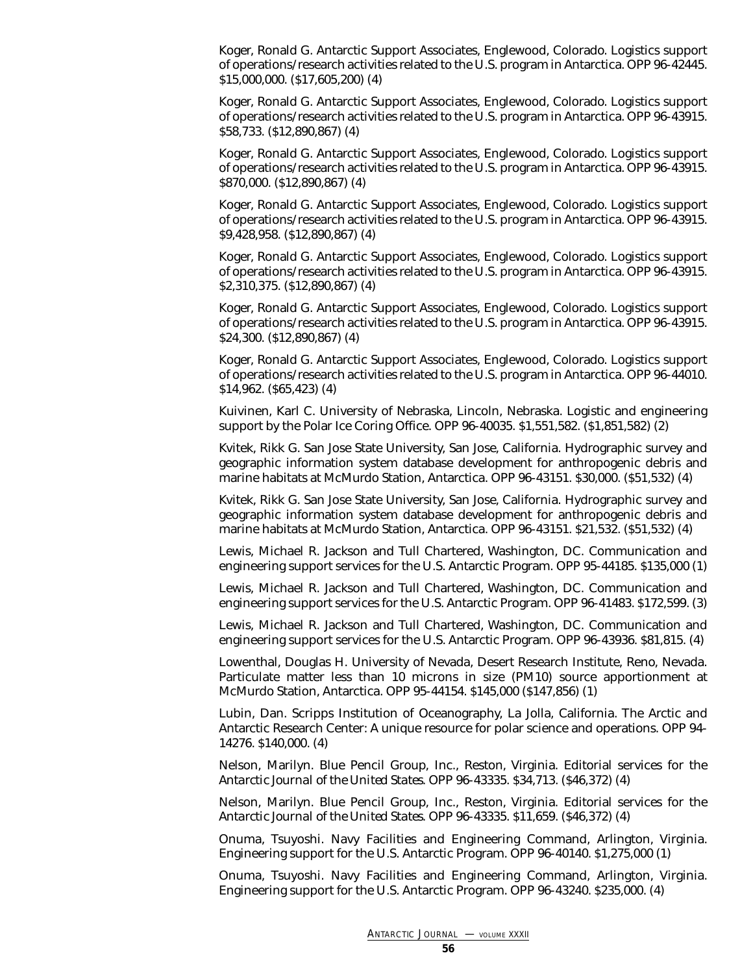Koger, Ronald G. Antarctic Support Associates, Englewood, Colorado. Logistics support of operations/research activities related to the U.S. program in Antarctica. OPP 96-42445. \$15,000,000. (\$17,605,200) (4)

Koger, Ronald G. Antarctic Support Associates, Englewood, Colorado. Logistics support of operations/research activities related to the U.S. program in Antarctica. OPP 96-43915. \$58,733. (\$12,890,867) (4)

Koger, Ronald G. Antarctic Support Associates, Englewood, Colorado. Logistics support of operations/research activities related to the U.S. program in Antarctica. OPP 96-43915. \$870,000. (\$12,890,867) (4)

Koger, Ronald G. Antarctic Support Associates, Englewood, Colorado. Logistics support of operations/research activities related to the U.S. program in Antarctica. OPP 96-43915. \$9,428,958. (\$12,890,867) (4)

Koger, Ronald G. Antarctic Support Associates, Englewood, Colorado. Logistics support of operations/research activities related to the U.S. program in Antarctica. OPP 96-43915. \$2,310,375. (\$12,890,867) (4)

Koger, Ronald G. Antarctic Support Associates, Englewood, Colorado. Logistics support of operations/research activities related to the U.S. program in Antarctica. OPP 96-43915. \$24,300. (\$12,890,867) (4)

Koger, Ronald G. Antarctic Support Associates, Englewood, Colorado. Logistics support of operations/research activities related to the U.S. program in Antarctica. OPP 96-44010. \$14,962. (\$65,423) (4)

Kuivinen, Karl C. University of Nebraska, Lincoln, Nebraska. Logistic and engineering support by the Polar Ice Coring Office. OPP 96-40035. \$1,551,582. (\$1,851,582) (2)

Kvitek, Rikk G. San Jose State University, San Jose, California. Hydrographic survey and geographic information system database development for anthropogenic debris and marine habitats at McMurdo Station, Antarctica. OPP 96-43151. \$30,000. (\$51,532) (4)

Kvitek, Rikk G. San Jose State University, San Jose, California. Hydrographic survey and geographic information system database development for anthropogenic debris and marine habitats at McMurdo Station, Antarctica. OPP 96-43151. \$21,532. (\$51,532) (4)

Lewis, Michael R. Jackson and Tull Chartered, Washington, DC. Communication and engineering support services for the U.S. Antarctic Program. OPP 95-44185. \$135,000 (1)

Lewis, Michael R. Jackson and Tull Chartered, Washington, DC. Communication and engineering support services for the U.S. Antarctic Program. OPP 96-41483. \$172,599. (3)

Lewis, Michael R. Jackson and Tull Chartered, Washington, DC. Communication and engineering support services for the U.S. Antarctic Program. OPP 96-43936. \$81,815. (4)

Lowenthal, Douglas H. University of Nevada, Desert Research Institute, Reno, Nevada. Particulate matter less than 10 microns in size (PM10) source apportionment at McMurdo Station, Antarctica. OPP 95-44154. \$145,000 (\$147,856) (1)

Lubin, Dan. Scripps Institution of Oceanography, La Jolla, California. The Arctic and Antarctic Research Center: A unique resource for polar science and operations. OPP 94- 14276. \$140,000. (4)

Nelson, Marilyn. Blue Pencil Group, Inc., Reston, Virginia. Editorial services for the *Antarctic Journal of the United States*. OPP 96-43335. \$34,713. (\$46,372) (4)

Nelson, Marilyn. Blue Pencil Group, Inc., Reston, Virginia. Editorial services for the *Antarctic Journal of the United States*. OPP 96-43335. \$11,659. (\$46,372) (4)

Onuma, Tsuyoshi. Navy Facilities and Engineering Command, Arlington, Virginia. Engineering support for the U.S. Antarctic Program. OPP 96-40140. \$1,275,000 (1)

Onuma, Tsuyoshi. Navy Facilities and Engineering Command, Arlington, Virginia. Engineering support for the U.S. Antarctic Program. OPP 96-43240. \$235,000. (4)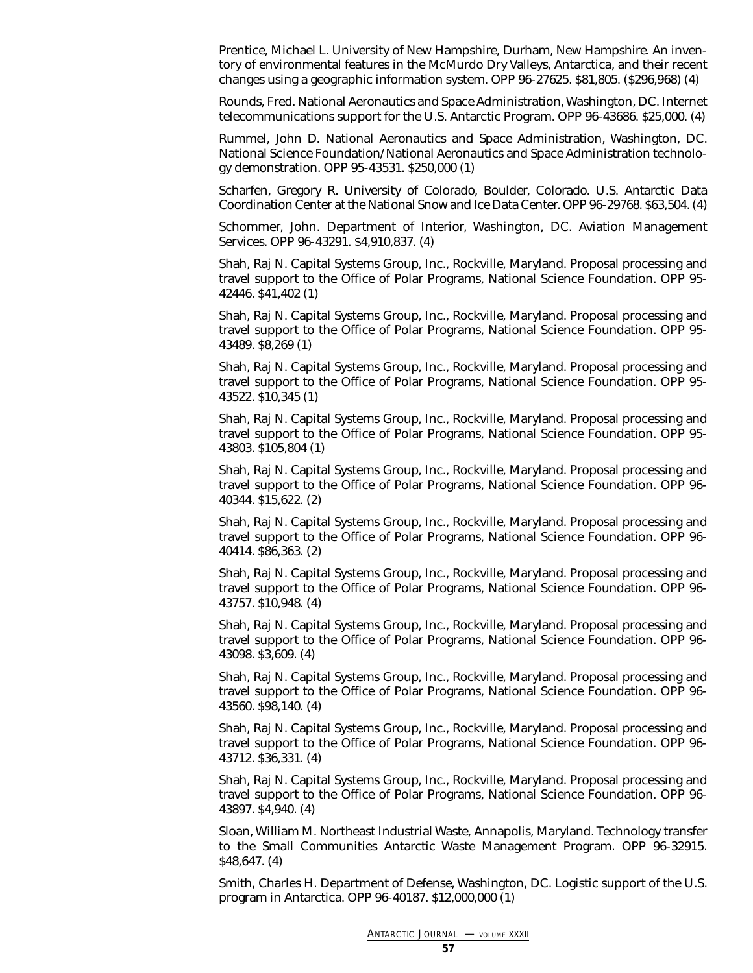Prentice, Michael L. University of New Hampshire, Durham, New Hampshire. An inventory of environmental features in the McMurdo Dry Valleys, Antarctica, and their recent changes using a geographic information system. OPP 96-27625. \$81,805. (\$296,968) (4)

Rounds, Fred. National Aeronautics and Space Administration, Washington, DC. Internet telecommunications support for the U.S. Antarctic Program. OPP 96-43686. \$25,000. (4)

Rummel, John D. National Aeronautics and Space Administration, Washington, DC. National Science Foundation/National Aeronautics and Space Administration technology demonstration. OPP 95-43531. \$250,000 (1)

Scharfen, Gregory R. University of Colorado, Boulder, Colorado. U.S. Antarctic Data Coordination Center at the National Snow and Ice Data Center. OPP 96-29768. \$63,504. (4)

Schommer, John. Department of Interior, Washington, DC. Aviation Management Services. OPP 96-43291. \$4,910,837. (4)

Shah, Raj N. Capital Systems Group, Inc., Rockville, Maryland. Proposal processing and travel support to the Office of Polar Programs, National Science Foundation. OPP 95- 42446. \$41,402 (1)

Shah, Raj N. Capital Systems Group, Inc., Rockville, Maryland. Proposal processing and travel support to the Office of Polar Programs, National Science Foundation. OPP 95- 43489. \$8,269 (1)

Shah, Raj N. Capital Systems Group, Inc., Rockville, Maryland. Proposal processing and travel support to the Office of Polar Programs, National Science Foundation. OPP 95- 43522. \$10,345 (1)

Shah, Raj N. Capital Systems Group, Inc., Rockville, Maryland. Proposal processing and travel support to the Office of Polar Programs, National Science Foundation. OPP 95- 43803. \$105,804 (1)

Shah, Raj N. Capital Systems Group, Inc., Rockville, Maryland. Proposal processing and travel support to the Office of Polar Programs, National Science Foundation. OPP 96- 40344. \$15,622. (2)

Shah, Raj N. Capital Systems Group, Inc., Rockville, Maryland. Proposal processing and travel support to the Office of Polar Programs, National Science Foundation. OPP 96- 40414. \$86,363. (2)

Shah, Raj N. Capital Systems Group, Inc., Rockville, Maryland. Proposal processing and travel support to the Office of Polar Programs, National Science Foundation. OPP 96- 43757. \$10,948. (4)

Shah, Raj N. Capital Systems Group, Inc., Rockville, Maryland. Proposal processing and travel support to the Office of Polar Programs, National Science Foundation. OPP 96- 43098. \$3,609. (4)

Shah, Raj N. Capital Systems Group, Inc., Rockville, Maryland. Proposal processing and travel support to the Office of Polar Programs, National Science Foundation. OPP 96- 43560. \$98,140. (4)

Shah, Raj N. Capital Systems Group, Inc., Rockville, Maryland. Proposal processing and travel support to the Office of Polar Programs, National Science Foundation. OPP 96- 43712. \$36,331. (4)

Shah, Raj N. Capital Systems Group, Inc., Rockville, Maryland. Proposal processing and travel support to the Office of Polar Programs, National Science Foundation. OPP 96- 43897. \$4,940. (4)

Sloan, William M. Northeast Industrial Waste, Annapolis, Maryland. Technology transfer to the Small Communities Antarctic Waste Management Program. OPP 96-32915. \$48,647. (4)

Smith, Charles H. Department of Defense, Washington, DC. Logistic support of the U.S. program in Antarctica. OPP 96-40187. \$12,000,000 (1)